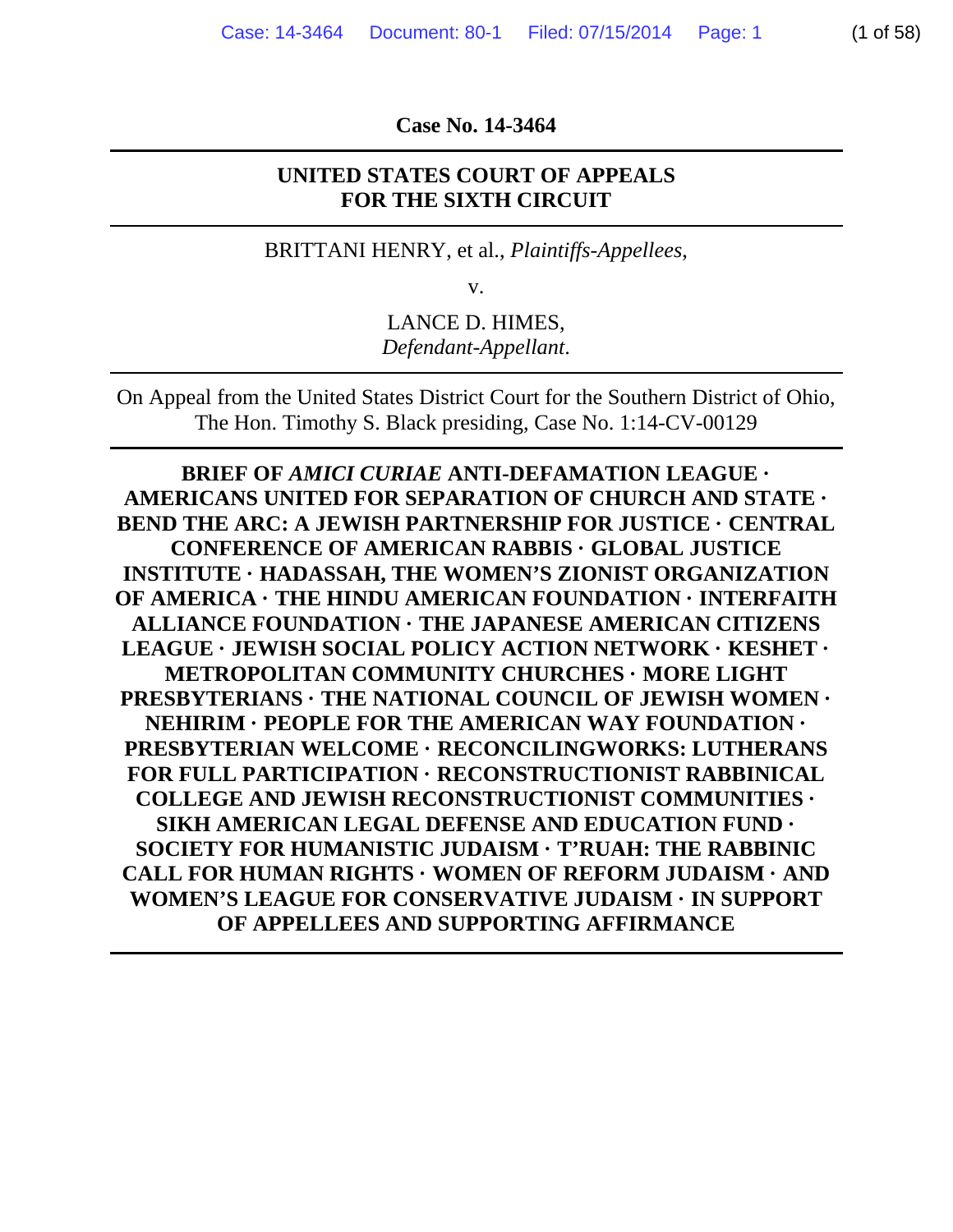**Case No. 14-3464** 

#### **UNITED STATES COURT OF APPEALS FOR THE SIXTH CIRCUIT**

BRITTANI HENRY, et al., *Plaintiffs-Appellees*,

v.

LANCE D. HIMES, *Defendant-Appellant*.

On Appeal from the United States District Court for the Southern District of Ohio, The Hon. Timothy S. Black presiding, Case No. 1:14-CV-00129

**BRIEF OF** *AMICI CURIAE* **ANTI-DEFAMATION LEAGUE · AMERICANS UNITED FOR SEPARATION OF CHURCH AND STATE · BEND THE ARC: A JEWISH PARTNERSHIP FOR JUSTICE · CENTRAL CONFERENCE OF AMERICAN RABBIS · GLOBAL JUSTICE INSTITUTE · HADASSAH, THE WOMEN'S ZIONIST ORGANIZATION OF AMERICA · THE HINDU AMERICAN FOUNDATION · INTERFAITH ALLIANCE FOUNDATION · THE JAPANESE AMERICAN CITIZENS LEAGUE · JEWISH SOCIAL POLICY ACTION NETWORK · KESHET · METROPOLITAN COMMUNITY CHURCHES · MORE LIGHT PRESBYTERIANS · THE NATIONAL COUNCIL OF JEWISH WOMEN · NEHIRIM · PEOPLE FOR THE AMERICAN WAY FOUNDATION · PRESBYTERIAN WELCOME · RECONCILINGWORKS: LUTHERANS FOR FULL PARTICIPATION · RECONSTRUCTIONIST RABBINICAL COLLEGE AND JEWISH RECONSTRUCTIONIST COMMUNITIES · SIKH AMERICAN LEGAL DEFENSE AND EDUCATION FUND · SOCIETY FOR HUMANISTIC JUDAISM · T'RUAH: THE RABBINIC CALL FOR HUMAN RIGHTS · WOMEN OF REFORM JUDAISM · AND WOMEN'S LEAGUE FOR CONSERVATIVE JUDAISM · IN SUPPORT OF APPELLEES AND SUPPORTING AFFIRMANCE**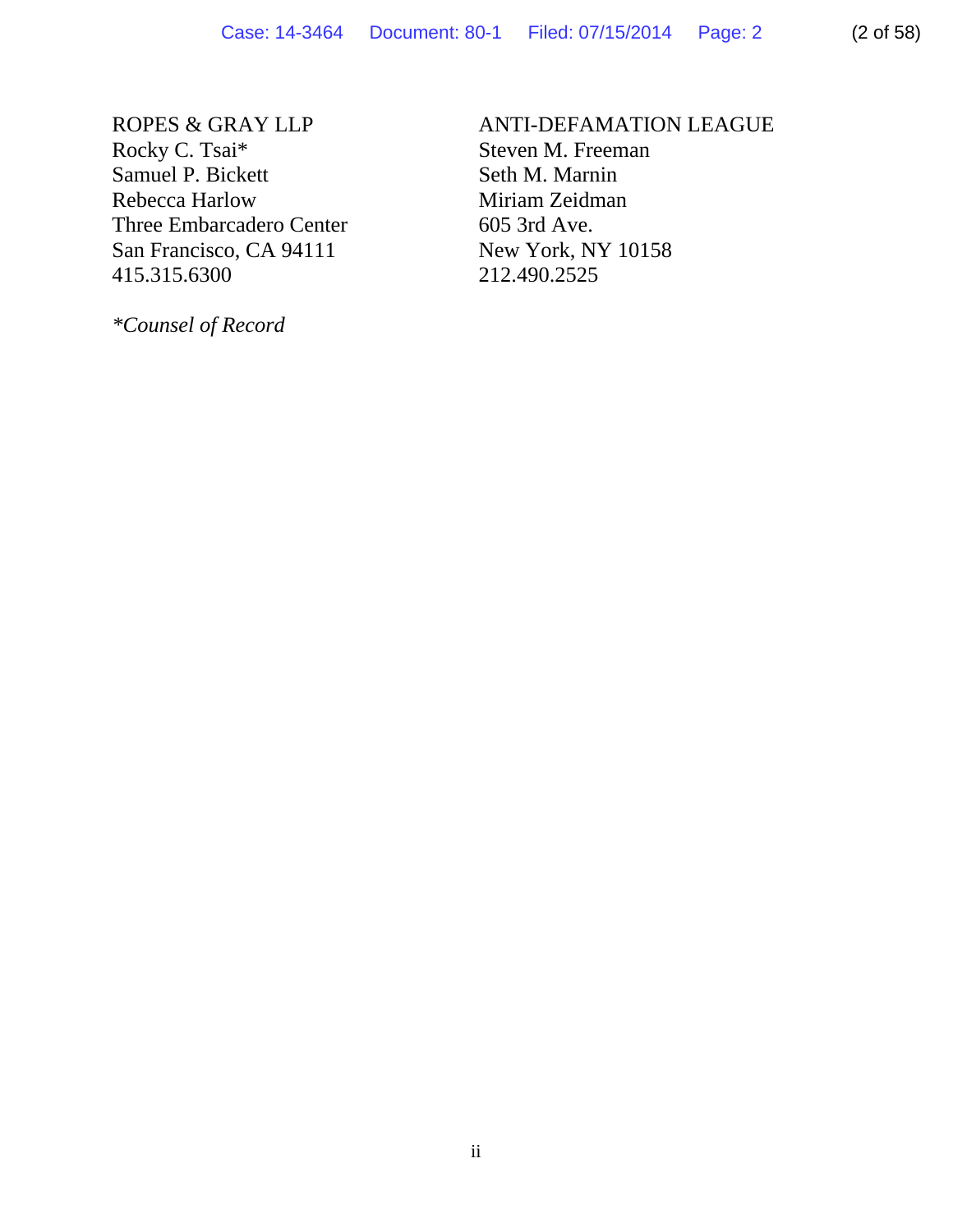ROPES & GRAY LLP Rocky C. Tsai\* Samuel P. Bickett Rebecca Harlow Three Embarcadero Center San Francisco, CA 94111 415.315.6300

*\*Counsel of Record* 

# ANTI-DEFAMATION LEAGUE Steven M. Freeman Seth M. Marnin Miriam Zeidman

605 3rd Ave. New York, NY 10158 212.490.2525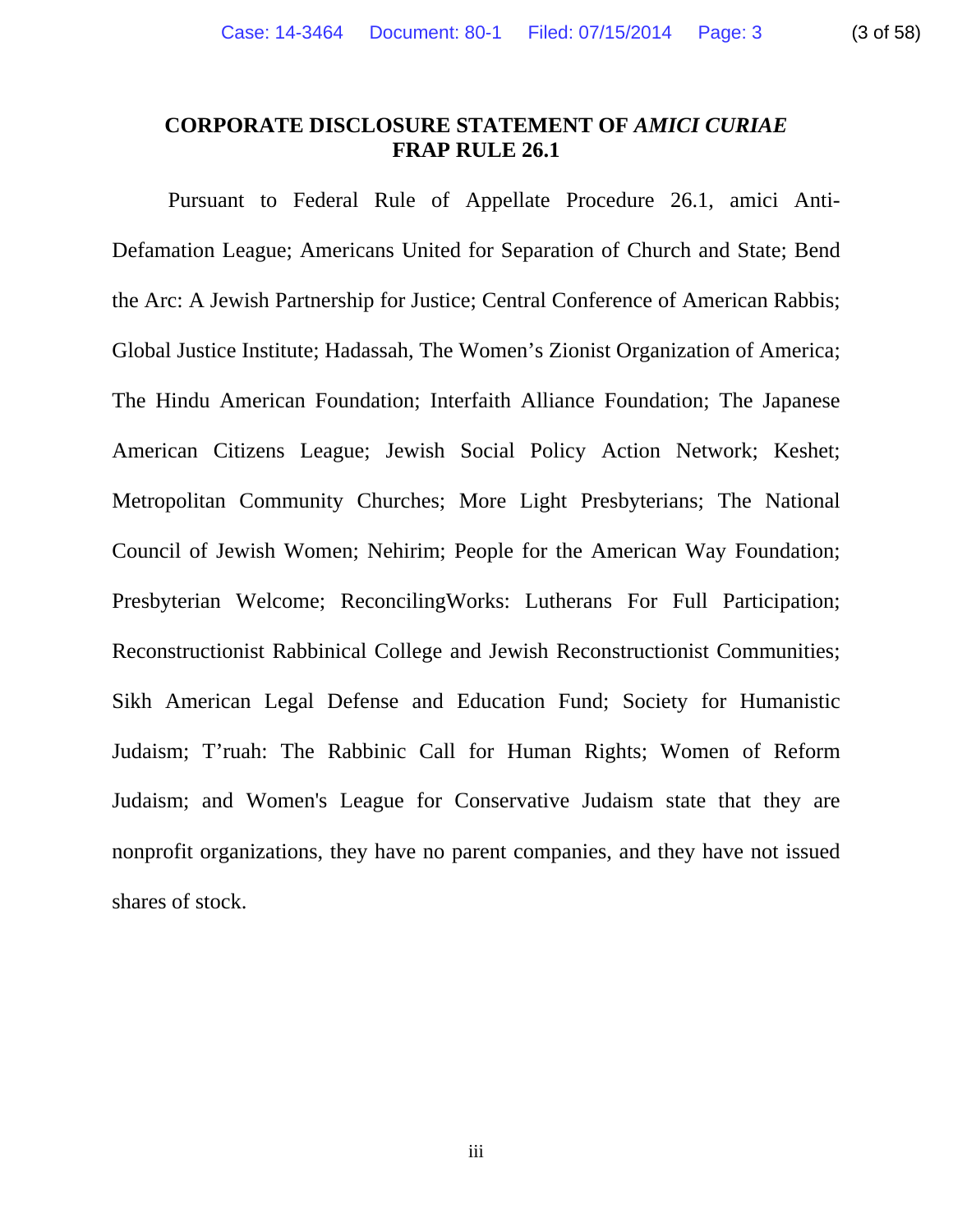### **CORPORATE DISCLOSURE STATEMENT OF** *AMICI CURIAE* **FRAP RULE 26.1**

Pursuant to Federal Rule of Appellate Procedure 26.1, amici Anti-Defamation League; Americans United for Separation of Church and State; Bend the Arc: A Jewish Partnership for Justice; Central Conference of American Rabbis; Global Justice Institute; Hadassah, The Women's Zionist Organization of America; The Hindu American Foundation; Interfaith Alliance Foundation; The Japanese American Citizens League; Jewish Social Policy Action Network; Keshet; Metropolitan Community Churches; More Light Presbyterians; The National Council of Jewish Women; Nehirim; People for the American Way Foundation; Presbyterian Welcome; ReconcilingWorks: Lutherans For Full Participation; Reconstructionist Rabbinical College and Jewish Reconstructionist Communities; Sikh American Legal Defense and Education Fund; Society for Humanistic Judaism; T'ruah: The Rabbinic Call for Human Rights; Women of Reform Judaism; and Women's League for Conservative Judaism state that they are nonprofit organizations, they have no parent companies, and they have not issued shares of stock.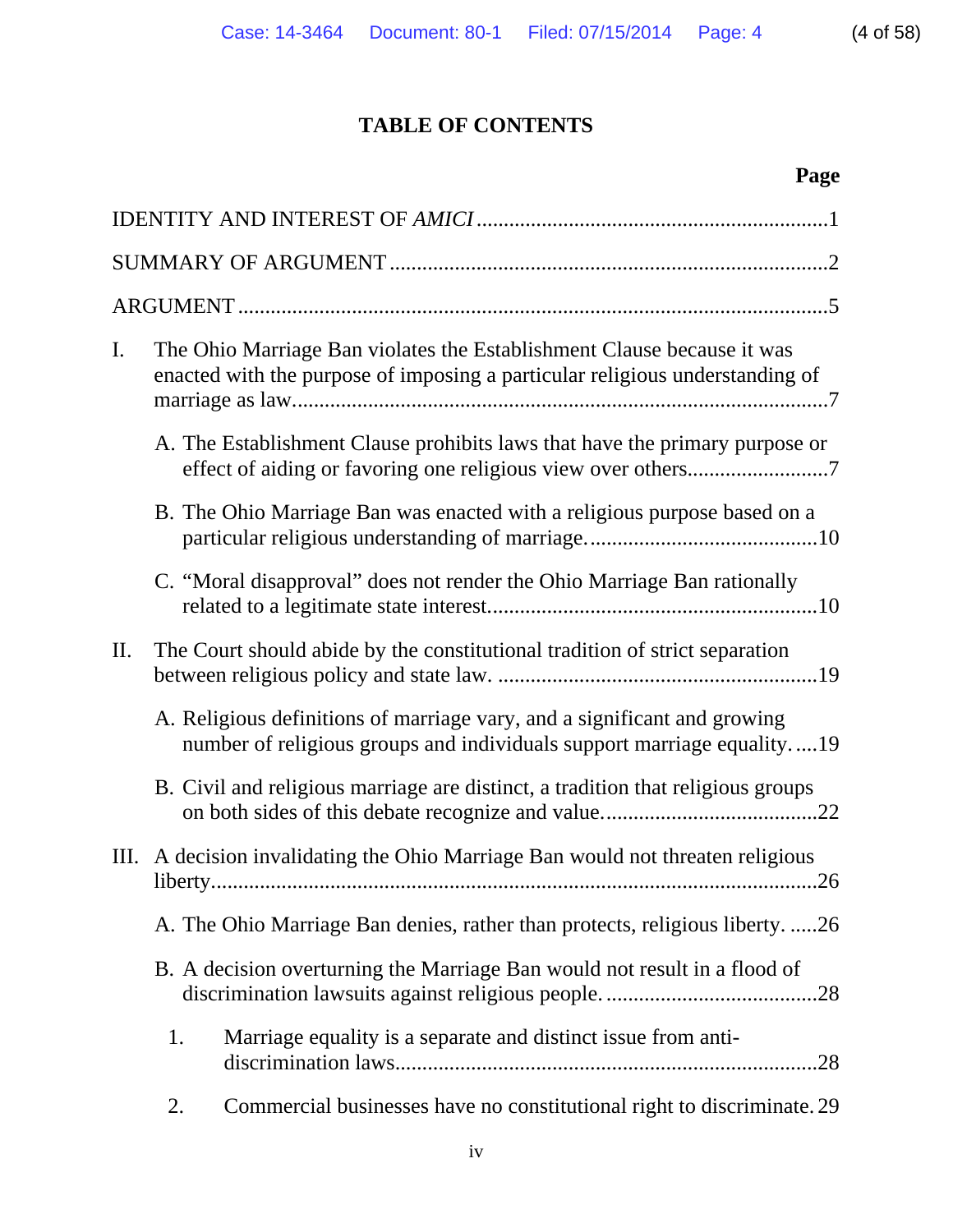# **TABLE OF CONTENTS**

# **Page**

| The Ohio Marriage Ban violates the Establishment Clause because it was<br>$\mathbf{I}$ .<br>enacted with the purpose of imposing a particular religious understanding of |  |
|--------------------------------------------------------------------------------------------------------------------------------------------------------------------------|--|
| A. The Establishment Clause prohibits laws that have the primary purpose or                                                                                              |  |
| B. The Ohio Marriage Ban was enacted with a religious purpose based on a                                                                                                 |  |
| C. "Moral disapproval" does not render the Ohio Marriage Ban rationally                                                                                                  |  |
| II.<br>The Court should abide by the constitutional tradition of strict separation                                                                                       |  |
| A. Religious definitions of marriage vary, and a significant and growing<br>number of religious groups and individuals support marriage equality19                       |  |
| B. Civil and religious marriage are distinct, a tradition that religious groups                                                                                          |  |
| III. A decision invalidating the Ohio Marriage Ban would not threaten religious                                                                                          |  |
| A. The Ohio Marriage Ban denies, rather than protects, religious liberty26                                                                                               |  |
| B. A decision overturning the Marriage Ban would not result in a flood of                                                                                                |  |
| 1.<br>Marriage equality is a separate and distinct issue from anti-                                                                                                      |  |
| Commercial businesses have no constitutional right to discriminate. 29<br>2.                                                                                             |  |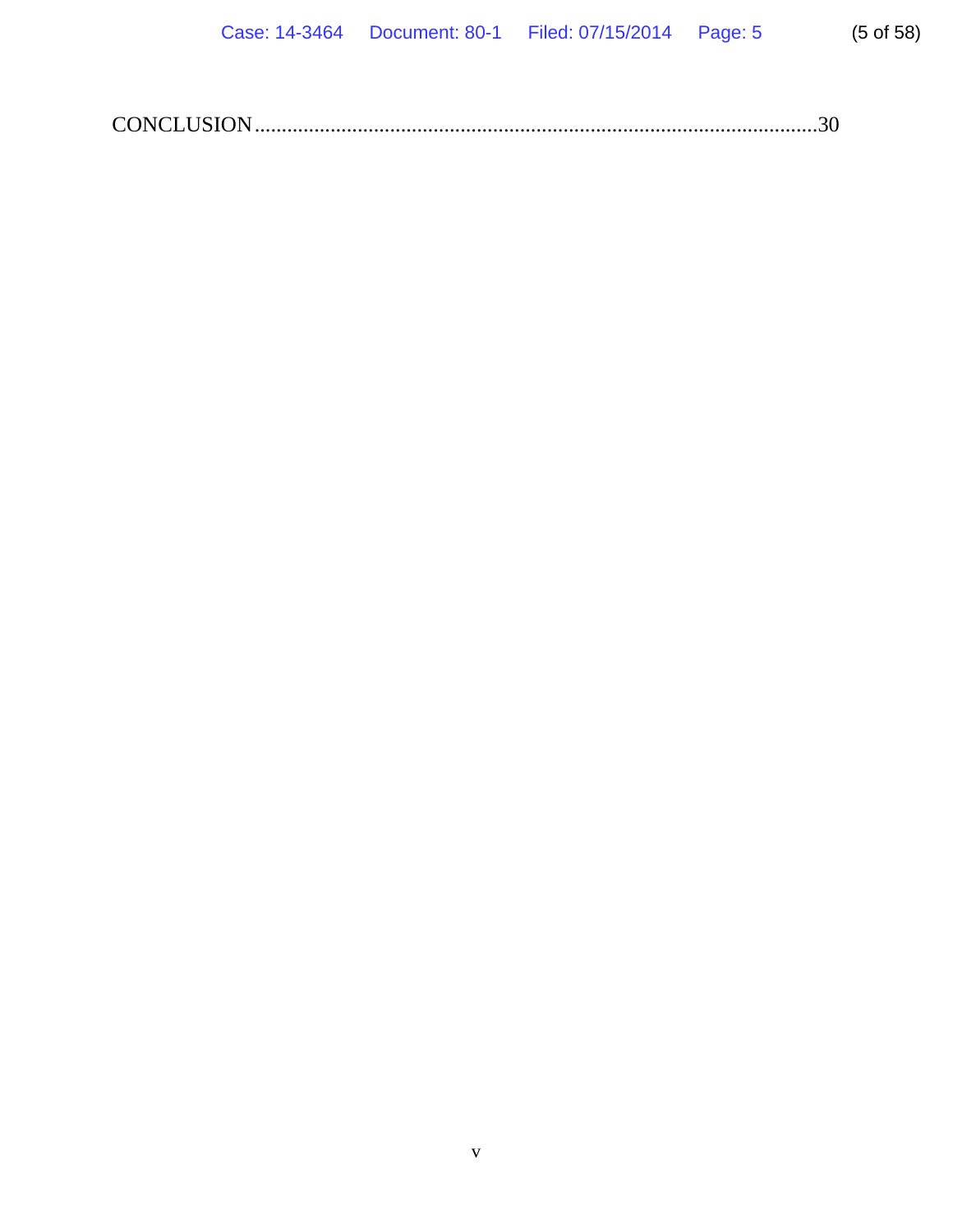|--|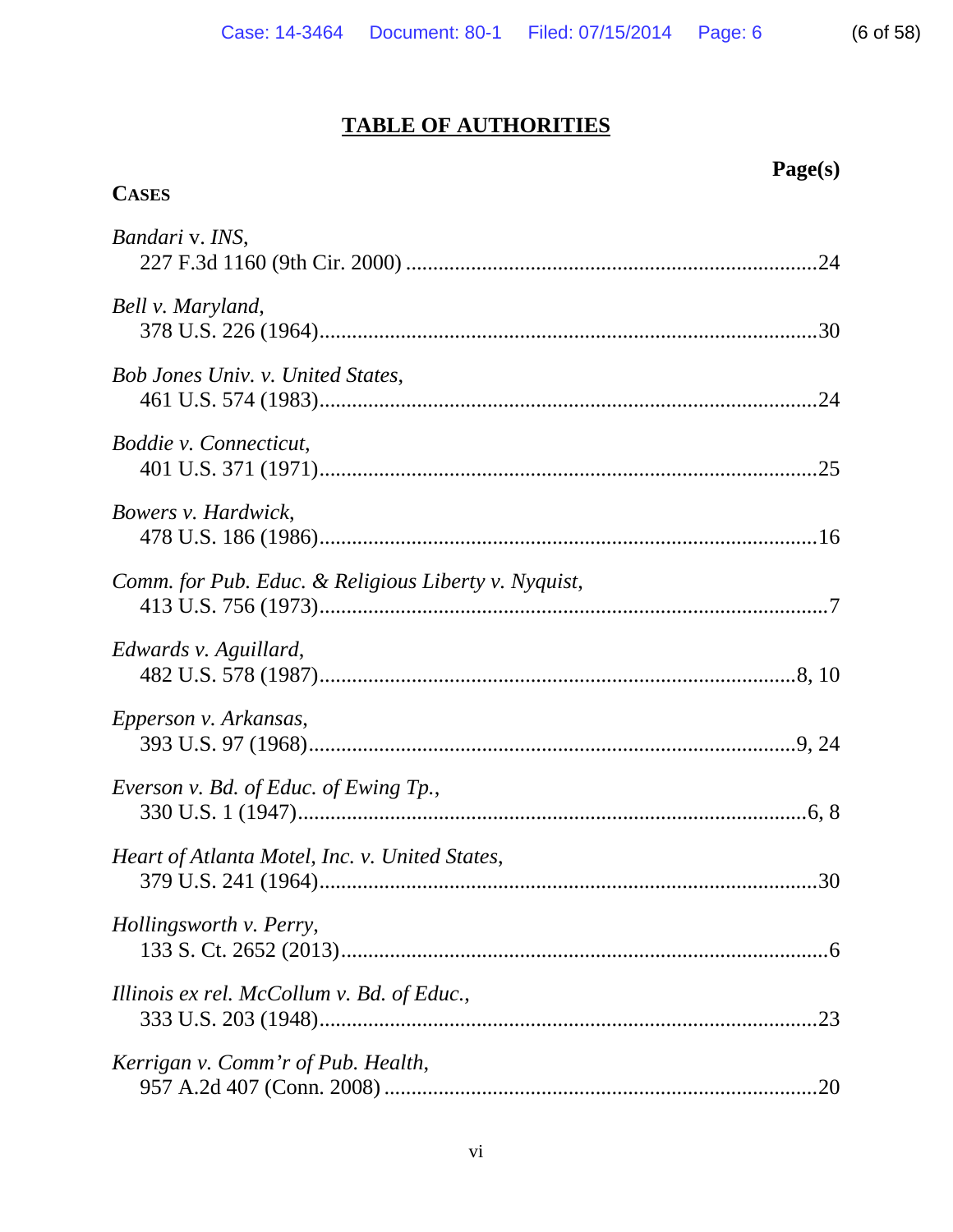# **TABLE OF AUTHORITIES**

| <b>CASES</b>                                         |
|------------------------------------------------------|
| Bandari v. INS,                                      |
| Bell v. Maryland,                                    |
| Bob Jones Univ. v. United States,                    |
| Boddie v. Connecticut,                               |
| Bowers v. Hardwick,                                  |
| Comm. for Pub. Educ. & Religious Liberty v. Nyquist, |
| Edwards v. Aguillard,                                |
| Epperson v. Arkansas,                                |
| Everson v. Bd. of Educ. of Ewing Tp.,                |
| Heart of Atlanta Motel, Inc. v. United States,       |
| Hollingsworth v. Perry,                              |
| Illinois ex rel. McCollum v. Bd. of Educ.,           |
| Kerrigan v. Comm'r of Pub. Health,                   |

 **Page(s)**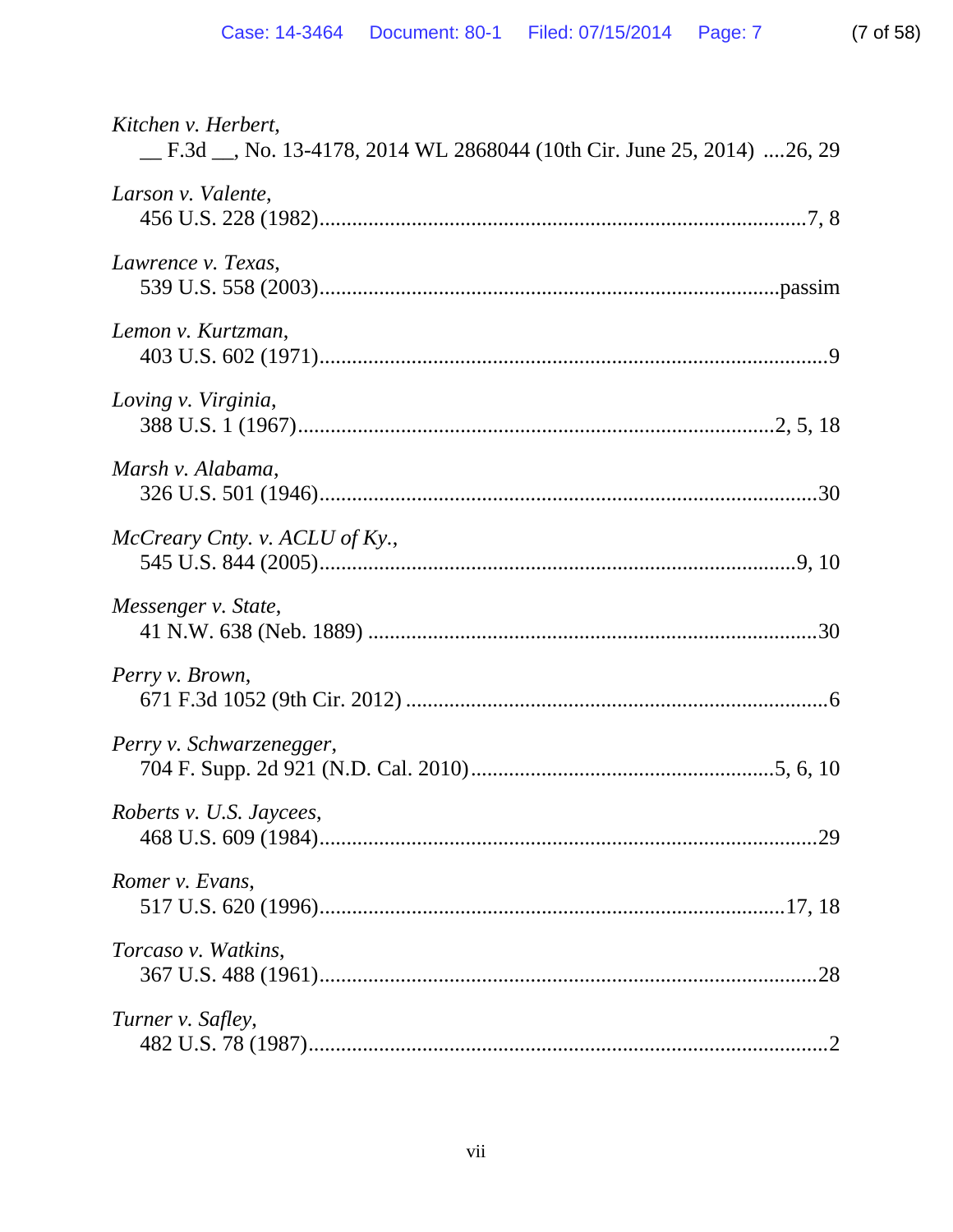| Kitchen v. Herbert,                                                    |
|------------------------------------------------------------------------|
| _F.3d _, No. 13-4178, 2014 WL 2868044 (10th Cir. June 25, 2014) 26, 29 |
| Larson v. Valente,                                                     |
| Lawrence v. Texas,                                                     |
|                                                                        |
| Lemon v. Kurtzman,                                                     |
|                                                                        |
| Loving v. Virginia,                                                    |
|                                                                        |
| Marsh v. Alabama,                                                      |
|                                                                        |
| McCreary Cnty. v. ACLU of Ky.,                                         |
|                                                                        |
| Messenger v. State,                                                    |
|                                                                        |
| Perry v. Brown,                                                        |
|                                                                        |
| Perry v. Schwarzenegger,                                               |
|                                                                        |
| Roberts v. U.S. Jaycees,                                               |
|                                                                        |
| Romer v. Evans,                                                        |
|                                                                        |
| Torcaso v. Watkins,                                                    |
| .28                                                                    |
| Turner v. Safley,                                                      |
|                                                                        |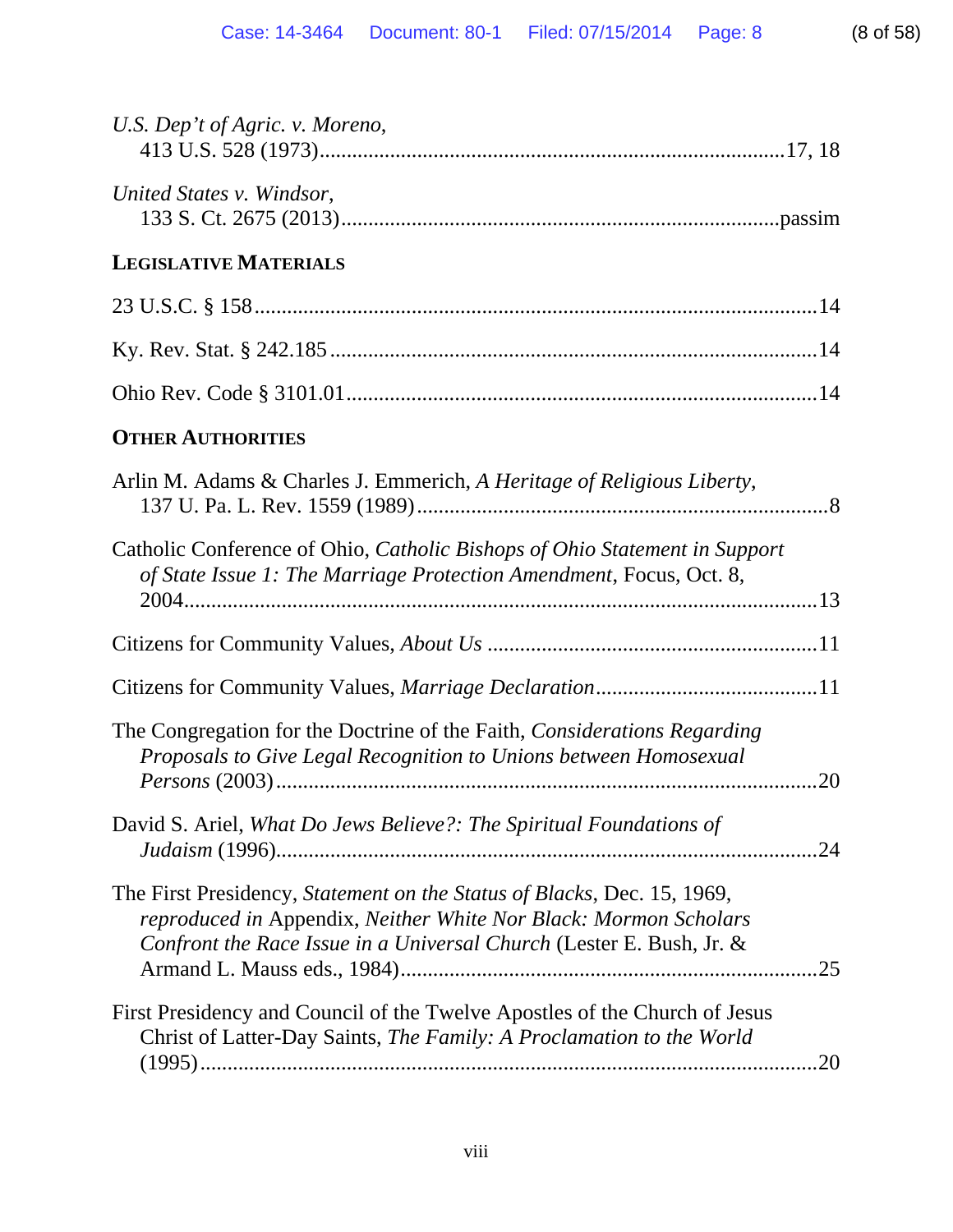| U.S. Dep't of Agric. v. Moreno,                                                                                                                                                                                            |
|----------------------------------------------------------------------------------------------------------------------------------------------------------------------------------------------------------------------------|
| United States v. Windsor,                                                                                                                                                                                                  |
| <b>LEGISLATIVE MATERIALS</b>                                                                                                                                                                                               |
|                                                                                                                                                                                                                            |
|                                                                                                                                                                                                                            |
|                                                                                                                                                                                                                            |
| <b>OTHER AUTHORITIES</b>                                                                                                                                                                                                   |
| Arlin M. Adams & Charles J. Emmerich, A Heritage of Religious Liberty,                                                                                                                                                     |
| Catholic Conference of Ohio, Catholic Bishops of Ohio Statement in Support<br>of State Issue 1: The Marriage Protection Amendment, Focus, Oct. 8,                                                                          |
|                                                                                                                                                                                                                            |
|                                                                                                                                                                                                                            |
| The Congregation for the Doctrine of the Faith, Considerations Regarding<br>Proposals to Give Legal Recognition to Unions between Homosexual                                                                               |
| David S. Ariel, What Do Jews Believe?: The Spiritual Foundations of<br>24                                                                                                                                                  |
| The First Presidency, Statement on the Status of Blacks, Dec. 15, 1969,<br>reproduced in Appendix, Neither White Nor Black: Mormon Scholars<br>Confront the Race Issue in a Universal Church (Lester E. Bush, Jr. &<br>.25 |
| First Presidency and Council of the Twelve Apostles of the Church of Jesus<br>Christ of Latter-Day Saints, The Family: A Proclamation to the World<br>.20                                                                  |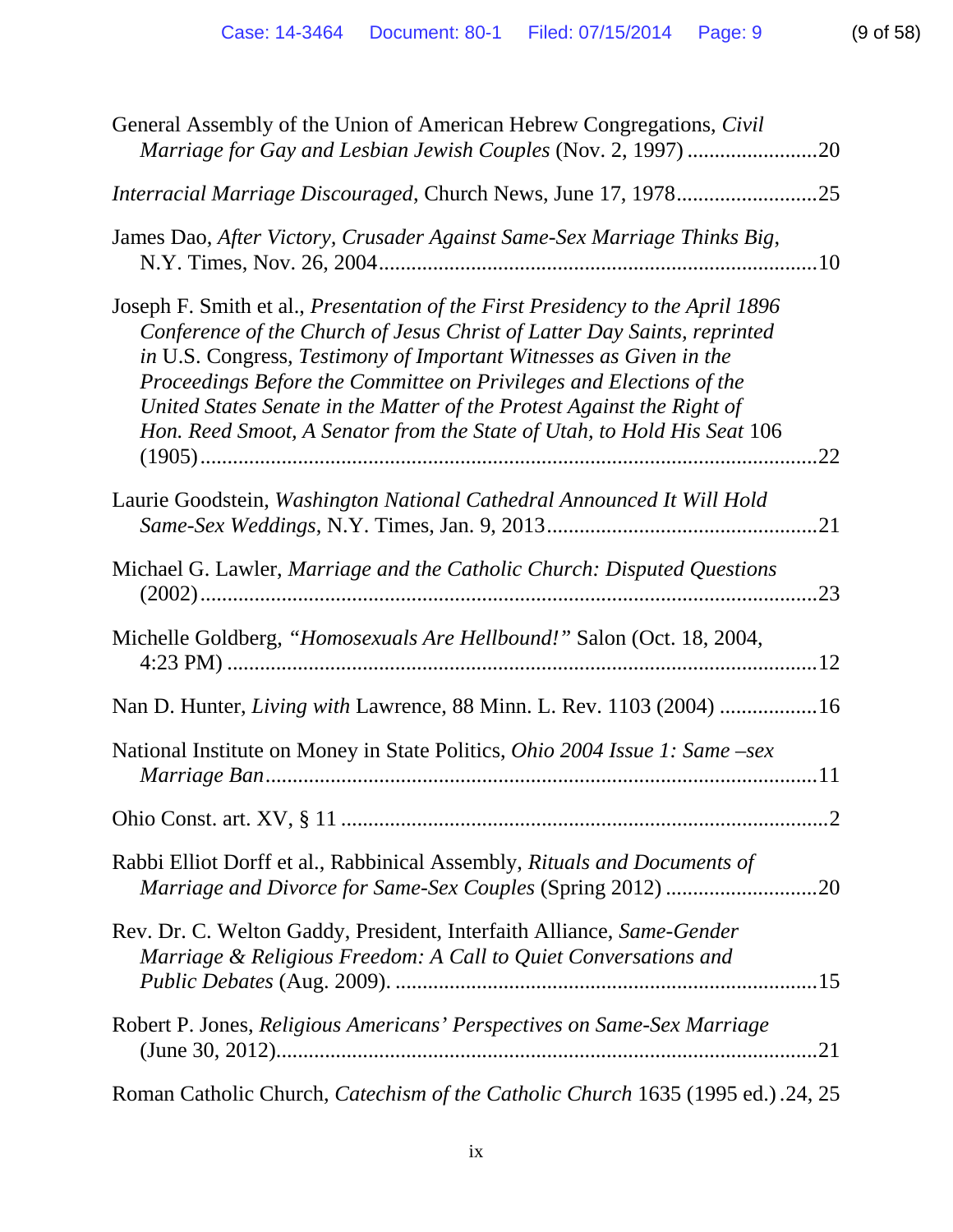| General Assembly of the Union of American Hebrew Congregations, Civil                                                                                                                                                                                                                                                                                                                                                                                               |
|---------------------------------------------------------------------------------------------------------------------------------------------------------------------------------------------------------------------------------------------------------------------------------------------------------------------------------------------------------------------------------------------------------------------------------------------------------------------|
|                                                                                                                                                                                                                                                                                                                                                                                                                                                                     |
| James Dao, After Victory, Crusader Against Same-Sex Marriage Thinks Big,                                                                                                                                                                                                                                                                                                                                                                                            |
| Joseph F. Smith et al., <i>Presentation of the First Presidency to the April 1896</i><br>Conference of the Church of Jesus Christ of Latter Day Saints, reprinted<br>in U.S. Congress, Testimony of Important Witnesses as Given in the<br>Proceedings Before the Committee on Privileges and Elections of the<br>United States Senate in the Matter of the Protest Against the Right of<br>Hon. Reed Smoot, A Senator from the State of Utah, to Hold His Seat 106 |
| Laurie Goodstein, Washington National Cathedral Announced It Will Hold                                                                                                                                                                                                                                                                                                                                                                                              |
| Michael G. Lawler, Marriage and the Catholic Church: Disputed Questions<br>.23                                                                                                                                                                                                                                                                                                                                                                                      |
| Michelle Goldberg, "Homosexuals Are Hellbound!" Salon (Oct. 18, 2004,                                                                                                                                                                                                                                                                                                                                                                                               |
| Nan D. Hunter, Living with Lawrence, 88 Minn. L. Rev. 1103 (2004) 16                                                                                                                                                                                                                                                                                                                                                                                                |
| National Institute on Money in State Politics, Ohio 2004 Issue 1: Same -sex                                                                                                                                                                                                                                                                                                                                                                                         |
|                                                                                                                                                                                                                                                                                                                                                                                                                                                                     |
| Rabbi Elliot Dorff et al., Rabbinical Assembly, Rituals and Documents of<br>Marriage and Divorce for Same-Sex Couples (Spring 2012) 20                                                                                                                                                                                                                                                                                                                              |
| Rev. Dr. C. Welton Gaddy, President, Interfaith Alliance, Same-Gender<br>Marriage & Religious Freedom: A Call to Quiet Conversations and                                                                                                                                                                                                                                                                                                                            |
| Robert P. Jones, Religious Americans' Perspectives on Same-Sex Marriage                                                                                                                                                                                                                                                                                                                                                                                             |
| Roman Catholic Church, <i>Catechism of the Catholic Church</i> 1635 (1995 ed.) .24, 25                                                                                                                                                                                                                                                                                                                                                                              |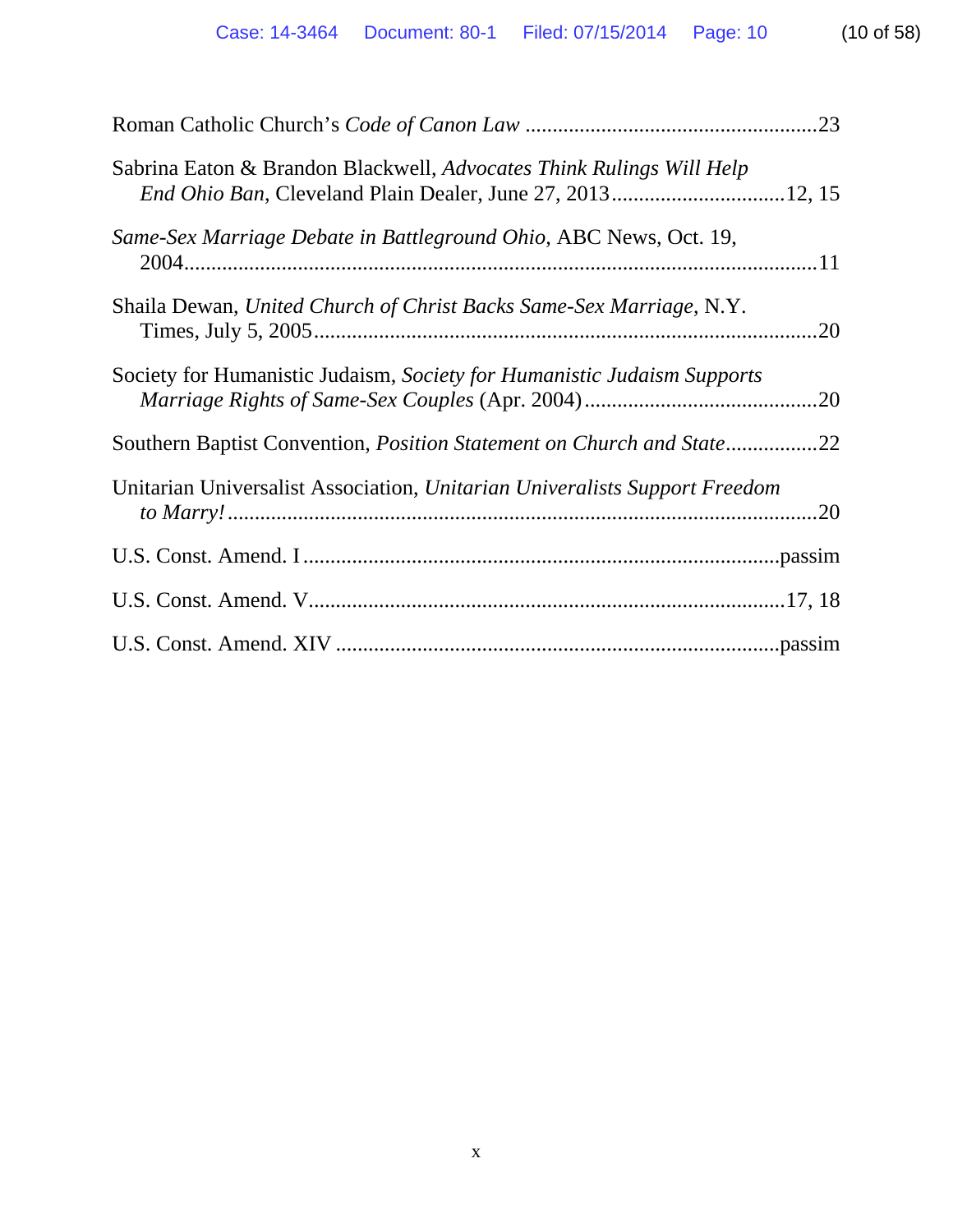| Sabrina Eaton & Brandon Blackwell, Advocates Think Rulings Will Help       |
|----------------------------------------------------------------------------|
| Same-Sex Marriage Debate in Battleground Ohio, ABC News, Oct. 19,          |
| Shaila Dewan, United Church of Christ Backs Same-Sex Marriage, N.Y.<br>.20 |
| Society for Humanistic Judaism, Society for Humanistic Judaism Supports    |
| Southern Baptist Convention, Position Statement on Church and State22      |
| Unitarian Universalist Association, Unitarian Univeralists Support Freedom |
|                                                                            |
|                                                                            |
|                                                                            |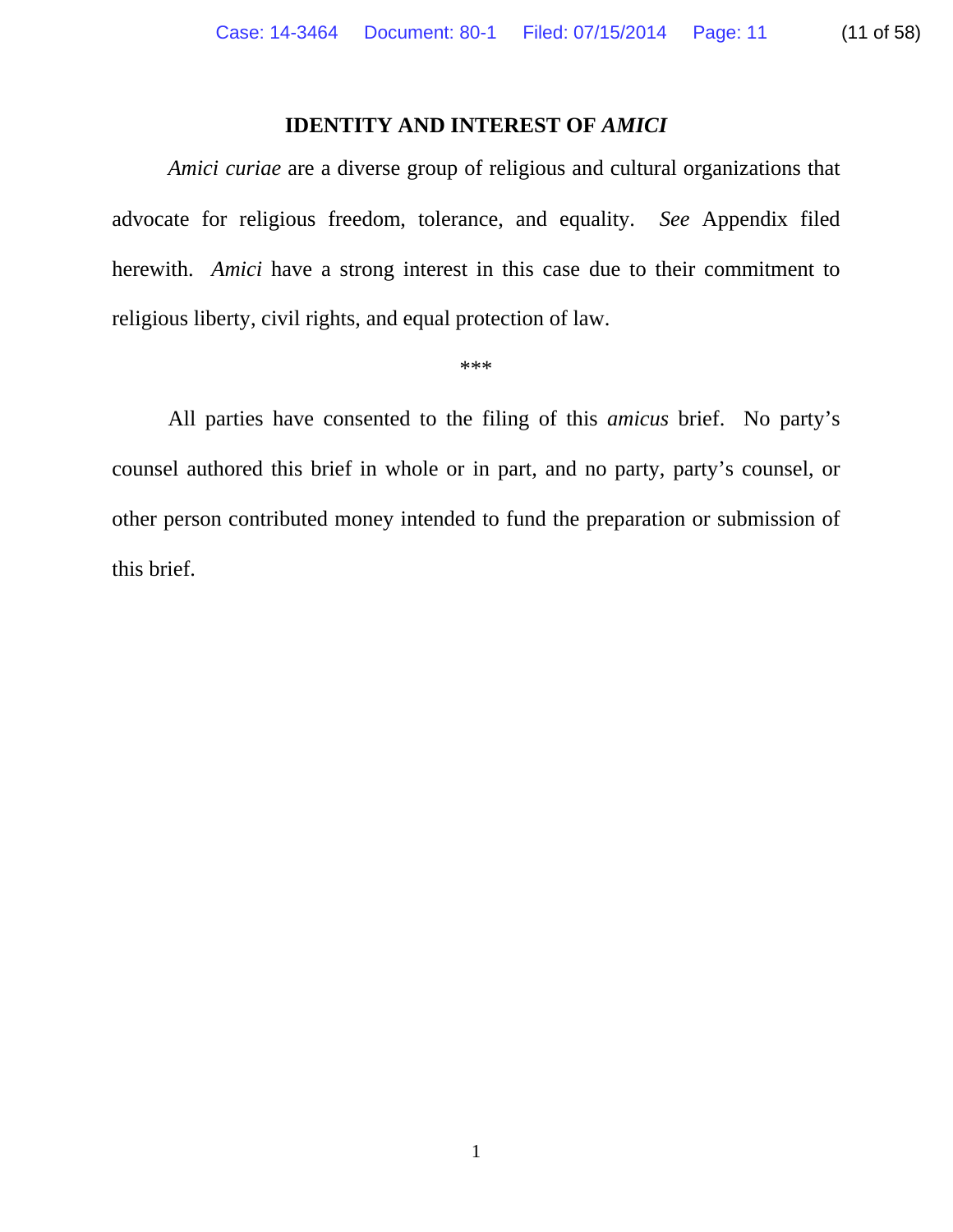## **IDENTITY AND INTEREST OF** *AMICI*

*Amici curiae* are a diverse group of religious and cultural organizations that advocate for religious freedom, tolerance, and equality. *See* Appendix filed herewith. *Amici* have a strong interest in this case due to their commitment to religious liberty, civil rights, and equal protection of law.

\*\*\*

All parties have consented to the filing of this *amicus* brief. No party's counsel authored this brief in whole or in part, and no party, party's counsel, or other person contributed money intended to fund the preparation or submission of this brief.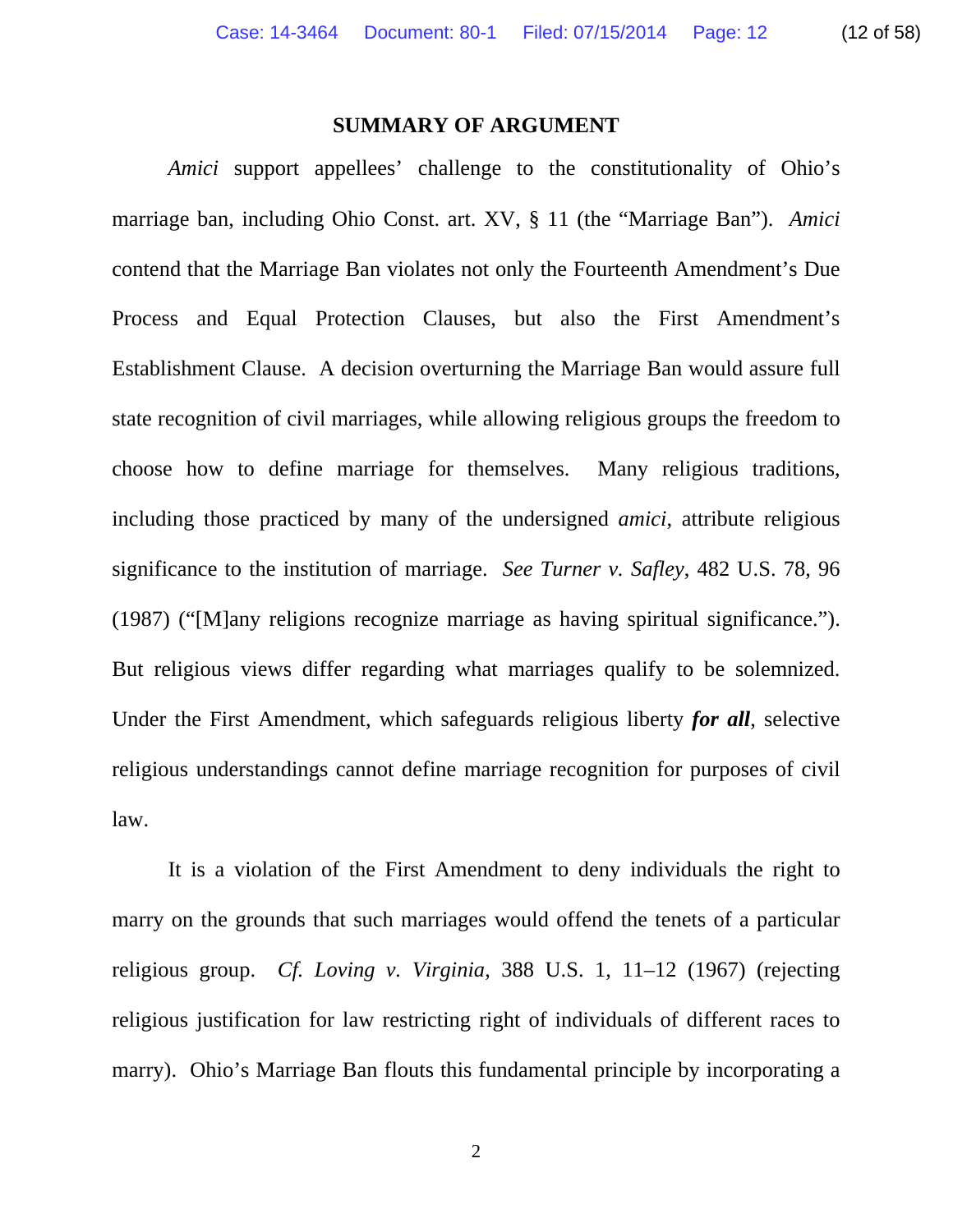#### **SUMMARY OF ARGUMENT**

*Amici* support appellees' challenge to the constitutionality of Ohio's marriage ban, including Ohio Const. art. XV, § 11 (the "Marriage Ban"). *Amici* contend that the Marriage Ban violates not only the Fourteenth Amendment's Due Process and Equal Protection Clauses, but also the First Amendment's Establishment Clause. A decision overturning the Marriage Ban would assure full state recognition of civil marriages, while allowing religious groups the freedom to choose how to define marriage for themselves. Many religious traditions, including those practiced by many of the undersigned *amici*, attribute religious significance to the institution of marriage. *See Turner v. Safley*, 482 U.S. 78, 96 (1987) ("[M]any religions recognize marriage as having spiritual significance."). But religious views differ regarding what marriages qualify to be solemnized. Under the First Amendment, which safeguards religious liberty *for all*, selective religious understandings cannot define marriage recognition for purposes of civil law.

 It is a violation of the First Amendment to deny individuals the right to marry on the grounds that such marriages would offend the tenets of a particular religious group. *Cf. Loving v. Virginia*, 388 U.S. 1, 11–12 (1967) (rejecting religious justification for law restricting right of individuals of different races to marry). Ohio's Marriage Ban flouts this fundamental principle by incorporating a

2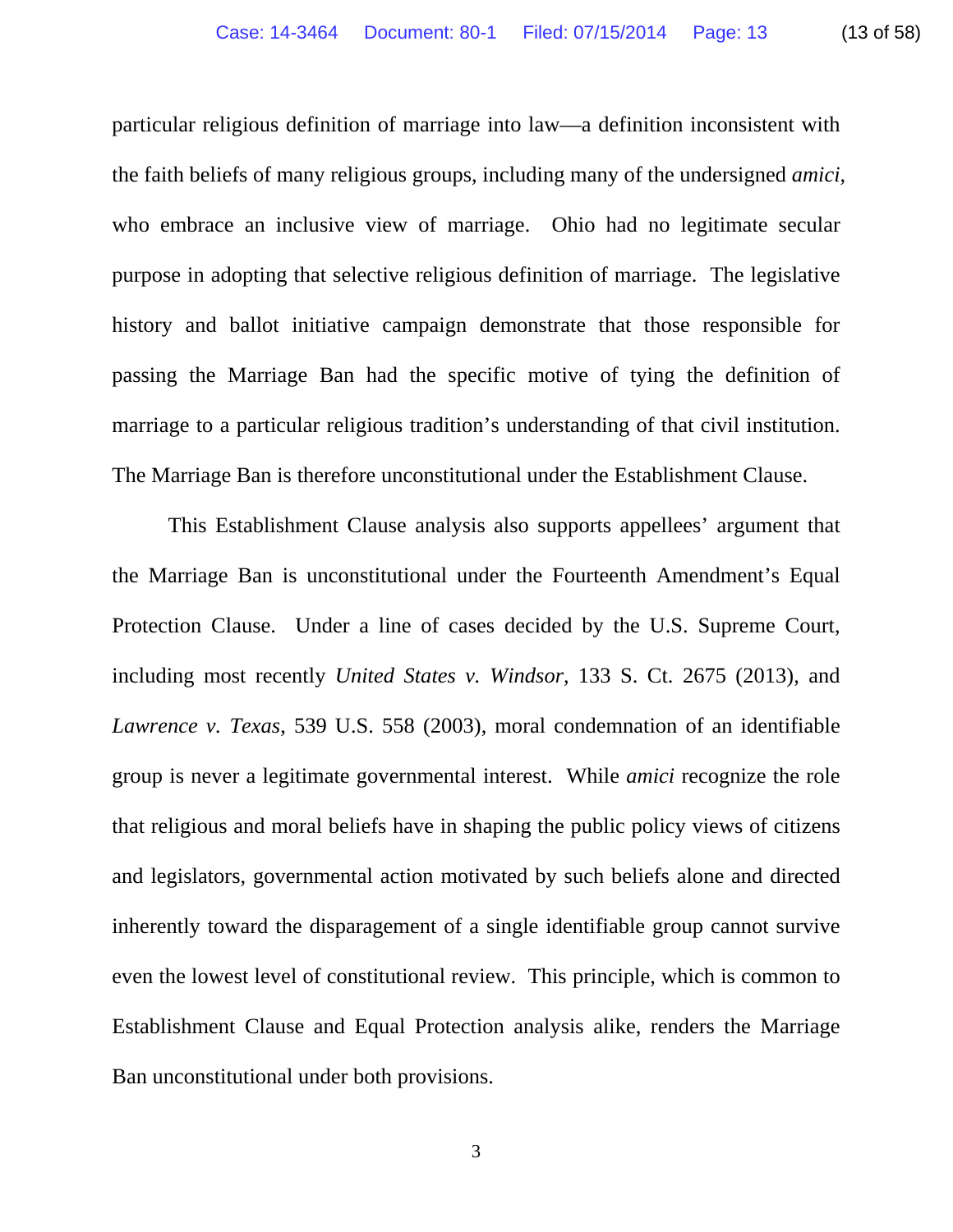particular religious definition of marriage into law—a definition inconsistent with the faith beliefs of many religious groups, including many of the undersigned *amici*, who embrace an inclusive view of marriage. Ohio had no legitimate secular purpose in adopting that selective religious definition of marriage. The legislative history and ballot initiative campaign demonstrate that those responsible for passing the Marriage Ban had the specific motive of tying the definition of marriage to a particular religious tradition's understanding of that civil institution. The Marriage Ban is therefore unconstitutional under the Establishment Clause.

 This Establishment Clause analysis also supports appellees' argument that the Marriage Ban is unconstitutional under the Fourteenth Amendment's Equal Protection Clause. Under a line of cases decided by the U.S. Supreme Court, including most recently *United States v. Windsor*, 133 S. Ct. 2675 (2013), and *Lawrence v. Texas*, 539 U.S. 558 (2003), moral condemnation of an identifiable group is never a legitimate governmental interest. While *amici* recognize the role that religious and moral beliefs have in shaping the public policy views of citizens and legislators, governmental action motivated by such beliefs alone and directed inherently toward the disparagement of a single identifiable group cannot survive even the lowest level of constitutional review. This principle, which is common to Establishment Clause and Equal Protection analysis alike, renders the Marriage Ban unconstitutional under both provisions.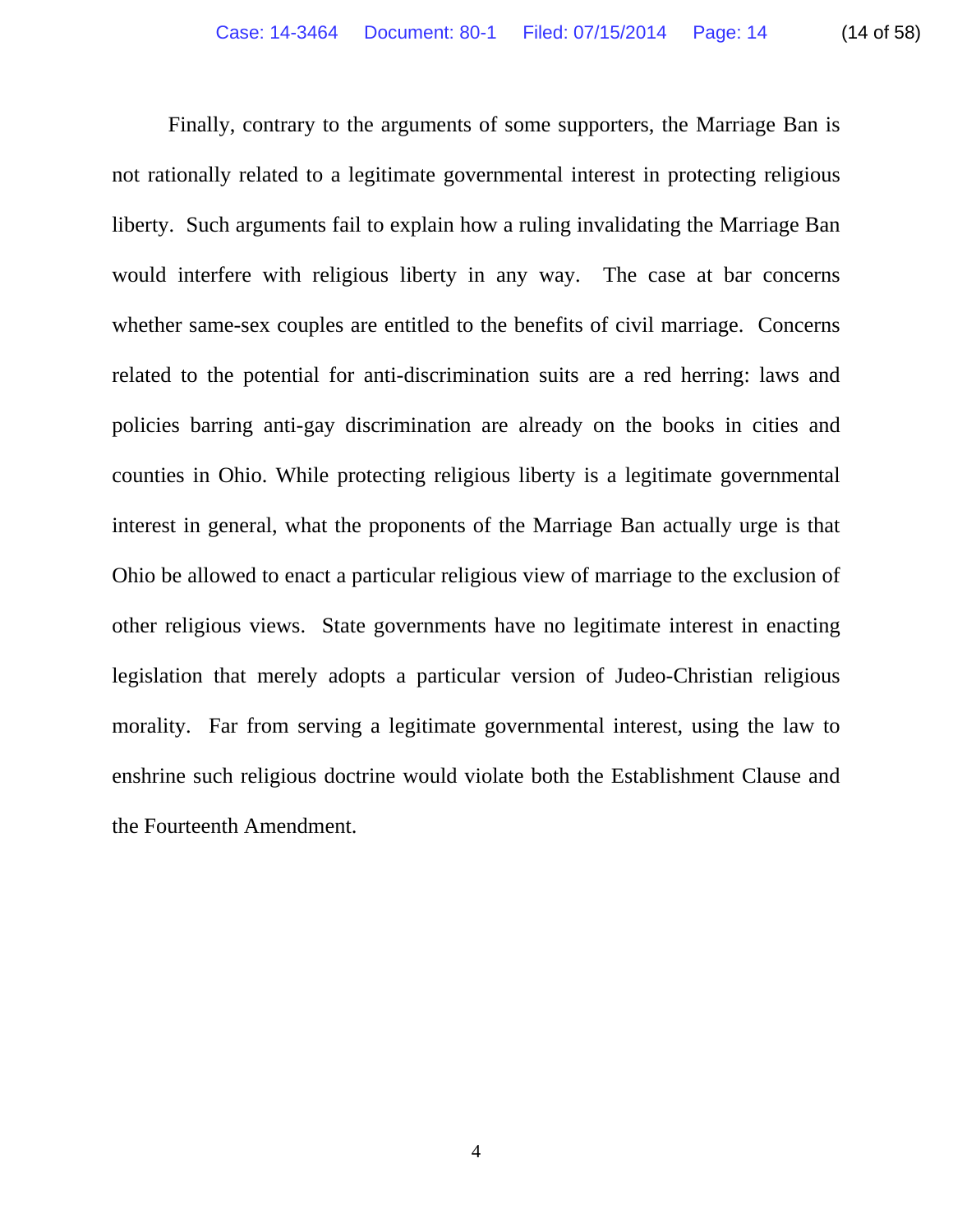Finally, contrary to the arguments of some supporters, the Marriage Ban is not rationally related to a legitimate governmental interest in protecting religious liberty. Such arguments fail to explain how a ruling invalidating the Marriage Ban would interfere with religious liberty in any way. The case at bar concerns whether same-sex couples are entitled to the benefits of civil marriage. Concerns related to the potential for anti-discrimination suits are a red herring: laws and policies barring anti-gay discrimination are already on the books in cities and counties in Ohio. While protecting religious liberty is a legitimate governmental interest in general, what the proponents of the Marriage Ban actually urge is that Ohio be allowed to enact a particular religious view of marriage to the exclusion of other religious views. State governments have no legitimate interest in enacting legislation that merely adopts a particular version of Judeo-Christian religious morality. Far from serving a legitimate governmental interest, using the law to enshrine such religious doctrine would violate both the Establishment Clause and the Fourteenth Amendment.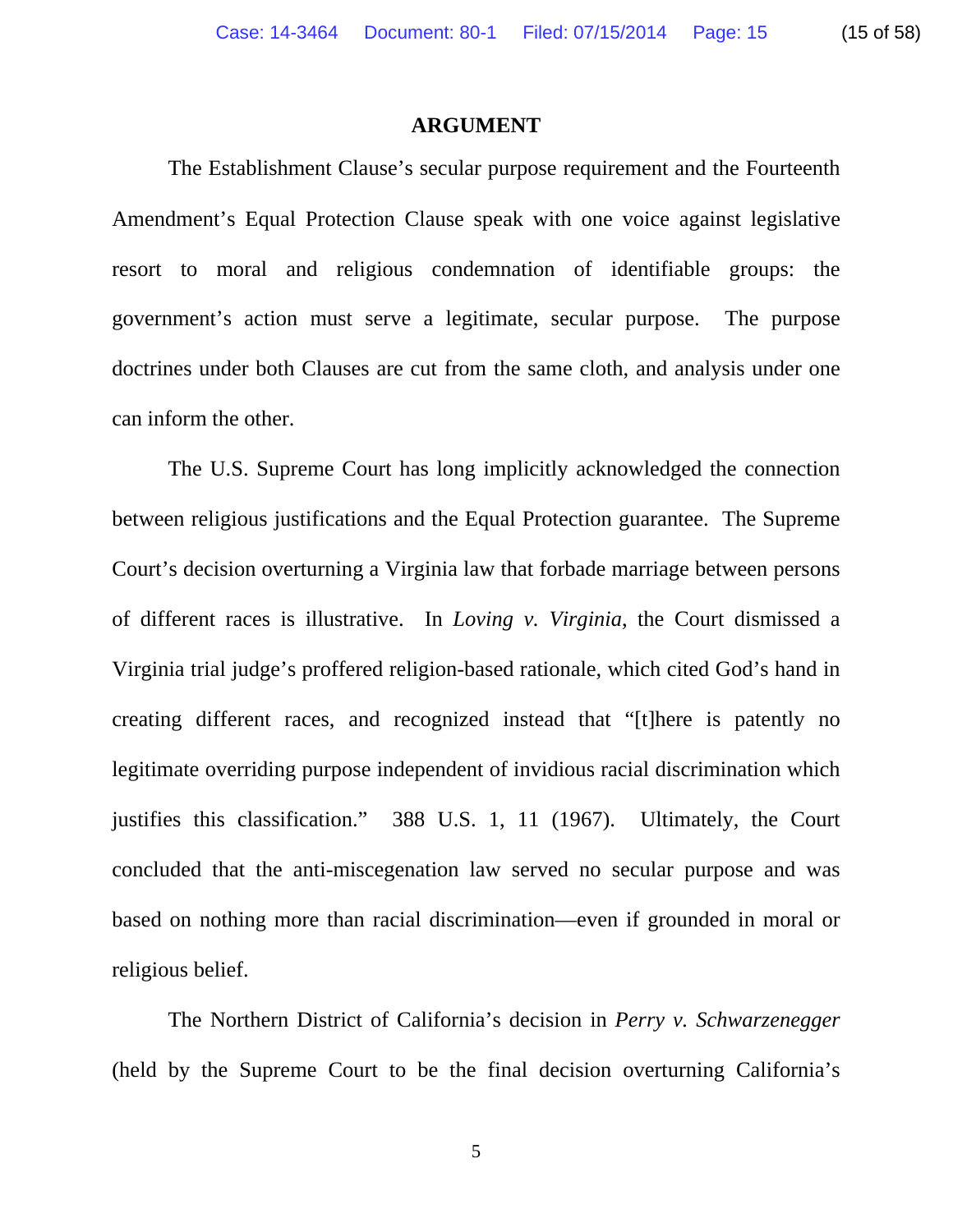#### **ARGUMENT**

 The Establishment Clause's secular purpose requirement and the Fourteenth Amendment's Equal Protection Clause speak with one voice against legislative resort to moral and religious condemnation of identifiable groups: the government's action must serve a legitimate, secular purpose. The purpose doctrines under both Clauses are cut from the same cloth, and analysis under one can inform the other.

 The U.S. Supreme Court has long implicitly acknowledged the connection between religious justifications and the Equal Protection guarantee. The Supreme Court's decision overturning a Virginia law that forbade marriage between persons of different races is illustrative. In *Loving v. Virginia*, the Court dismissed a Virginia trial judge's proffered religion-based rationale, which cited God's hand in creating different races, and recognized instead that "[t]here is patently no legitimate overriding purpose independent of invidious racial discrimination which justifies this classification." 388 U.S. 1, 11 (1967). Ultimately, the Court concluded that the anti-miscegenation law served no secular purpose and was based on nothing more than racial discrimination—even if grounded in moral or religious belief.

 The Northern District of California's decision in *Perry v. Schwarzenegger* (held by the Supreme Court to be the final decision overturning California's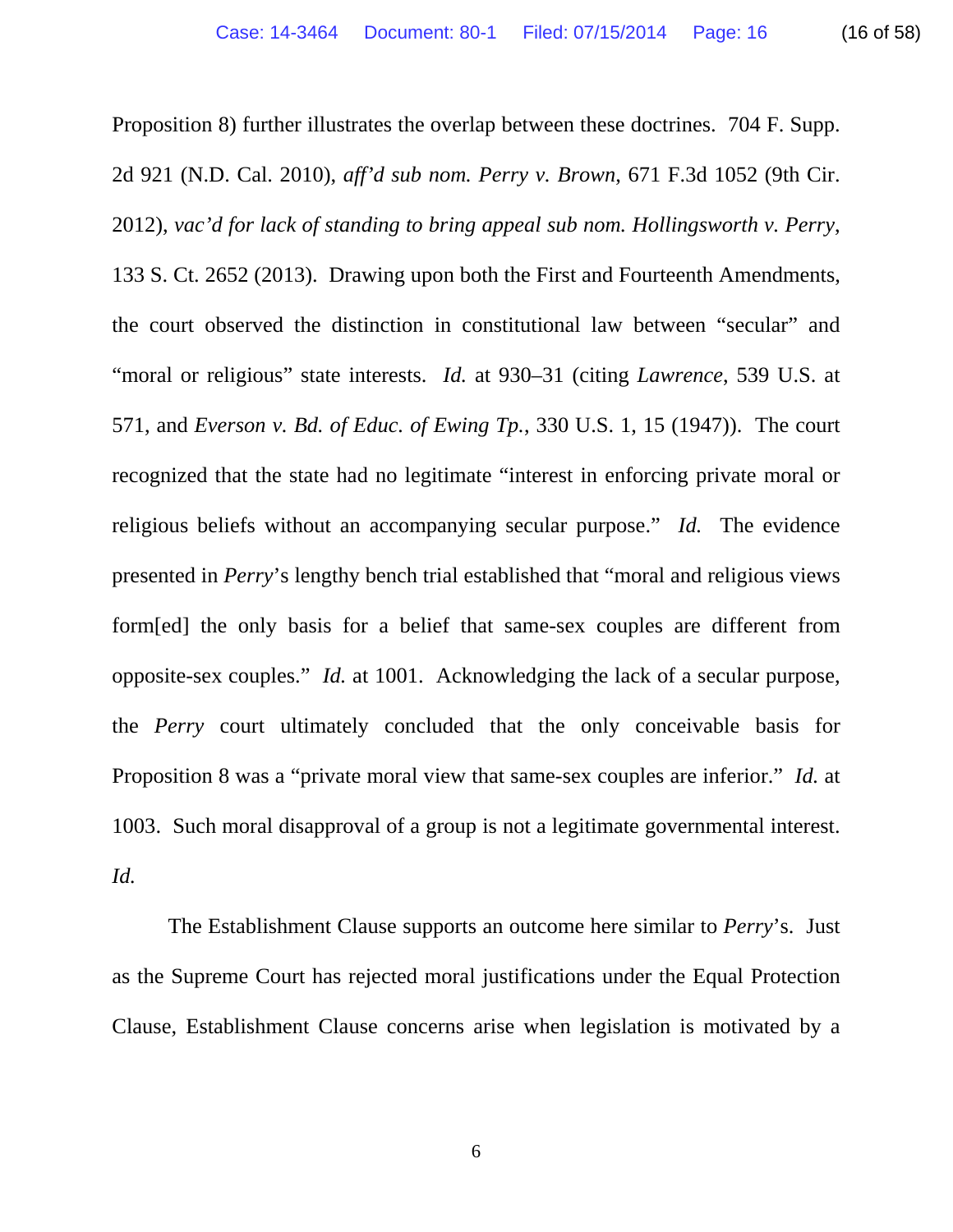Proposition 8) further illustrates the overlap between these doctrines. 704 F. Supp. 2d 921 (N.D. Cal. 2010), *aff'd sub nom. Perry v. Brown*, 671 F.3d 1052 (9th Cir. 2012), *vac'd for lack of standing to bring appeal sub nom. Hollingsworth v. Perry*, 133 S. Ct. 2652 (2013). Drawing upon both the First and Fourteenth Amendments, the court observed the distinction in constitutional law between "secular" and "moral or religious" state interests. *Id.* at 930–31 (citing *Lawrence*, 539 U.S. at 571, and *Everson v. Bd. of Educ. of Ewing Tp.*, 330 U.S. 1, 15 (1947)). The court recognized that the state had no legitimate "interest in enforcing private moral or religious beliefs without an accompanying secular purpose." *Id.* The evidence presented in *Perry*'s lengthy bench trial established that "moral and religious views form[ed] the only basis for a belief that same-sex couples are different from opposite-sex couples." *Id.* at 1001. Acknowledging the lack of a secular purpose, the *Perry* court ultimately concluded that the only conceivable basis for Proposition 8 was a "private moral view that same-sex couples are inferior." *Id.* at 1003. Such moral disapproval of a group is not a legitimate governmental interest. *Id.*

 The Establishment Clause supports an outcome here similar to *Perry*'s. Just as the Supreme Court has rejected moral justifications under the Equal Protection Clause, Establishment Clause concerns arise when legislation is motivated by a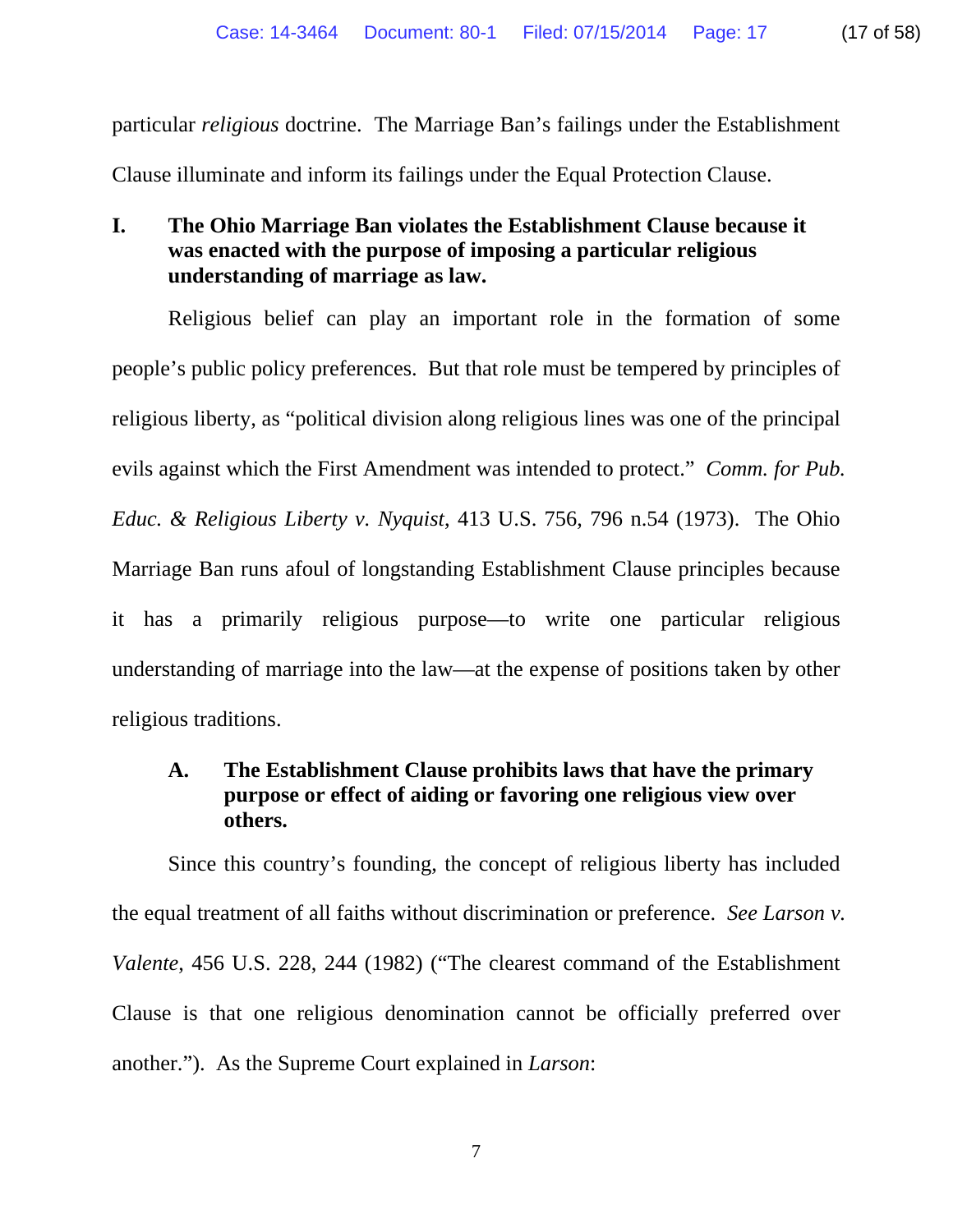particular *religious* doctrine. The Marriage Ban's failings under the Establishment Clause illuminate and inform its failings under the Equal Protection Clause.

# **I. The Ohio Marriage Ban violates the Establishment Clause because it was enacted with the purpose of imposing a particular religious understanding of marriage as law.**

Religious belief can play an important role in the formation of some people's public policy preferences. But that role must be tempered by principles of religious liberty, as "political division along religious lines was one of the principal evils against which the First Amendment was intended to protect." *Comm. for Pub. Educ. & Religious Liberty v. Nyquist*, 413 U.S. 756, 796 n.54 (1973). The Ohio Marriage Ban runs afoul of longstanding Establishment Clause principles because it has a primarily religious purpose—to write one particular religious understanding of marriage into the law—at the expense of positions taken by other religious traditions.

# **A. The Establishment Clause prohibits laws that have the primary purpose or effect of aiding or favoring one religious view over others.**

Since this country's founding, the concept of religious liberty has included the equal treatment of all faiths without discrimination or preference. *See Larson v. Valente*, 456 U.S. 228, 244 (1982) ("The clearest command of the Establishment Clause is that one religious denomination cannot be officially preferred over another."). As the Supreme Court explained in *Larson*: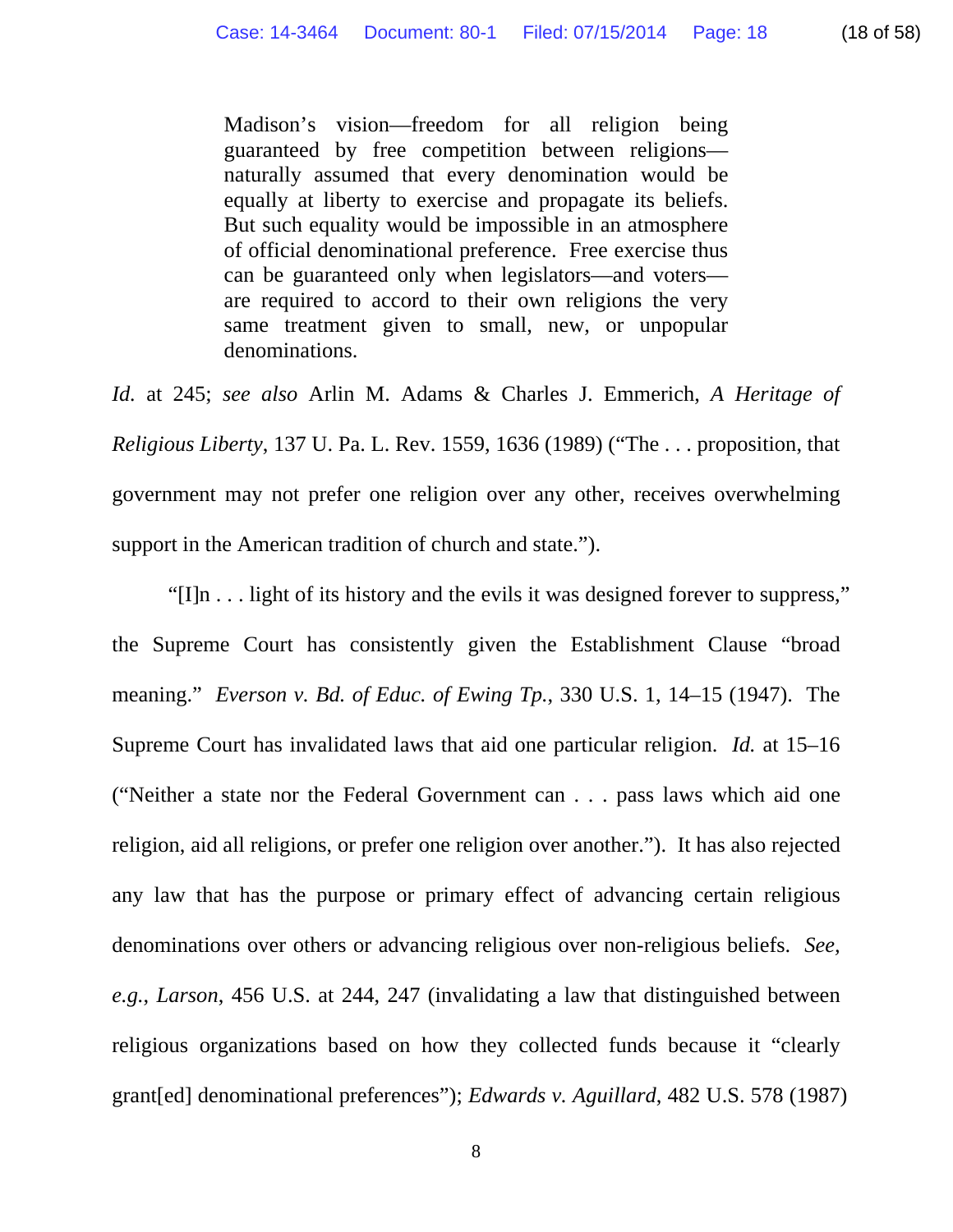Madison's vision—freedom for all religion being guaranteed by free competition between religions naturally assumed that every denomination would be equally at liberty to exercise and propagate its beliefs. But such equality would be impossible in an atmosphere of official denominational preference. Free exercise thus can be guaranteed only when legislators—and voters are required to accord to their own religions the very same treatment given to small, new, or unpopular denominations.

*Id.* at 245; *see also* Arlin M. Adams & Charles J. Emmerich, *A Heritage of Religious Liberty*, 137 U. Pa. L. Rev. 1559, 1636 (1989) ("The . . . proposition, that government may not prefer one religion over any other, receives overwhelming support in the American tradition of church and state.").

"[I]n . . . light of its history and the evils it was designed forever to suppress," the Supreme Court has consistently given the Establishment Clause "broad meaning." *Everson v. Bd. of Educ. of Ewing Tp.*, 330 U.S. 1, 14–15 (1947). The Supreme Court has invalidated laws that aid one particular religion. *Id.* at 15–16 ("Neither a state nor the Federal Government can . . . pass laws which aid one religion, aid all religions, or prefer one religion over another."). It has also rejected any law that has the purpose or primary effect of advancing certain religious denominations over others or advancing religious over non-religious beliefs. *See, e.g.*, *Larson*, 456 U.S. at 244, 247 (invalidating a law that distinguished between religious organizations based on how they collected funds because it "clearly grant[ed] denominational preferences"); *Edwards v. Aguillard*, 482 U.S. 578 (1987)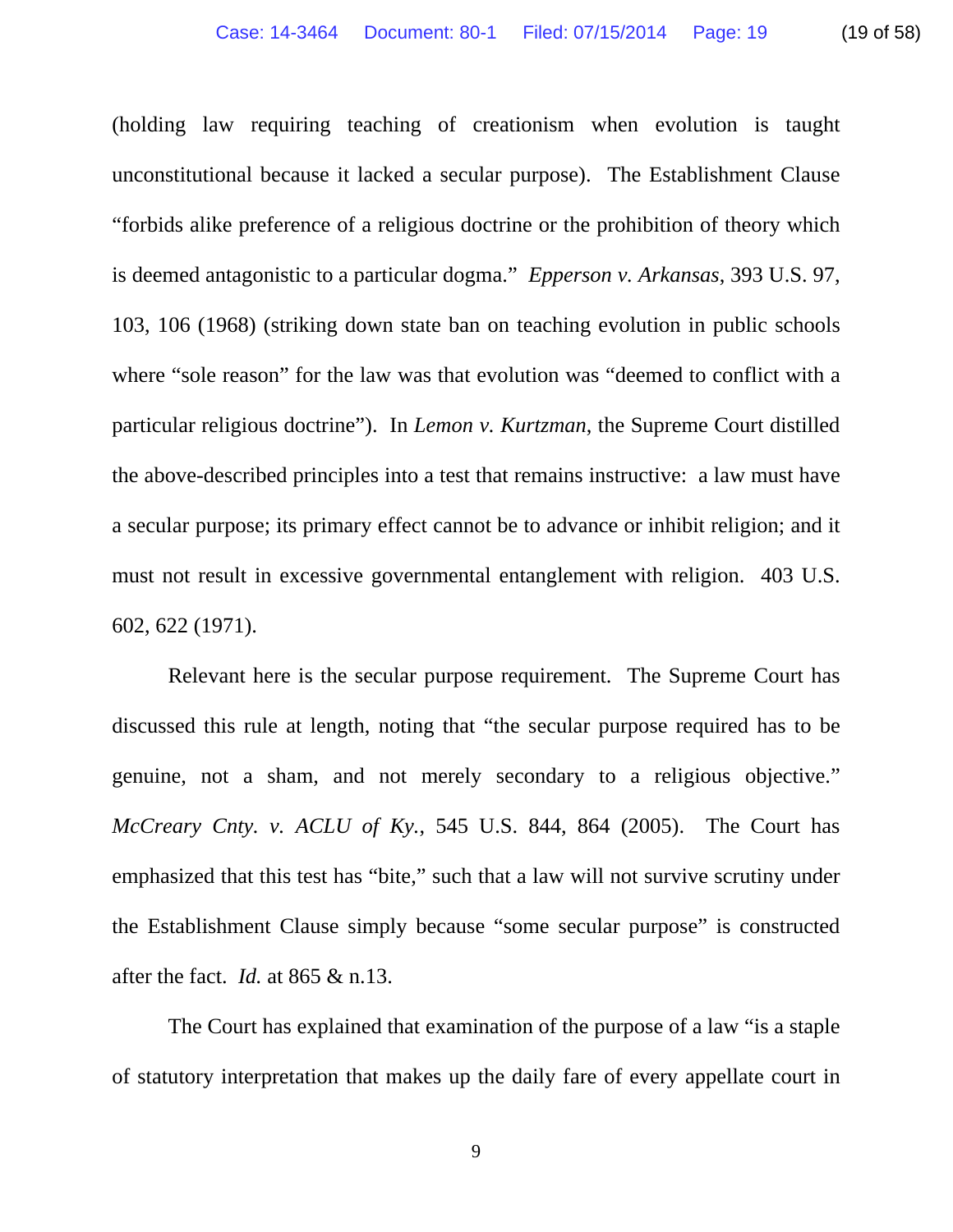(holding law requiring teaching of creationism when evolution is taught

unconstitutional because it lacked a secular purpose). The Establishment Clause "forbids alike preference of a religious doctrine or the prohibition of theory which is deemed antagonistic to a particular dogma." *Epperson v. Arkansas*, 393 U.S. 97, 103, 106 (1968) (striking down state ban on teaching evolution in public schools where "sole reason" for the law was that evolution was "deemed to conflict with a particular religious doctrine"). In *Lemon v. Kurtzman*, the Supreme Court distilled the above-described principles into a test that remains instructive: a law must have a secular purpose; its primary effect cannot be to advance or inhibit religion; and it must not result in excessive governmental entanglement with religion. 403 U.S. 602, 622 (1971).

Relevant here is the secular purpose requirement. The Supreme Court has discussed this rule at length, noting that "the secular purpose required has to be genuine, not a sham, and not merely secondary to a religious objective." *McCreary Cnty. v. ACLU of Ky.*, 545 U.S. 844, 864 (2005). The Court has emphasized that this test has "bite," such that a law will not survive scrutiny under the Establishment Clause simply because "some secular purpose" is constructed after the fact. *Id.* at 865 & n.13.

The Court has explained that examination of the purpose of a law "is a staple of statutory interpretation that makes up the daily fare of every appellate court in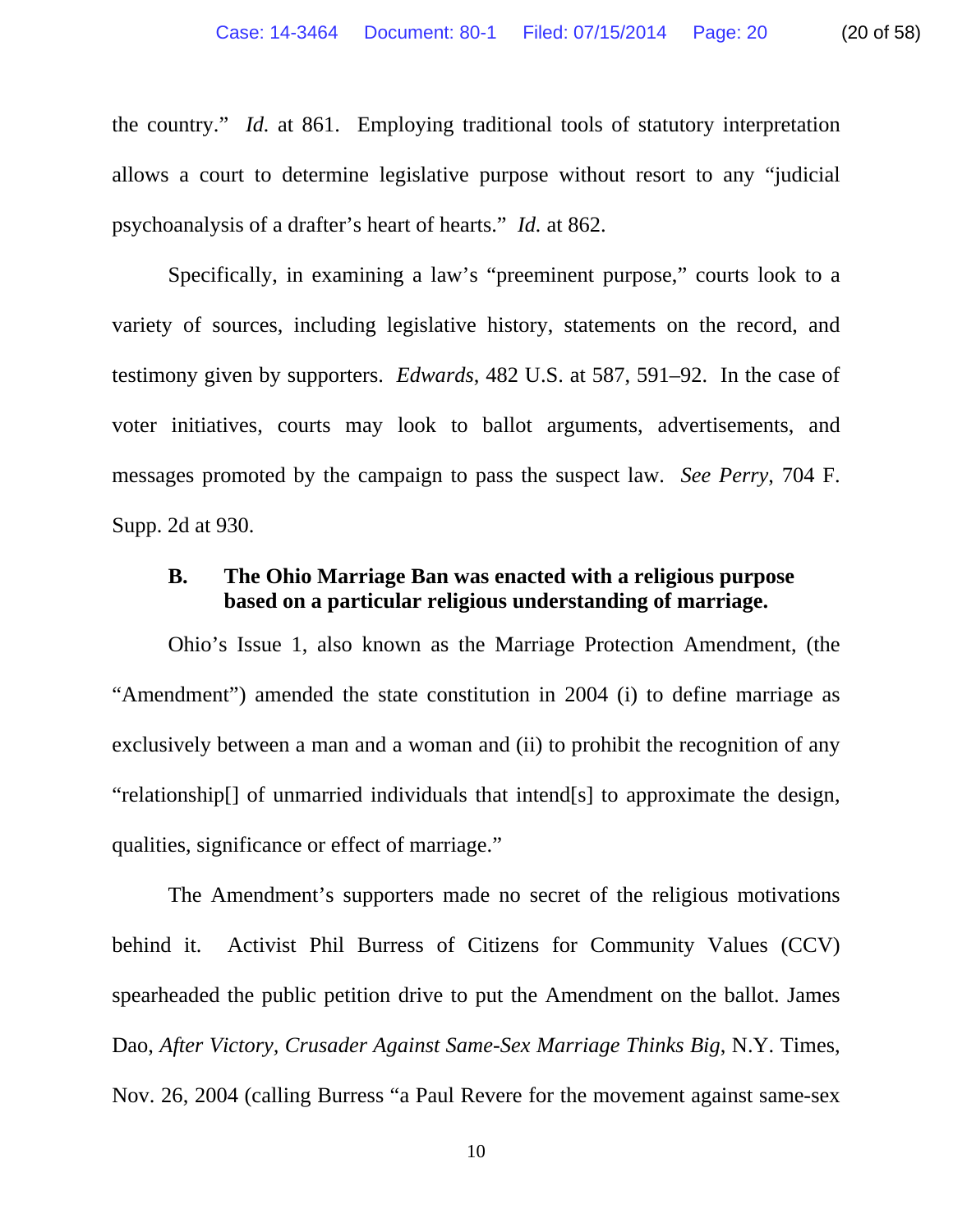the country." *Id.* at 861. Employing traditional tools of statutory interpretation allows a court to determine legislative purpose without resort to any "judicial psychoanalysis of a drafter's heart of hearts." *Id.* at 862.

Specifically, in examining a law's "preeminent purpose," courts look to a variety of sources, including legislative history, statements on the record, and testimony given by supporters. *Edwards*, 482 U.S. at 587, 591–92. In the case of voter initiatives, courts may look to ballot arguments, advertisements, and messages promoted by the campaign to pass the suspect law. *See Perry*, 704 F. Supp. 2d at 930.

#### **B. The Ohio Marriage Ban was enacted with a religious purpose based on a particular religious understanding of marriage.**

Ohio's Issue 1, also known as the Marriage Protection Amendment, (the "Amendment") amended the state constitution in 2004 (i) to define marriage as exclusively between a man and a woman and (ii) to prohibit the recognition of any "relationship[] of unmarried individuals that intend[s] to approximate the design, qualities, significance or effect of marriage."

The Amendment's supporters made no secret of the religious motivations behind it. Activist Phil Burress of Citizens for Community Values (CCV) spearheaded the public petition drive to put the Amendment on the ballot. James Dao, *After Victory, Crusader Against Same-Sex Marriage Thinks Big*, N.Y. Times, Nov. 26, 2004 (calling Burress "a Paul Revere for the movement against same-sex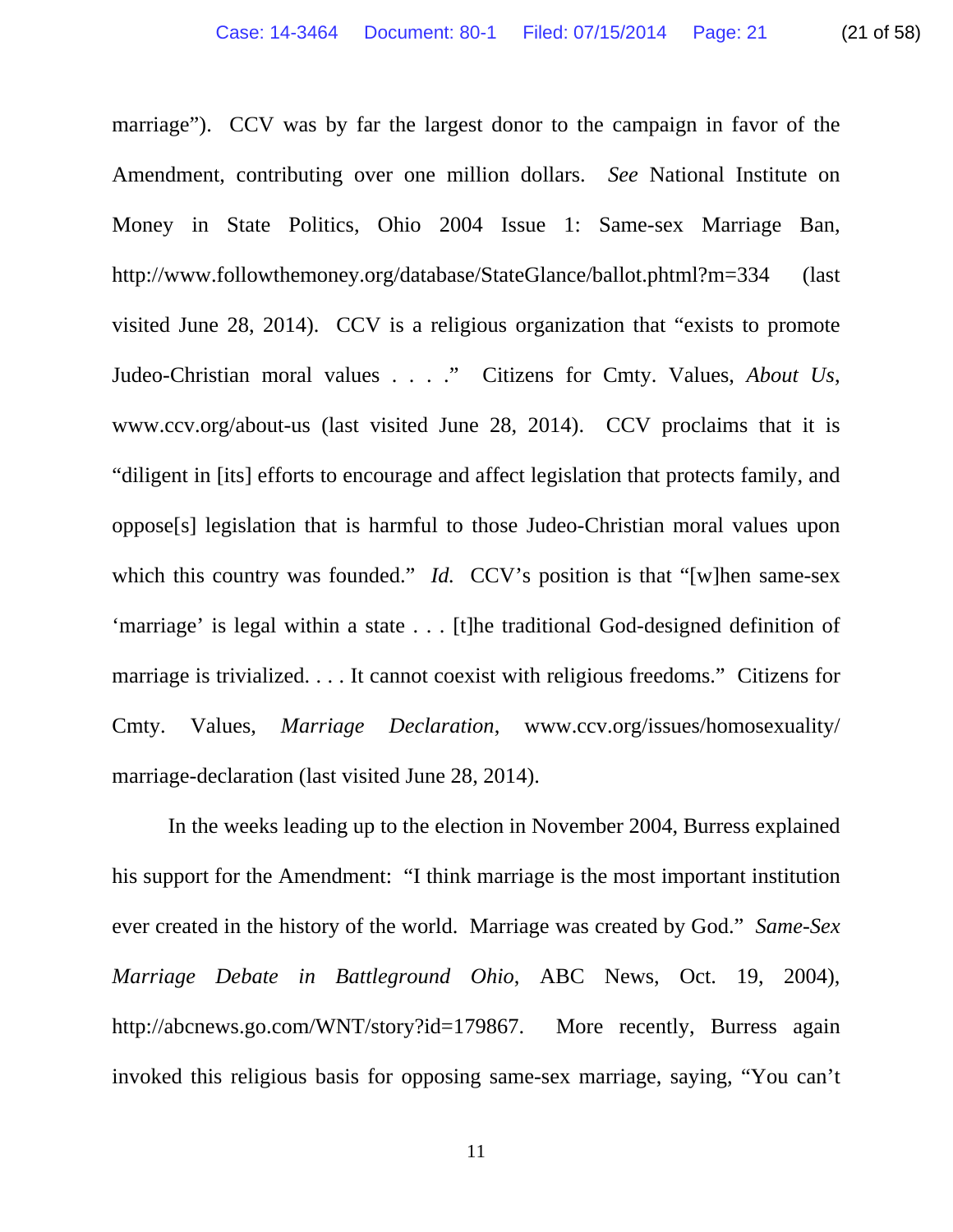marriage"). CCV was by far the largest donor to the campaign in favor of the Amendment, contributing over one million dollars. *See* National Institute on Money in State Politics, Ohio 2004 Issue 1: Same-sex Marriage Ban, http://www.followthemoney.org/database/StateGlance/ballot.phtml?m=334 (last visited June 28, 2014). CCV is a religious organization that "exists to promote Judeo-Christian moral values . . . ." Citizens for Cmty. Values, *About Us*, www.ccv.org/about-us (last visited June 28, 2014). CCV proclaims that it is "diligent in [its] efforts to encourage and affect legislation that protects family, and oppose[s] legislation that is harmful to those Judeo-Christian moral values upon which this country was founded." *Id.* CCV's position is that "[w]hen same-sex 'marriage' is legal within a state . . . [t]he traditional God-designed definition of marriage is trivialized. . . . It cannot coexist with religious freedoms." Citizens for Cmty. Values, *Marriage Declaration*, www.ccv.org/issues/homosexuality/ marriage-declaration (last visited June 28, 2014).

In the weeks leading up to the election in November 2004, Burress explained his support for the Amendment: "I think marriage is the most important institution ever created in the history of the world. Marriage was created by God." *Same-Sex Marriage Debate in Battleground Ohio*, ABC News, Oct. 19, 2004), http://abcnews.go.com/WNT/story?id=179867. More recently, Burress again invoked this religious basis for opposing same-sex marriage, saying, "You can't

11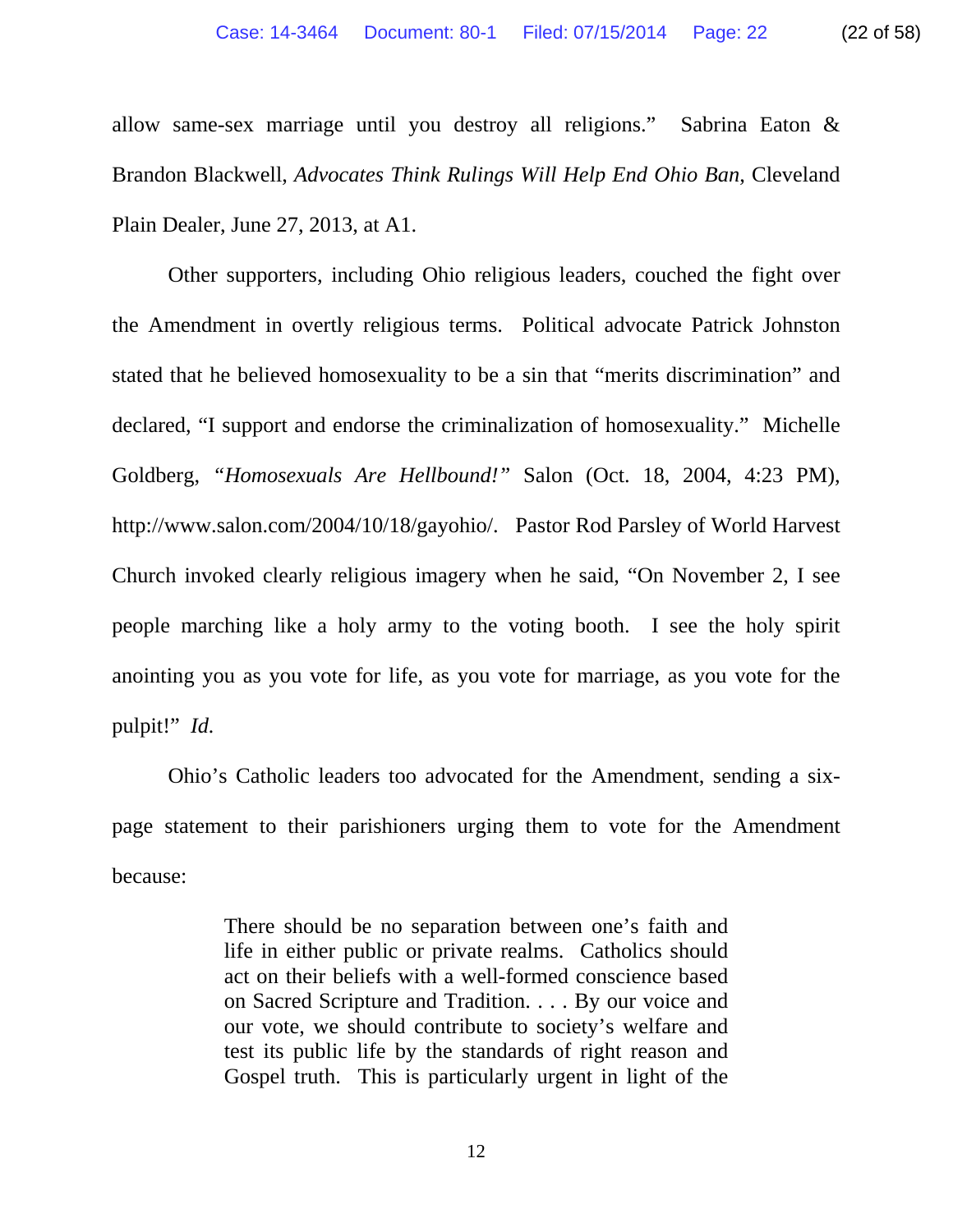allow same-sex marriage until you destroy all religions." Sabrina Eaton & Brandon Blackwell, *Advocates Think Rulings Will Help End Ohio Ban*, Cleveland Plain Dealer, June 27, 2013, at A1.

Other supporters, including Ohio religious leaders, couched the fight over the Amendment in overtly religious terms. Political advocate Patrick Johnston stated that he believed homosexuality to be a sin that "merits discrimination" and declared, "I support and endorse the criminalization of homosexuality." Michelle Goldberg, *"Homosexuals Are Hellbound!"* Salon (Oct. 18, 2004, 4:23 PM), http://www.salon.com/2004/10/18/gayohio/. Pastor Rod Parsley of World Harvest Church invoked clearly religious imagery when he said, "On November 2, I see people marching like a holy army to the voting booth. I see the holy spirit anointing you as you vote for life, as you vote for marriage, as you vote for the pulpit!" *Id.*

Ohio's Catholic leaders too advocated for the Amendment, sending a sixpage statement to their parishioners urging them to vote for the Amendment because:

> There should be no separation between one's faith and life in either public or private realms. Catholics should act on their beliefs with a well-formed conscience based on Sacred Scripture and Tradition. . . . By our voice and our vote, we should contribute to society's welfare and test its public life by the standards of right reason and Gospel truth. This is particularly urgent in light of the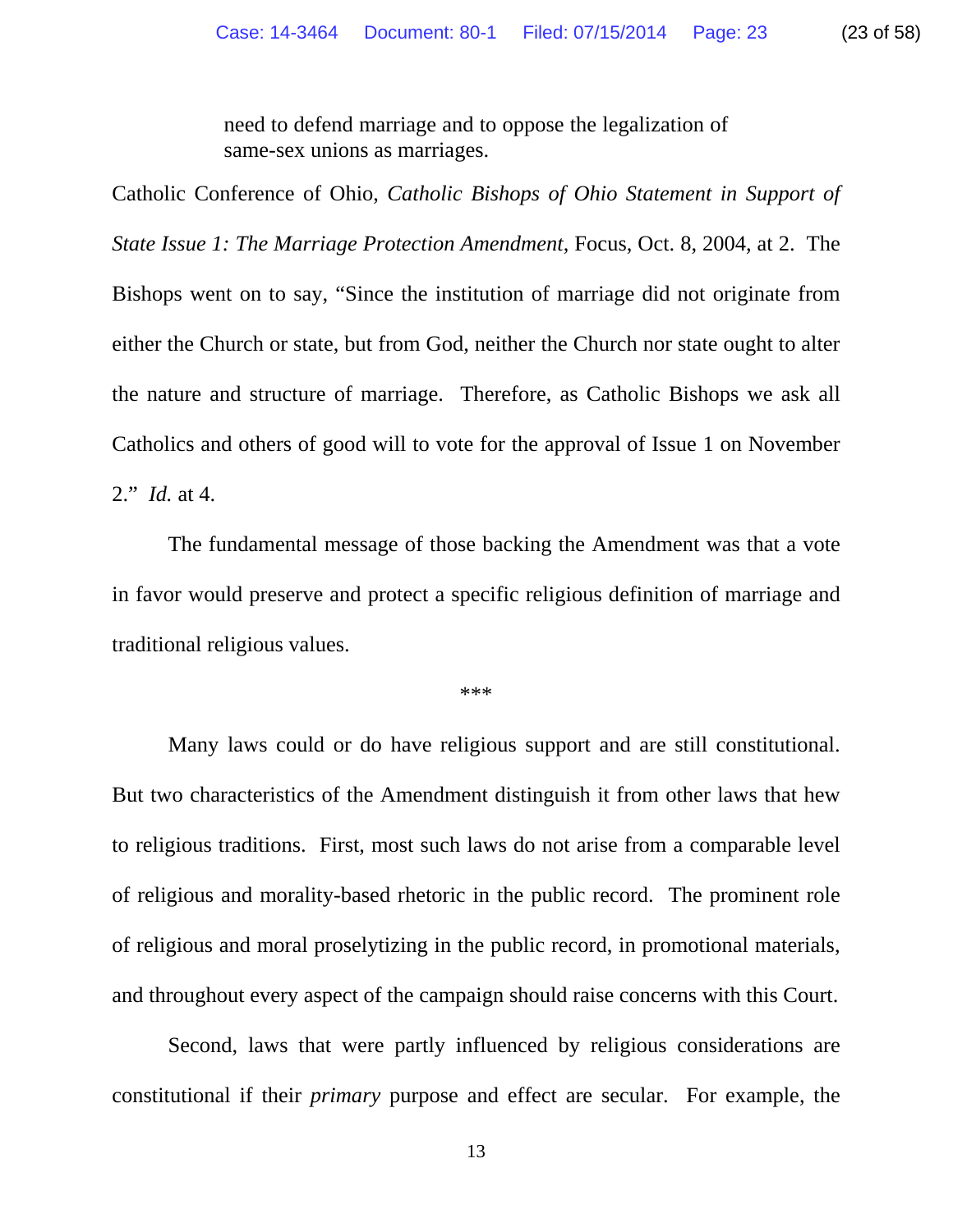need to defend marriage and to oppose the legalization of same-sex unions as marriages.

Catholic Conference of Ohio, *Catholic Bishops of Ohio Statement in Support of State Issue 1: The Marriage Protection Amendment*, Focus, Oct. 8, 2004, at 2. The Bishops went on to say, "Since the institution of marriage did not originate from either the Church or state, but from God, neither the Church nor state ought to alter the nature and structure of marriage. Therefore, as Catholic Bishops we ask all Catholics and others of good will to vote for the approval of Issue 1 on November 2." *Id.* at 4.

The fundamental message of those backing the Amendment was that a vote in favor would preserve and protect a specific religious definition of marriage and traditional religious values.

\*\*\*

Many laws could or do have religious support and are still constitutional. But two characteristics of the Amendment distinguish it from other laws that hew to religious traditions. First, most such laws do not arise from a comparable level of religious and morality-based rhetoric in the public record. The prominent role of religious and moral proselytizing in the public record, in promotional materials, and throughout every aspect of the campaign should raise concerns with this Court.

Second, laws that were partly influenced by religious considerations are constitutional if their *primary* purpose and effect are secular. For example, the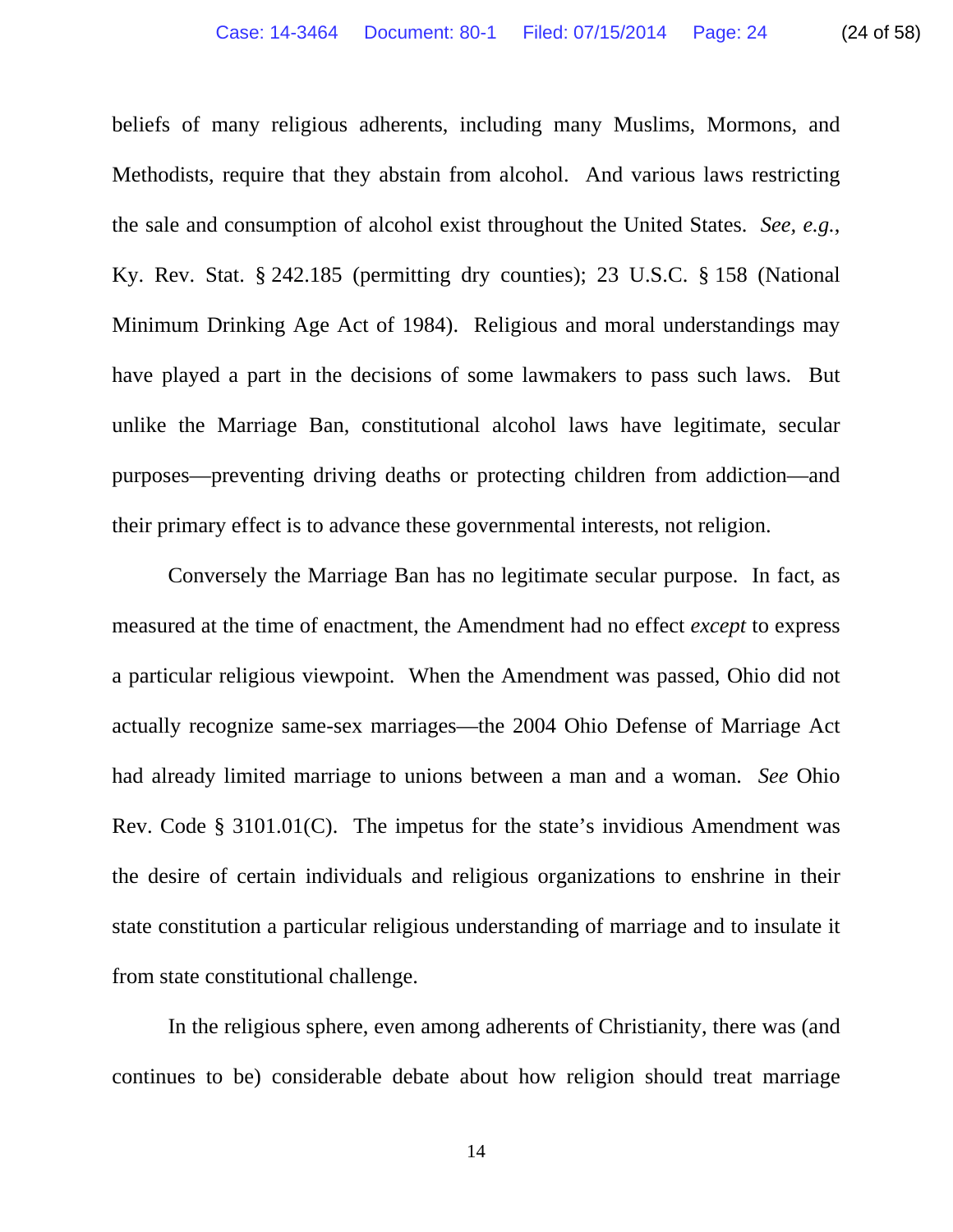beliefs of many religious adherents, including many Muslims, Mormons, and Methodists, require that they abstain from alcohol. And various laws restricting the sale and consumption of alcohol exist throughout the United States. *See, e.g.*, Ky. Rev. Stat. § 242.185 (permitting dry counties); 23 U.S.C. § 158 (National Minimum Drinking Age Act of 1984). Religious and moral understandings may have played a part in the decisions of some lawmakers to pass such laws. But unlike the Marriage Ban, constitutional alcohol laws have legitimate, secular purposes—preventing driving deaths or protecting children from addiction—and their primary effect is to advance these governmental interests, not religion.

Conversely the Marriage Ban has no legitimate secular purpose. In fact, as measured at the time of enactment, the Amendment had no effect *except* to express a particular religious viewpoint. When the Amendment was passed, Ohio did not actually recognize same-sex marriages—the 2004 Ohio Defense of Marriage Act had already limited marriage to unions between a man and a woman. *See* Ohio Rev. Code § 3101.01(C). The impetus for the state's invidious Amendment was the desire of certain individuals and religious organizations to enshrine in their state constitution a particular religious understanding of marriage and to insulate it from state constitutional challenge.

In the religious sphere, even among adherents of Christianity, there was (and continues to be) considerable debate about how religion should treat marriage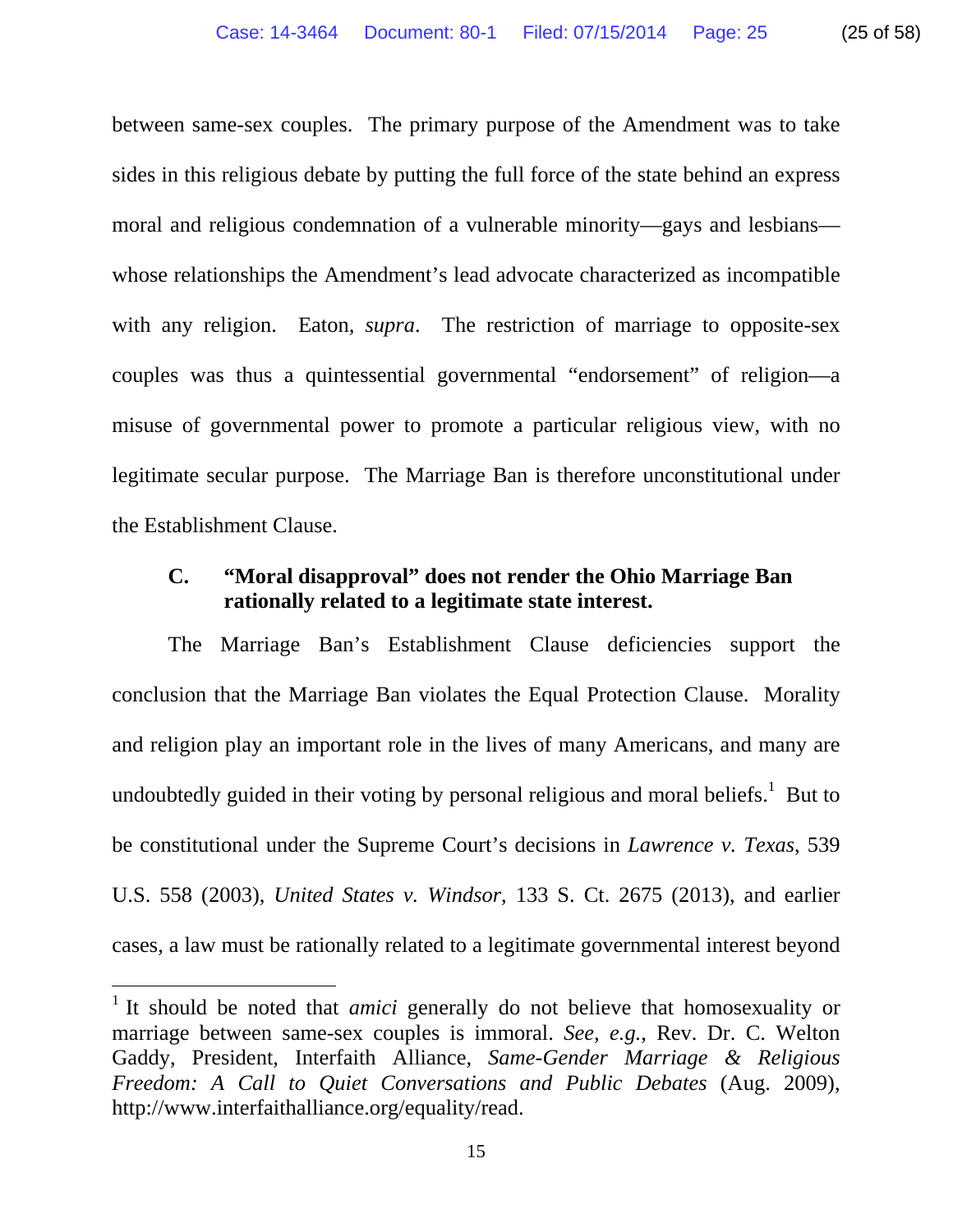between same-sex couples. The primary purpose of the Amendment was to take sides in this religious debate by putting the full force of the state behind an express moral and religious condemnation of a vulnerable minority—gays and lesbians whose relationships the Amendment's lead advocate characterized as incompatible with any religion. Eaton, *supra*. The restriction of marriage to opposite-sex couples was thus a quintessential governmental "endorsement" of religion—a misuse of governmental power to promote a particular religious view, with no legitimate secular purpose. The Marriage Ban is therefore unconstitutional under the Establishment Clause.

# **C. "Moral disapproval" does not render the Ohio Marriage Ban rationally related to a legitimate state interest.**

The Marriage Ban's Establishment Clause deficiencies support the conclusion that the Marriage Ban violates the Equal Protection Clause. Morality and religion play an important role in the lives of many Americans, and many are undoubtedly guided in their voting by personal religious and moral beliefs.<sup>1</sup> But to be constitutional under the Supreme Court's decisions in *Lawrence v. Texas*, 539 U.S. 558 (2003), *United States v. Windsor*, 133 S. Ct. 2675 (2013), and earlier cases, a law must be rationally related to a legitimate governmental interest beyond

 $\overline{a}$ 

<sup>&</sup>lt;sup>1</sup> It should be noted that *amici* generally do not believe that homosexuality or marriage between same-sex couples is immoral. *See, e.g.*, Rev. Dr. C. Welton Gaddy, President, Interfaith Alliance, *Same-Gender Marriage & Religious Freedom: A Call to Quiet Conversations and Public Debates* (Aug. 2009), http://www.interfaithalliance.org/equality/read.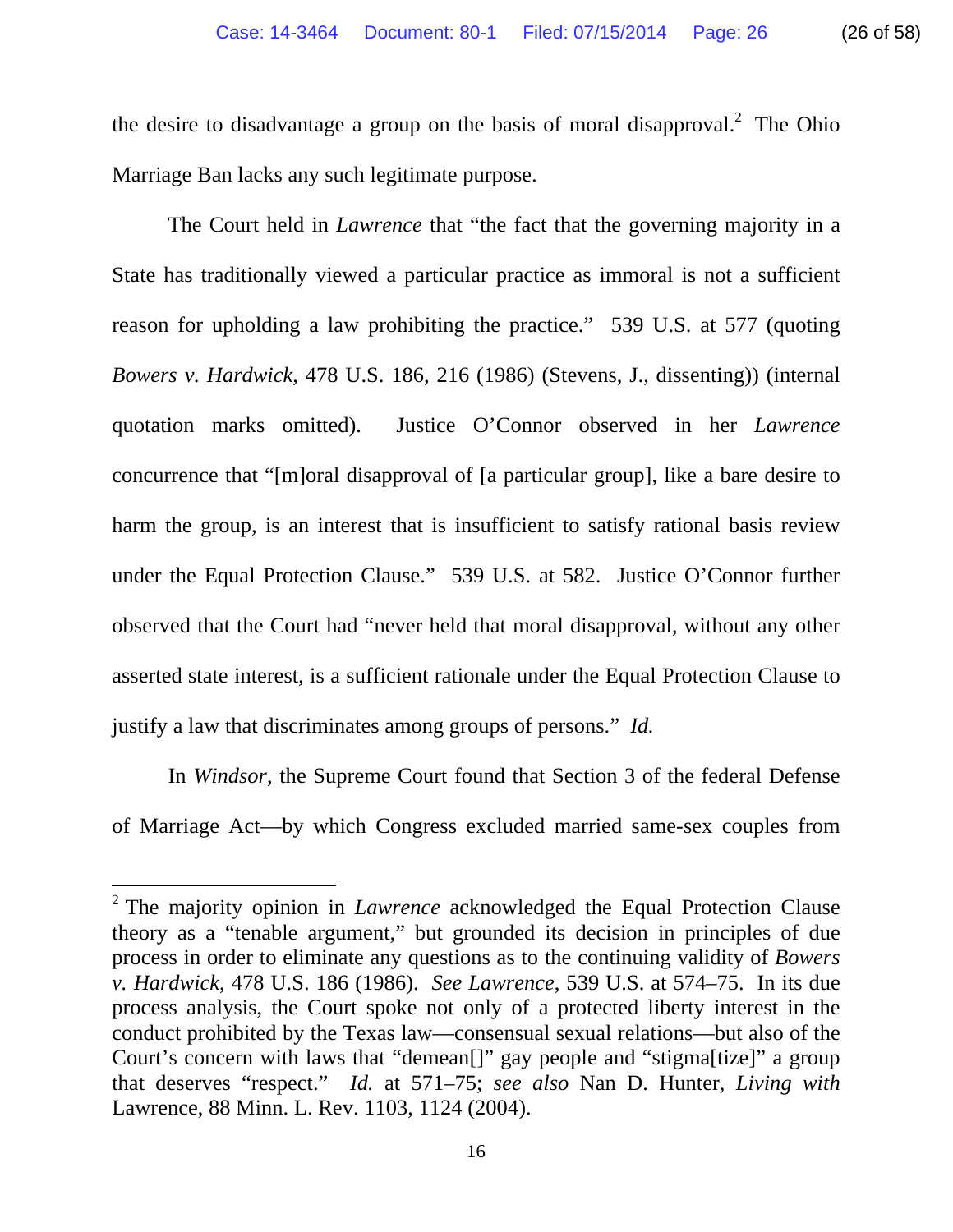Marriage Ban lacks any such legitimate purpose.

The Court held in *Lawrence* that "the fact that the governing majority in a State has traditionally viewed a particular practice as immoral is not a sufficient reason for upholding a law prohibiting the practice." 539 U.S. at 577 (quoting *Bowers v. Hardwick*, 478 U.S. 186, 216 (1986) (Stevens, J., dissenting)) (internal quotation marks omitted). Justice O'Connor observed in her *Lawrence* concurrence that "[m]oral disapproval of [a particular group], like a bare desire to harm the group, is an interest that is insufficient to satisfy rational basis review under the Equal Protection Clause." 539 U.S. at 582. Justice O'Connor further observed that the Court had "never held that moral disapproval, without any other asserted state interest, is a sufficient rationale under the Equal Protection Clause to justify a law that discriminates among groups of persons." *Id.* 

In *Windsor*, the Supreme Court found that Section 3 of the federal Defense of Marriage Act—by which Congress excluded married same-sex couples from

 $\overline{a}$ 

<sup>&</sup>lt;sup>2</sup> The majority opinion in *Lawrence* acknowledged the Equal Protection Clause theory as a "tenable argument," but grounded its decision in principles of due process in order to eliminate any questions as to the continuing validity of *Bowers v. Hardwick*, 478 U.S. 186 (1986). *See Lawrence*, 539 U.S. at 574–75. In its due process analysis, the Court spoke not only of a protected liberty interest in the conduct prohibited by the Texas law—consensual sexual relations—but also of the Court's concern with laws that "demean[]" gay people and "stigma[tize]" a group that deserves "respect." *Id.* at 571–75; *see also* Nan D. Hunter, *Living with*  Lawrence, 88 Minn. L. Rev. 1103, 1124 (2004).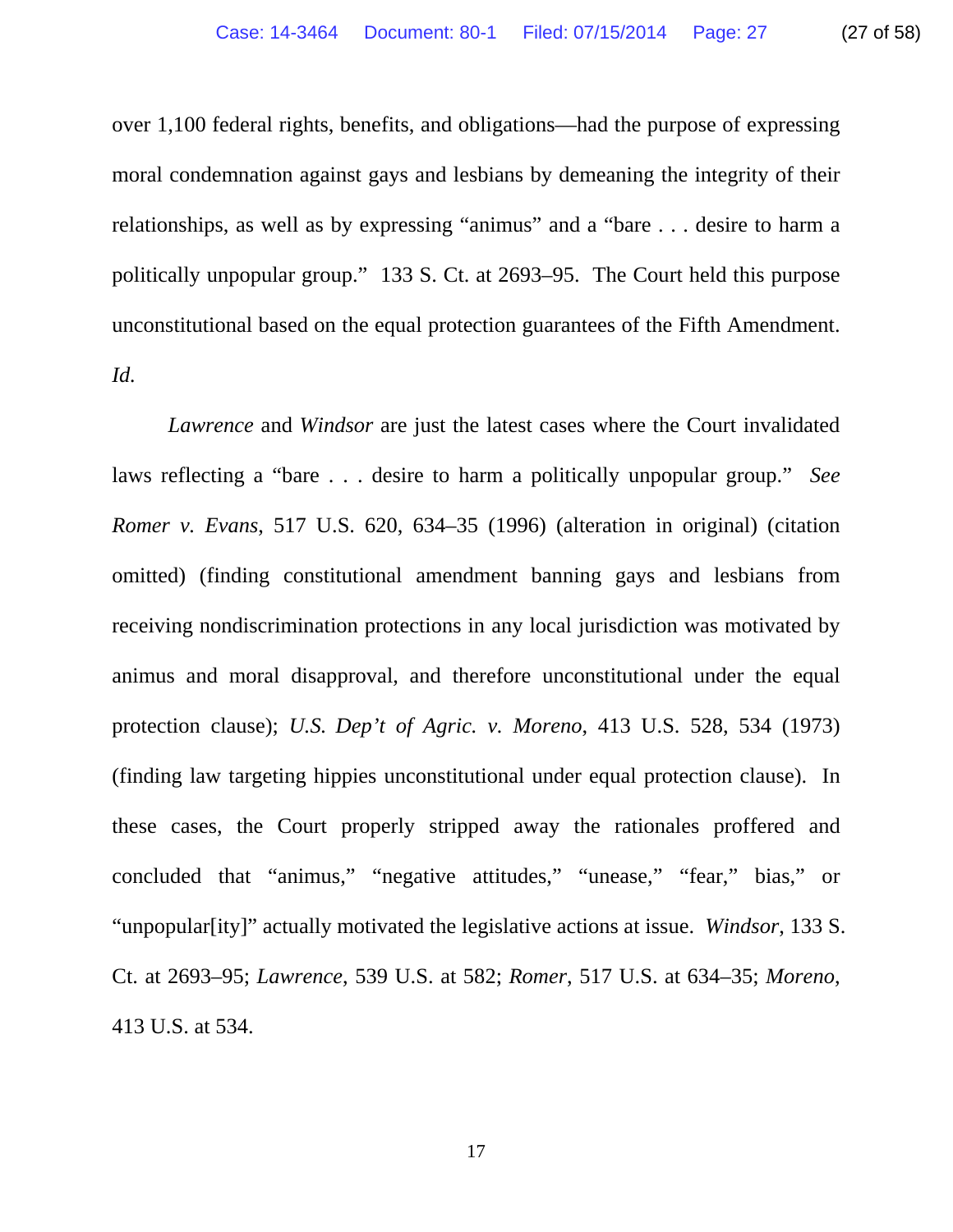over 1,100 federal rights, benefits, and obligations—had the purpose of expressing moral condemnation against gays and lesbians by demeaning the integrity of their relationships, as well as by expressing "animus" and a "bare . . . desire to harm a politically unpopular group." 133 S. Ct. at 2693–95. The Court held this purpose unconstitutional based on the equal protection guarantees of the Fifth Amendment. *Id.*

*Lawrence* and *Windsor* are just the latest cases where the Court invalidated laws reflecting a "bare . . . desire to harm a politically unpopular group." *See Romer v. Evans*, 517 U.S. 620, 634–35 (1996) (alteration in original) (citation omitted) (finding constitutional amendment banning gays and lesbians from receiving nondiscrimination protections in any local jurisdiction was motivated by animus and moral disapproval, and therefore unconstitutional under the equal protection clause); *U.S. Dep't of Agric. v. Moreno*, 413 U.S. 528, 534 (1973) (finding law targeting hippies unconstitutional under equal protection clause). In these cases, the Court properly stripped away the rationales proffered and concluded that "animus," "negative attitudes," "unease," "fear," bias," or "unpopular[ity]" actually motivated the legislative actions at issue. *Windsor*, 133 S. Ct. at 2693–95; *Lawrence*, 539 U.S. at 582; *Romer*, 517 U.S. at 634–35; *Moreno*, 413 U.S. at 534.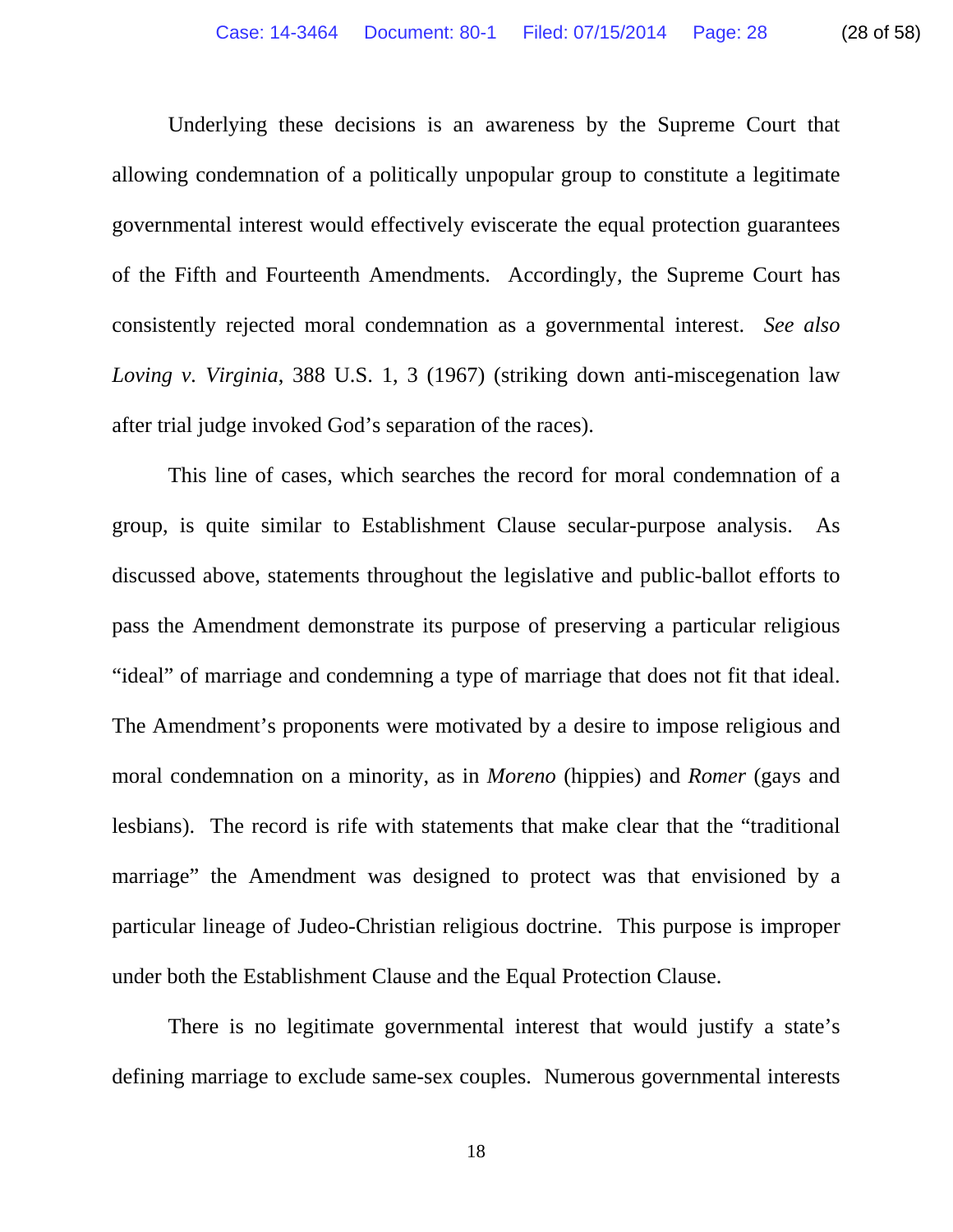Underlying these decisions is an awareness by the Supreme Court that allowing condemnation of a politically unpopular group to constitute a legitimate governmental interest would effectively eviscerate the equal protection guarantees of the Fifth and Fourteenth Amendments. Accordingly, the Supreme Court has consistently rejected moral condemnation as a governmental interest. *See also Loving v. Virginia*, 388 U.S. 1, 3 (1967) (striking down anti-miscegenation law after trial judge invoked God's separation of the races).

This line of cases, which searches the record for moral condemnation of a group, is quite similar to Establishment Clause secular-purpose analysis. As discussed above, statements throughout the legislative and public-ballot efforts to pass the Amendment demonstrate its purpose of preserving a particular religious "ideal" of marriage and condemning a type of marriage that does not fit that ideal. The Amendment's proponents were motivated by a desire to impose religious and moral condemnation on a minority, as in *Moreno* (hippies) and *Romer* (gays and lesbians). The record is rife with statements that make clear that the "traditional marriage" the Amendment was designed to protect was that envisioned by a particular lineage of Judeo-Christian religious doctrine. This purpose is improper under both the Establishment Clause and the Equal Protection Clause.

There is no legitimate governmental interest that would justify a state's defining marriage to exclude same-sex couples. Numerous governmental interests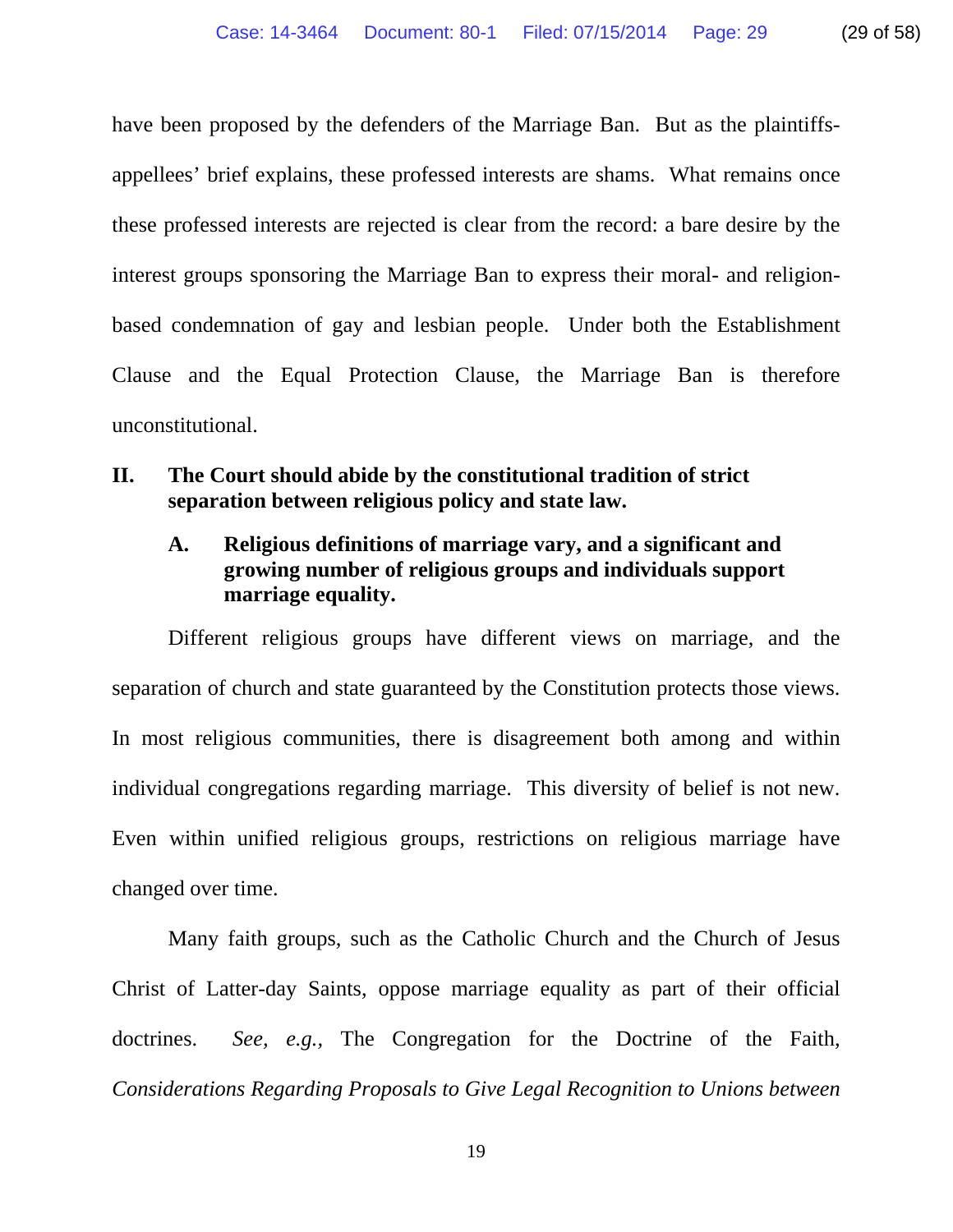have been proposed by the defenders of the Marriage Ban. But as the plaintiffsappellees' brief explains, these professed interests are shams. What remains once these professed interests are rejected is clear from the record: a bare desire by the interest groups sponsoring the Marriage Ban to express their moral- and religionbased condemnation of gay and lesbian people. Under both the Establishment Clause and the Equal Protection Clause, the Marriage Ban is therefore unconstitutional.

# **II. The Court should abide by the constitutional tradition of strict separation between religious policy and state law.**

# **A. Religious definitions of marriage vary, and a significant and growing number of religious groups and individuals support marriage equality.**

Different religious groups have different views on marriage, and the separation of church and state guaranteed by the Constitution protects those views. In most religious communities, there is disagreement both among and within individual congregations regarding marriage. This diversity of belief is not new. Even within unified religious groups, restrictions on religious marriage have changed over time.

Many faith groups, such as the Catholic Church and the Church of Jesus Christ of Latter-day Saints, oppose marriage equality as part of their official doctrines. *See, e.g.,* The Congregation for the Doctrine of the Faith, *Considerations Regarding Proposals to Give Legal Recognition to Unions between*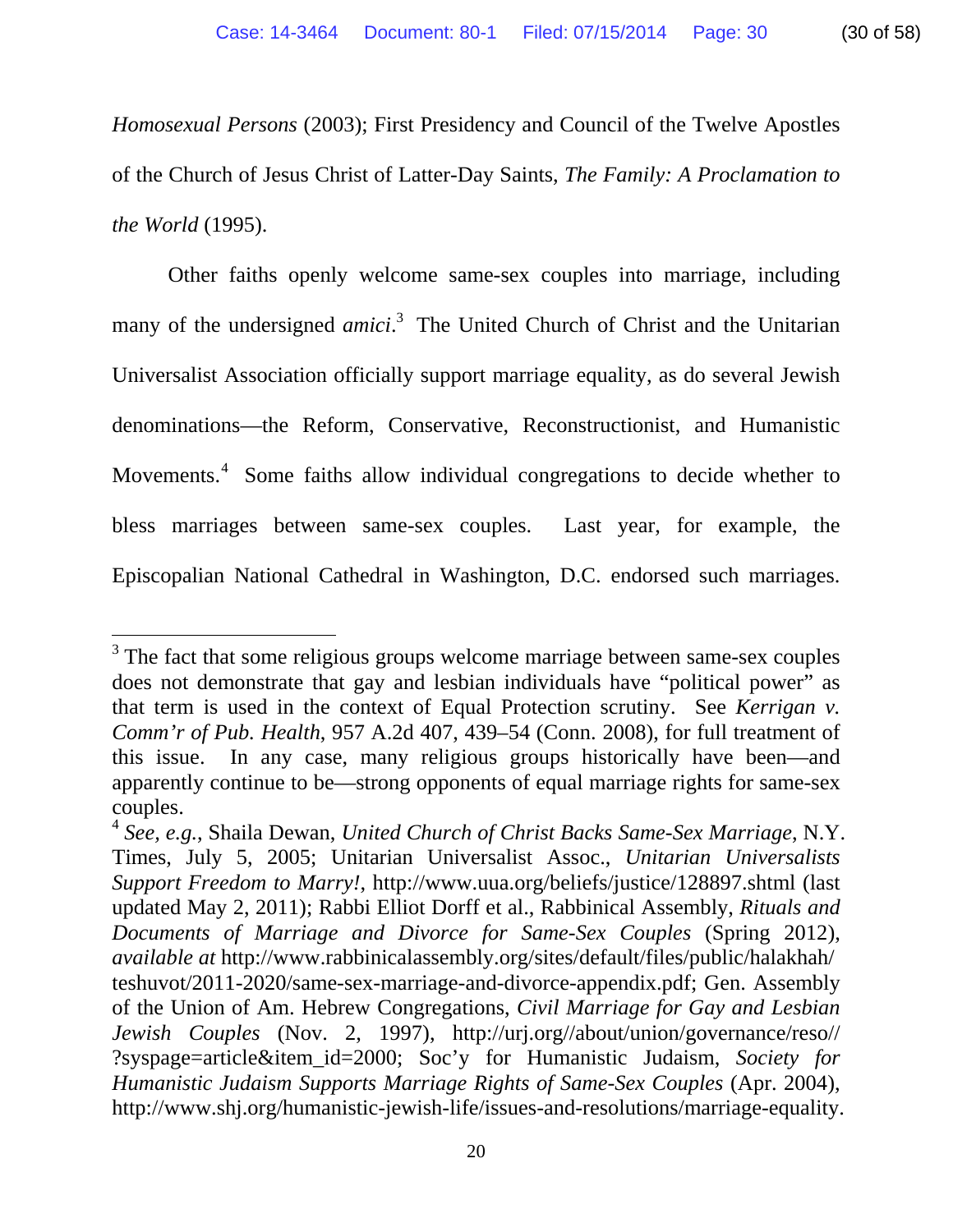*Homosexual Persons* (2003); First Presidency and Council of the Twelve Apostles of the Church of Jesus Christ of Latter-Day Saints, *The Family: A Proclamation to the World* (1995).

Other faiths openly welcome same-sex couples into marriage, including many of the undersigned *amici*.<sup>3</sup> The United Church of Christ and the Unitarian Universalist Association officially support marriage equality, as do several Jewish denominations—the Reform, Conservative, Reconstructionist, and Humanistic Movements.<sup>4</sup> Some faiths allow individual congregations to decide whether to bless marriages between same-sex couples. Last year, for example, the Episcopalian National Cathedral in Washington, D.C. endorsed such marriages.

 $\overline{a}$ 

 $3$  The fact that some religious groups welcome marriage between same-sex couples does not demonstrate that gay and lesbian individuals have "political power" as that term is used in the context of Equal Protection scrutiny. See *Kerrigan v. Comm'r of Pub. Health*, 957 A.2d 407, 439–54 (Conn. 2008), for full treatment of this issue. In any case, many religious groups historically have been—and apparently continue to be—strong opponents of equal marriage rights for same-sex couples.

<sup>4</sup> *See, e.g.*, Shaila Dewan, *United Church of Christ Backs Same-Sex Marriage*, N.Y. Times, July 5, 2005; Unitarian Universalist Assoc., *Unitarian Universalists Support Freedom to Marry!*, http://www.uua.org/beliefs/justice/128897.shtml (last updated May 2, 2011); Rabbi Elliot Dorff et al., Rabbinical Assembly, *Rituals and Documents of Marriage and Divorce for Same-Sex Couples* (Spring 2012), *available at* http://www.rabbinicalassembly.org/sites/default/files/public/halakhah/ teshuvot/2011-2020/same-sex-marriage-and-divorce-appendix.pdf; Gen. Assembly of the Union of Am. Hebrew Congregations, *Civil Marriage for Gay and Lesbian Jewish Couples* (Nov. 2, 1997), http://urj.org//about/union/governance/reso// ?syspage=article&item\_id=2000; Soc'y for Humanistic Judaism, *Society for Humanistic Judaism Supports Marriage Rights of Same-Sex Couples* (Apr. 2004), http://www.shj.org/humanistic-jewish-life/issues-and-resolutions/marriage-equality.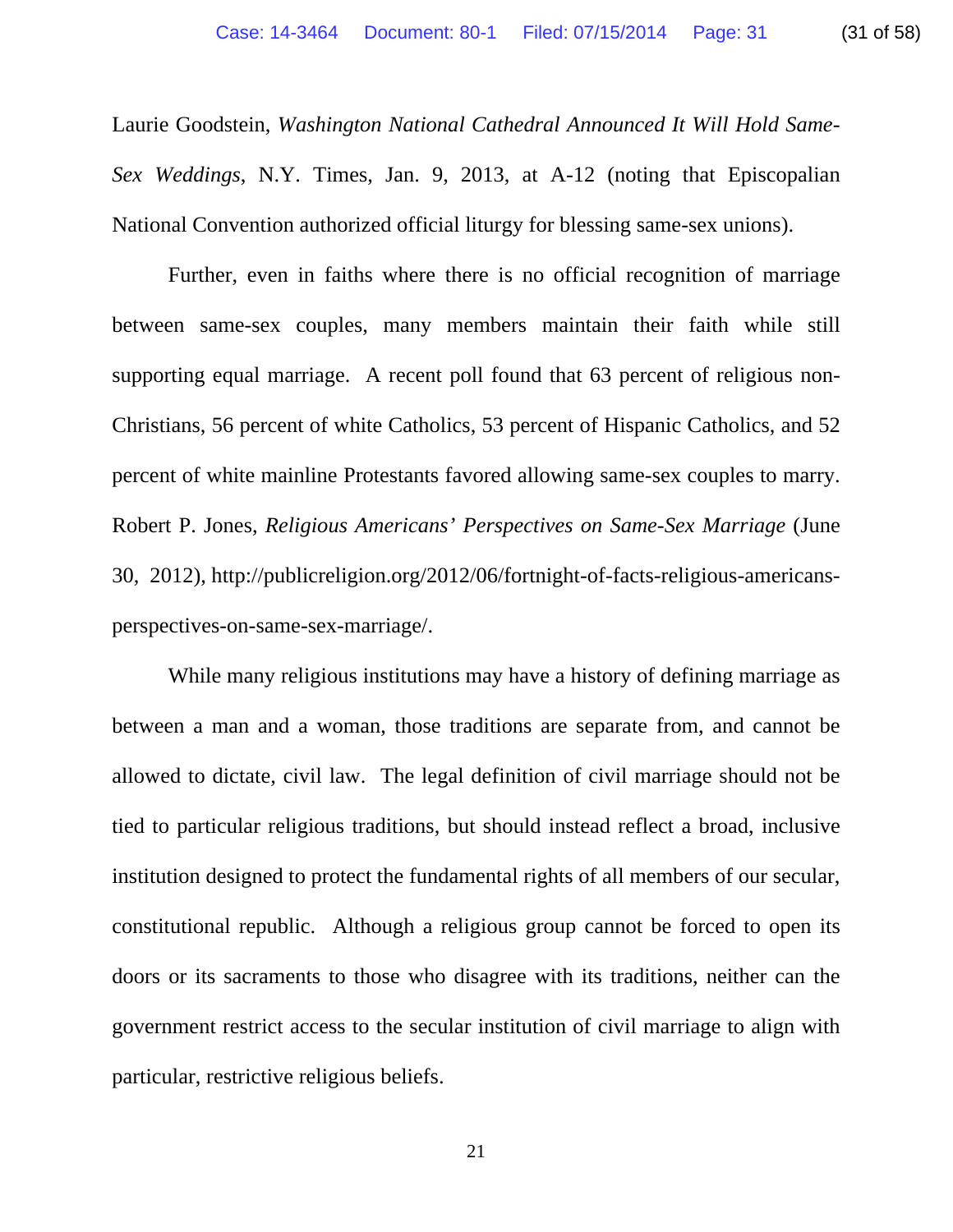Laurie Goodstein, *Washington National Cathedral Announced It Will Hold Same-Sex Weddings*, N.Y. Times, Jan. 9, 2013, at A-12 (noting that Episcopalian National Convention authorized official liturgy for blessing same-sex unions).

Further, even in faiths where there is no official recognition of marriage between same-sex couples, many members maintain their faith while still supporting equal marriage. A recent poll found that 63 percent of religious non-Christians, 56 percent of white Catholics, 53 percent of Hispanic Catholics, and 52 percent of white mainline Protestants favored allowing same-sex couples to marry. Robert P. Jones, *Religious Americans' Perspectives on Same-Sex Marriage* (June 30, 2012), http://publicreligion.org/2012/06/fortnight-of-facts-religious-americansperspectives-on-same-sex-marriage/.

While many religious institutions may have a history of defining marriage as between a man and a woman, those traditions are separate from, and cannot be allowed to dictate, civil law. The legal definition of civil marriage should not be tied to particular religious traditions, but should instead reflect a broad, inclusive institution designed to protect the fundamental rights of all members of our secular, constitutional republic. Although a religious group cannot be forced to open its doors or its sacraments to those who disagree with its traditions, neither can the government restrict access to the secular institution of civil marriage to align with particular, restrictive religious beliefs.

21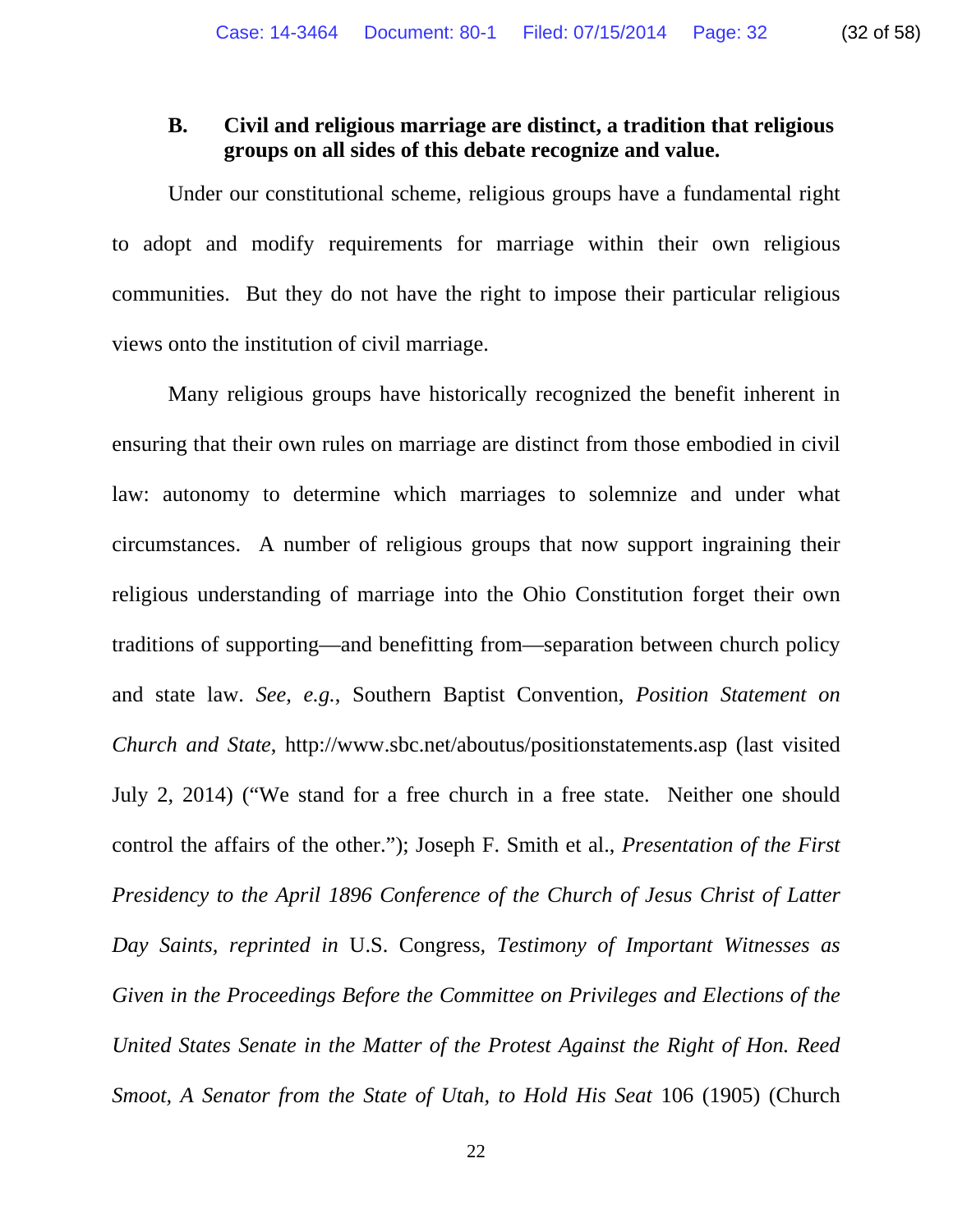# **B. Civil and religious marriage are distinct, a tradition that religious groups on all sides of this debate recognize and value.**

Under our constitutional scheme, religious groups have a fundamental right to adopt and modify requirements for marriage within their own religious communities. But they do not have the right to impose their particular religious views onto the institution of civil marriage.

Many religious groups have historically recognized the benefit inherent in ensuring that their own rules on marriage are distinct from those embodied in civil law: autonomy to determine which marriages to solemnize and under what circumstances. A number of religious groups that now support ingraining their religious understanding of marriage into the Ohio Constitution forget their own traditions of supporting—and benefitting from—separation between church policy and state law. *See*, *e.g.*, Southern Baptist Convention, *Position Statement on Church and State*, http://www.sbc.net/aboutus/positionstatements.asp (last visited July 2, 2014) ("We stand for a free church in a free state. Neither one should control the affairs of the other."); Joseph F. Smith et al., *Presentation of the First Presidency to the April 1896 Conference of the Church of Jesus Christ of Latter Day Saints, reprinted in* U.S. Congress*, Testimony of Important Witnesses as Given in the Proceedings Before the Committee on Privileges and Elections of the United States Senate in the Matter of the Protest Against the Right of Hon. Reed Smoot, A Senator from the State of Utah, to Hold His Seat* 106 (1905) (Church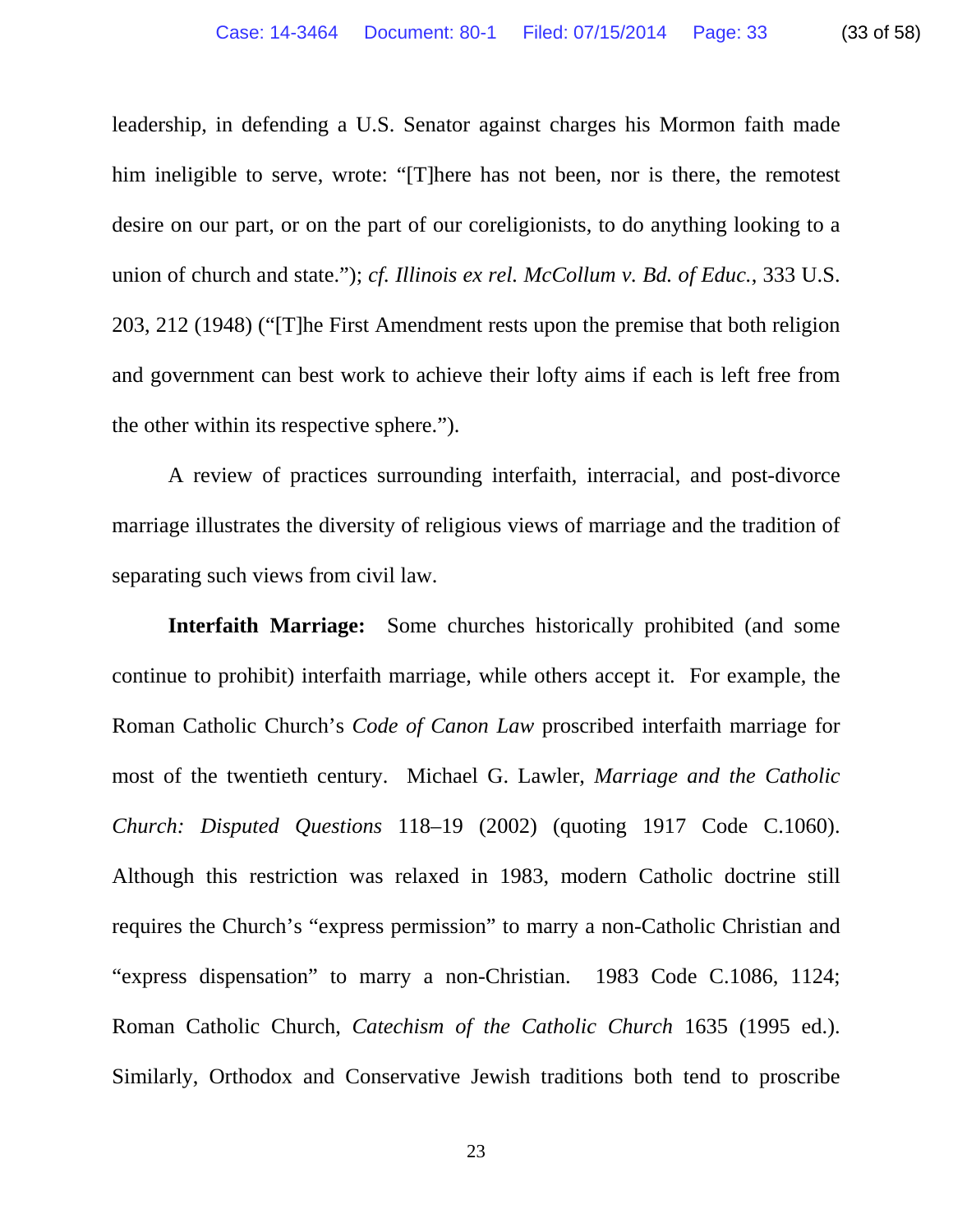leadership, in defending a U.S. Senator against charges his Mormon faith made him ineligible to serve, wrote: "[T]here has not been, nor is there, the remotest desire on our part, or on the part of our coreligionists, to do anything looking to a union of church and state."); *cf. Illinois ex rel. McCollum v. Bd. of Educ.*, 333 U.S. 203, 212 (1948) ("[T]he First Amendment rests upon the premise that both religion and government can best work to achieve their lofty aims if each is left free from the other within its respective sphere.").

A review of practices surrounding interfaith, interracial, and post-divorce marriage illustrates the diversity of religious views of marriage and the tradition of separating such views from civil law.

**Interfaith Marriage:** Some churches historically prohibited (and some continue to prohibit) interfaith marriage, while others accept it. For example, the Roman Catholic Church's *Code of Canon Law* proscribed interfaith marriage for most of the twentieth century. Michael G. Lawler, *Marriage and the Catholic Church: Disputed Questions* 118–19 (2002) (quoting 1917 Code C.1060). Although this restriction was relaxed in 1983, modern Catholic doctrine still requires the Church's "express permission" to marry a non-Catholic Christian and "express dispensation" to marry a non-Christian. 1983 Code C.1086, 1124; Roman Catholic Church, *Catechism of the Catholic Church* 1635 (1995 ed.). Similarly, Orthodox and Conservative Jewish traditions both tend to proscribe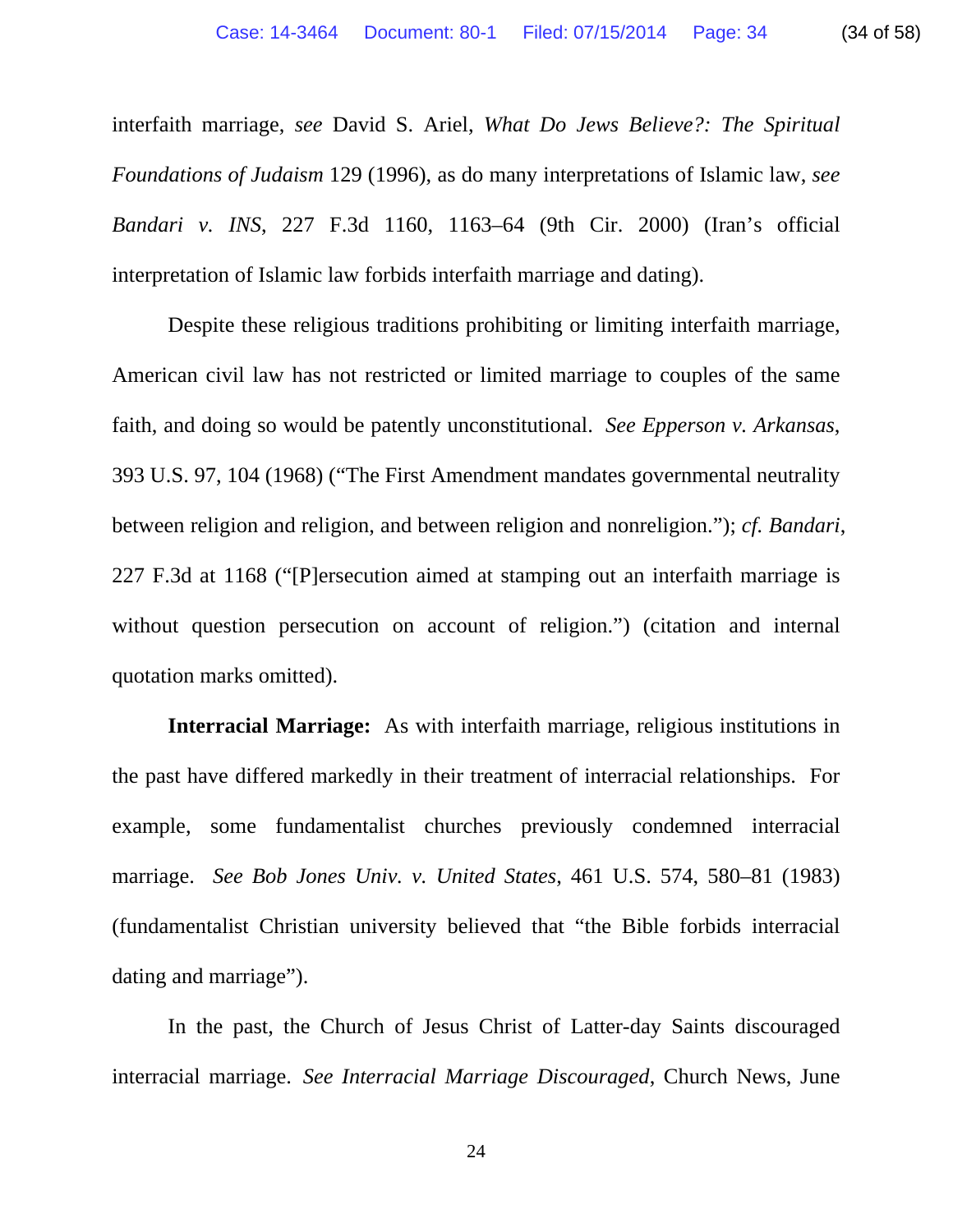interfaith marriage, *see* David S. Ariel, *What Do Jews Believe?: The Spiritual Foundations of Judaism* 129 (1996), as do many interpretations of Islamic law, *see Bandari v. INS*, 227 F.3d 1160, 1163–64 (9th Cir. 2000) (Iran's official interpretation of Islamic law forbids interfaith marriage and dating).

Despite these religious traditions prohibiting or limiting interfaith marriage, American civil law has not restricted or limited marriage to couples of the same faith, and doing so would be patently unconstitutional. *See Epperson v. Arkansas*, 393 U.S. 97, 104 (1968) ("The First Amendment mandates governmental neutrality between religion and religion, and between religion and nonreligion."); *cf. Bandari*, 227 F.3d at 1168 ("[P]ersecution aimed at stamping out an interfaith marriage is without question persecution on account of religion.") (citation and internal quotation marks omitted).

**Interracial Marriage:** As with interfaith marriage, religious institutions in the past have differed markedly in their treatment of interracial relationships. For example, some fundamentalist churches previously condemned interracial marriage. *See Bob Jones Univ. v. United States*, 461 U.S. 574, 580–81 (1983) (fundamentalist Christian university believed that "the Bible forbids interracial dating and marriage").

In the past, the Church of Jesus Christ of Latter-day Saints discouraged interracial marriage. *See Interracial Marriage Discouraged*, Church News, June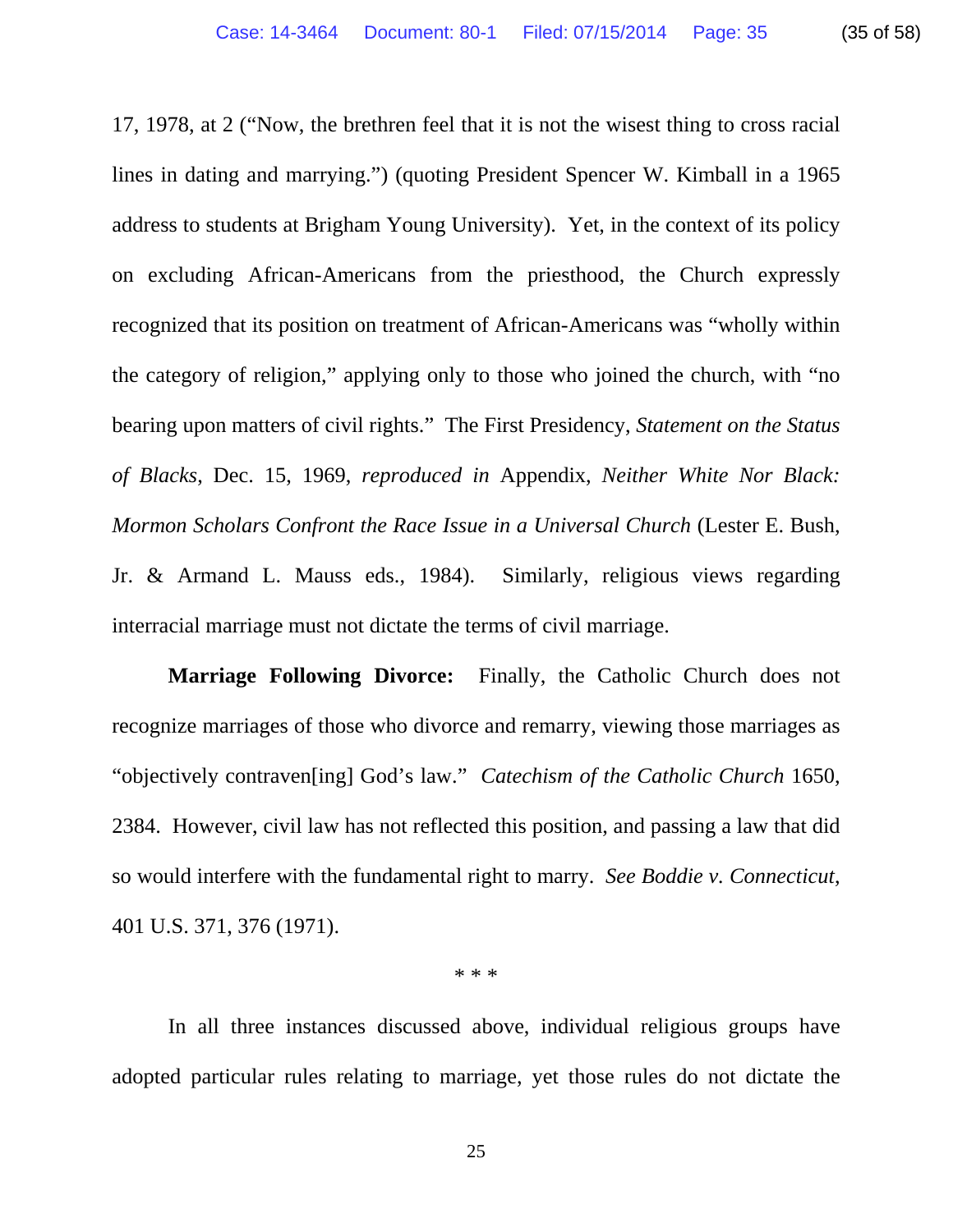17, 1978, at 2 ("Now, the brethren feel that it is not the wisest thing to cross racial lines in dating and marrying.") (quoting President Spencer W. Kimball in a 1965 address to students at Brigham Young University). Yet, in the context of its policy on excluding African-Americans from the priesthood, the Church expressly recognized that its position on treatment of African-Americans was "wholly within the category of religion," applying only to those who joined the church, with "no bearing upon matters of civil rights." The First Presidency, *Statement on the Status of Blacks*, Dec. 15, 1969, *reproduced in* Appendix, *Neither White Nor Black: Mormon Scholars Confront the Race Issue in a Universal Church* (Lester E. Bush, Jr. & Armand L. Mauss eds., 1984). Similarly, religious views regarding interracial marriage must not dictate the terms of civil marriage.

**Marriage Following Divorce:** Finally, the Catholic Church does not recognize marriages of those who divorce and remarry, viewing those marriages as "objectively contraven[ing] God's law." *Catechism of the Catholic Church* 1650, 2384. However, civil law has not reflected this position, and passing a law that did so would interfere with the fundamental right to marry. *See Boddie v. Connecticut*, 401 U.S. 371, 376 (1971).

\* \* \*

In all three instances discussed above, individual religious groups have adopted particular rules relating to marriage, yet those rules do not dictate the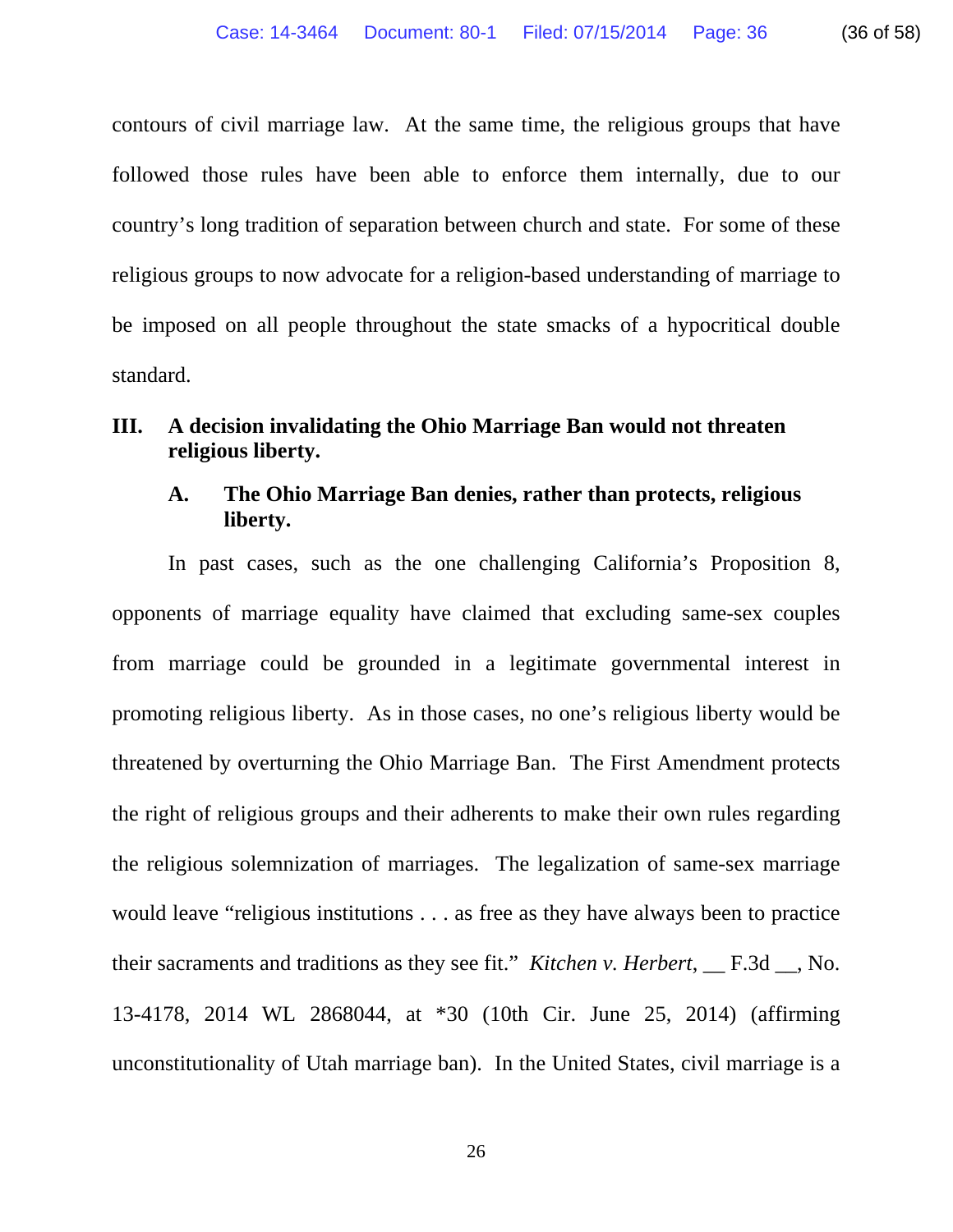contours of civil marriage law. At the same time, the religious groups that have followed those rules have been able to enforce them internally, due to our country's long tradition of separation between church and state. For some of these religious groups to now advocate for a religion-based understanding of marriage to be imposed on all people throughout the state smacks of a hypocritical double standard.

# **III. A decision invalidating the Ohio Marriage Ban would not threaten religious liberty.**

# **A. The Ohio Marriage Ban denies, rather than protects, religious liberty.**

In past cases, such as the one challenging California's Proposition 8, opponents of marriage equality have claimed that excluding same-sex couples from marriage could be grounded in a legitimate governmental interest in promoting religious liberty. As in those cases, no one's religious liberty would be threatened by overturning the Ohio Marriage Ban. The First Amendment protects the right of religious groups and their adherents to make their own rules regarding the religious solemnization of marriages. The legalization of same-sex marriage would leave "religious institutions . . . as free as they have always been to practice their sacraments and traditions as they see fit." *Kitchen v. Herbert*, \_\_ F.3d \_\_, No. 13-4178, 2014 WL 2868044, at \*30 (10th Cir. June 25, 2014) (affirming unconstitutionality of Utah marriage ban). In the United States, civil marriage is a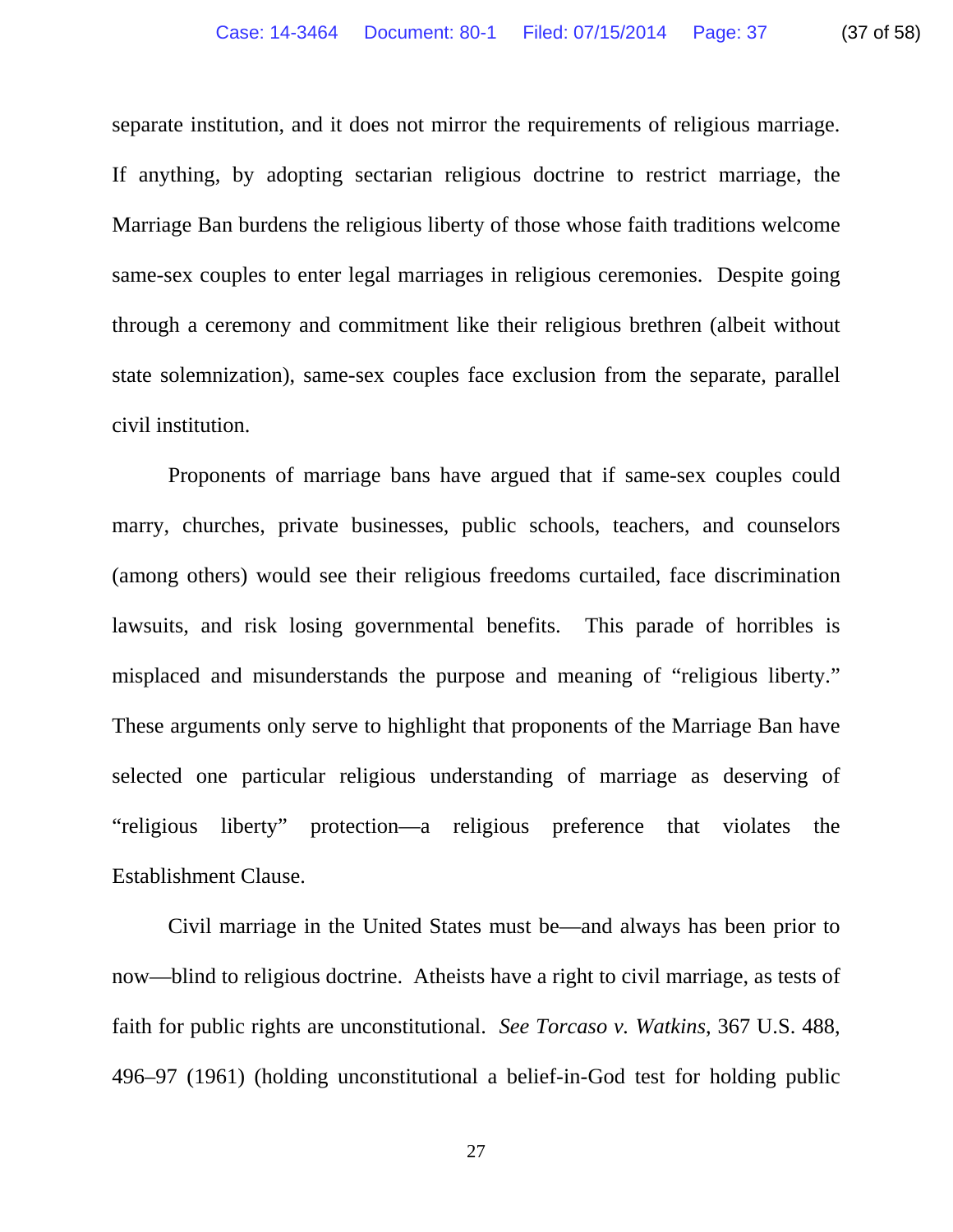separate institution, and it does not mirror the requirements of religious marriage. If anything, by adopting sectarian religious doctrine to restrict marriage, the Marriage Ban burdens the religious liberty of those whose faith traditions welcome same-sex couples to enter legal marriages in religious ceremonies. Despite going through a ceremony and commitment like their religious brethren (albeit without state solemnization), same-sex couples face exclusion from the separate, parallel civil institution.

Proponents of marriage bans have argued that if same-sex couples could marry, churches, private businesses, public schools, teachers, and counselors (among others) would see their religious freedoms curtailed, face discrimination lawsuits, and risk losing governmental benefits. This parade of horribles is misplaced and misunderstands the purpose and meaning of "religious liberty." These arguments only serve to highlight that proponents of the Marriage Ban have selected one particular religious understanding of marriage as deserving of "religious liberty" protection—a religious preference that violates the Establishment Clause.

Civil marriage in the United States must be—and always has been prior to now—blind to religious doctrine. Atheists have a right to civil marriage, as tests of faith for public rights are unconstitutional. *See Torcaso v. Watkins*, 367 U.S. 488, 496–97 (1961) (holding unconstitutional a belief-in-God test for holding public

27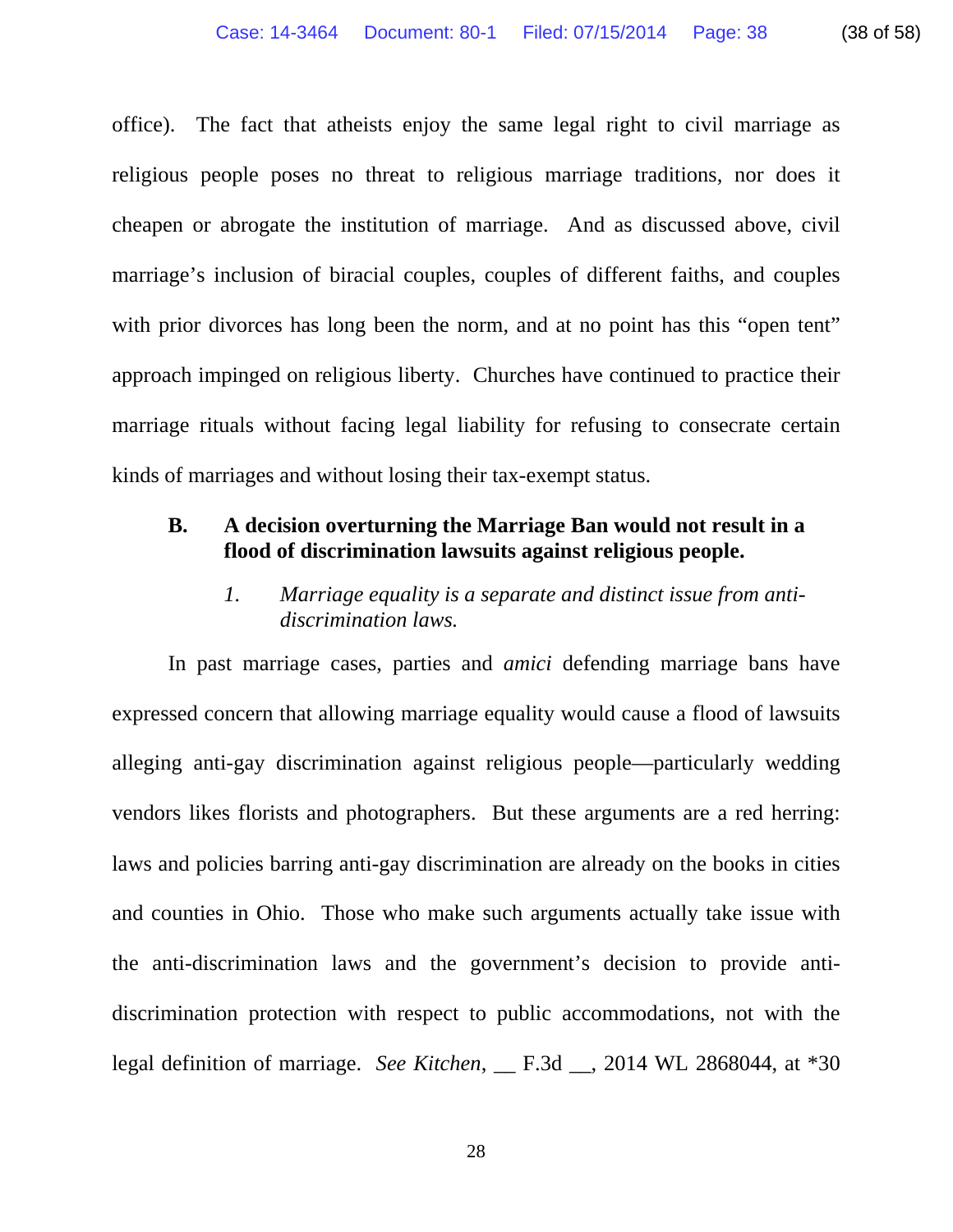office). The fact that atheists enjoy the same legal right to civil marriage as religious people poses no threat to religious marriage traditions, nor does it cheapen or abrogate the institution of marriage. And as discussed above, civil marriage's inclusion of biracial couples, couples of different faiths, and couples with prior divorces has long been the norm, and at no point has this "open tent" approach impinged on religious liberty. Churches have continued to practice their marriage rituals without facing legal liability for refusing to consecrate certain kinds of marriages and without losing their tax-exempt status.

## **B. A decision overturning the Marriage Ban would not result in a flood of discrimination lawsuits against religious people.**

*1. Marriage equality is a separate and distinct issue from antidiscrimination laws.* 

In past marriage cases, parties and *amici* defending marriage bans have expressed concern that allowing marriage equality would cause a flood of lawsuits alleging anti-gay discrimination against religious people—particularly wedding vendors likes florists and photographers. But these arguments are a red herring: laws and policies barring anti-gay discrimination are already on the books in cities and counties in Ohio. Those who make such arguments actually take issue with the anti-discrimination laws and the government's decision to provide antidiscrimination protection with respect to public accommodations, not with the legal definition of marriage. *See Kitchen*, \_\_ F.3d \_\_, 2014 WL 2868044, at \*30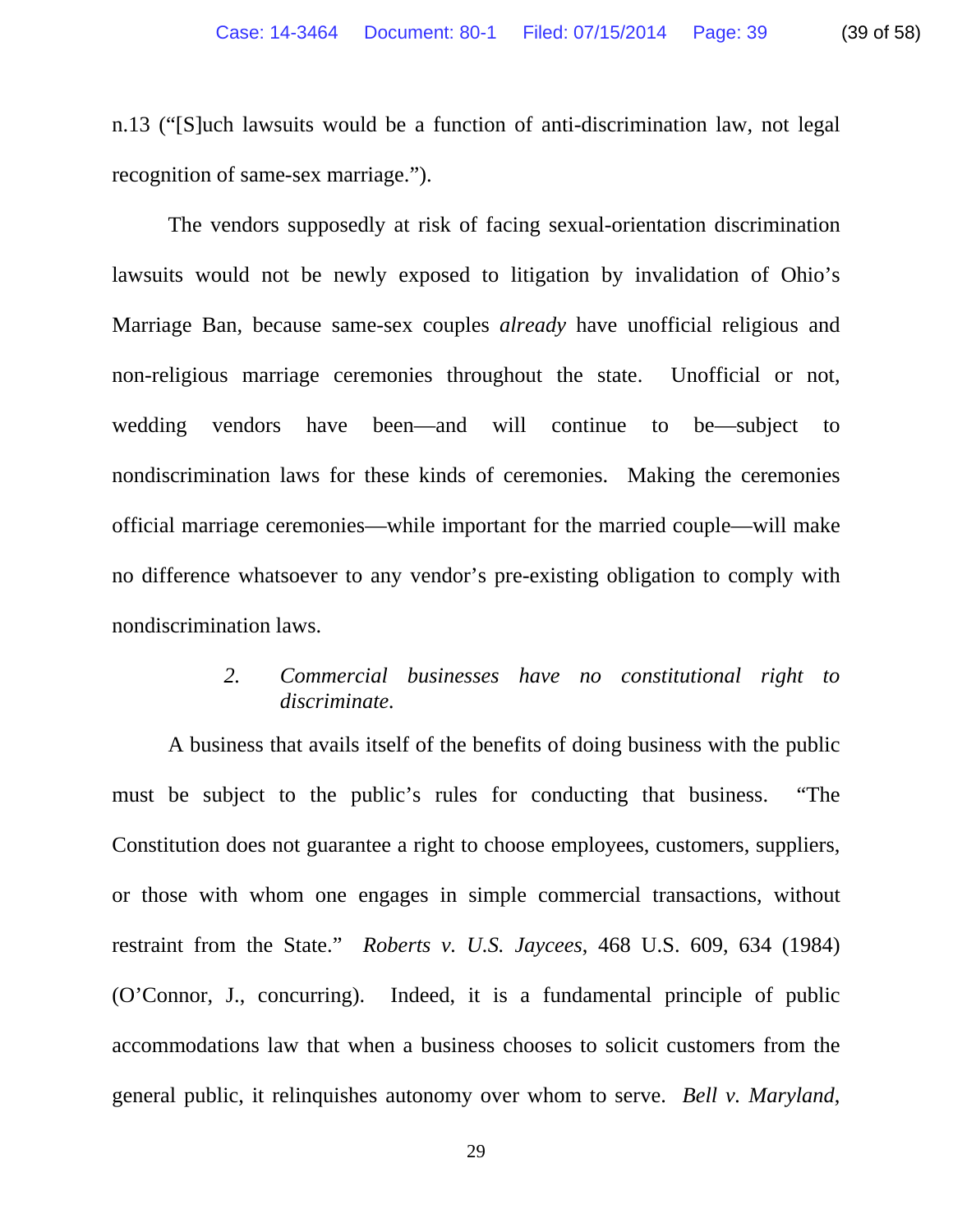n.13 ("[S]uch lawsuits would be a function of anti-discrimination law, not legal recognition of same-sex marriage.").

The vendors supposedly at risk of facing sexual-orientation discrimination lawsuits would not be newly exposed to litigation by invalidation of Ohio's Marriage Ban, because same-sex couples *already* have unofficial religious and non-religious marriage ceremonies throughout the state. Unofficial or not, wedding vendors have been—and will continue to be—subject to nondiscrimination laws for these kinds of ceremonies. Making the ceremonies official marriage ceremonies—while important for the married couple—will make no difference whatsoever to any vendor's pre-existing obligation to comply with nondiscrimination laws.

## *2. Commercial businesses have no constitutional right to discriminate.*

A business that avails itself of the benefits of doing business with the public must be subject to the public's rules for conducting that business. "The Constitution does not guarantee a right to choose employees, customers, suppliers, or those with whom one engages in simple commercial transactions, without restraint from the State." *Roberts v. U.S. Jaycees*, 468 U.S. 609, 634 (1984) (O'Connor, J., concurring). Indeed, it is a fundamental principle of public accommodations law that when a business chooses to solicit customers from the general public, it relinquishes autonomy over whom to serve. *Bell v. Maryland*,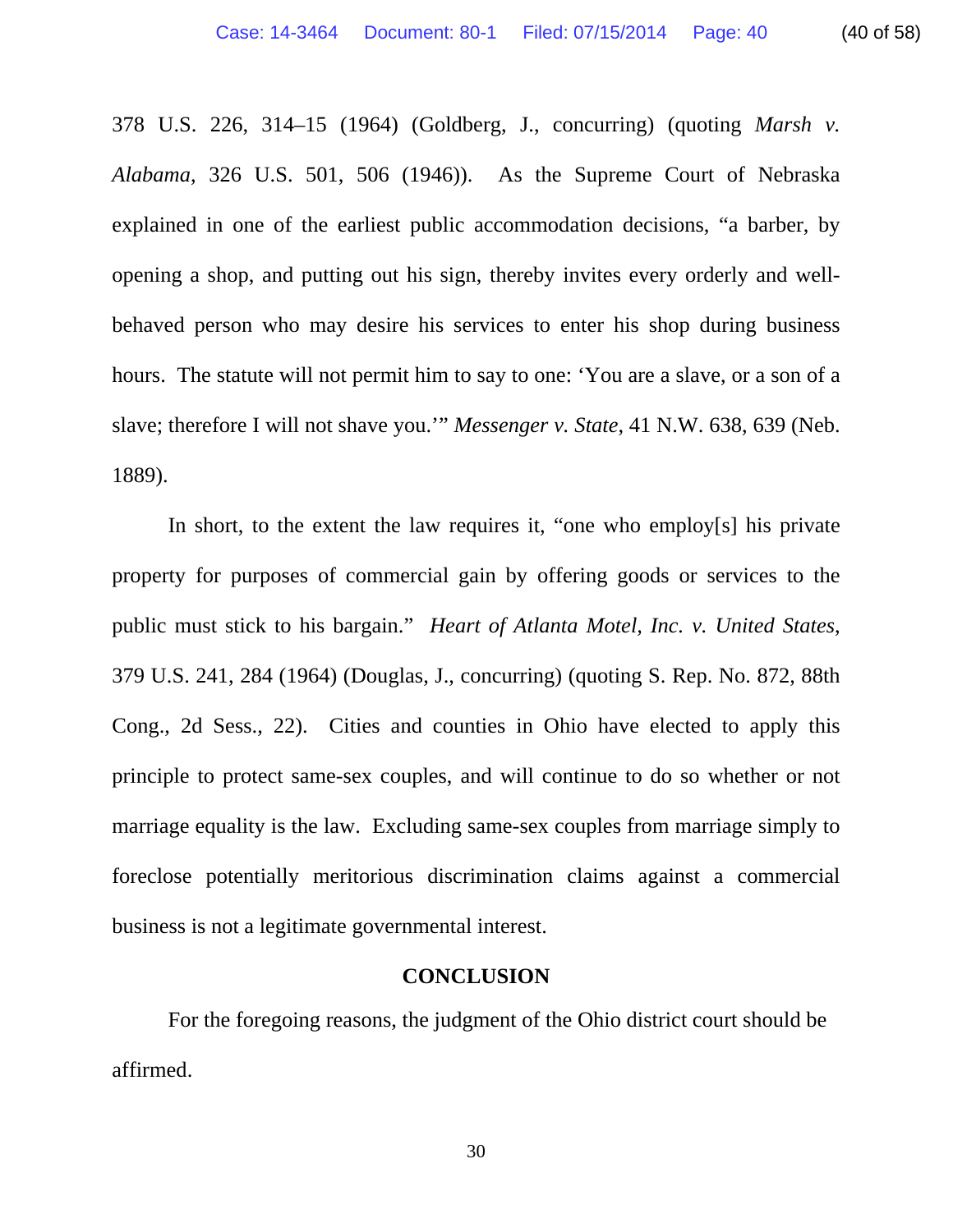378 U.S. 226, 314–15 (1964) (Goldberg, J., concurring) (quoting *Marsh v. Alabama*, 326 U.S. 501, 506 (1946)). As the Supreme Court of Nebraska explained in one of the earliest public accommodation decisions, "a barber, by opening a shop, and putting out his sign, thereby invites every orderly and wellbehaved person who may desire his services to enter his shop during business hours. The statute will not permit him to say to one: 'You are a slave, or a son of a slave; therefore I will not shave you.'" *Messenger v. State*, 41 N.W. 638, 639 (Neb. 1889).

In short, to the extent the law requires it, "one who employ[s] his private property for purposes of commercial gain by offering goods or services to the public must stick to his bargain." *Heart of Atlanta Motel, Inc. v. United States*, 379 U.S. 241, 284 (1964) (Douglas, J., concurring) (quoting S. Rep. No. 872, 88th Cong., 2d Sess., 22). Cities and counties in Ohio have elected to apply this principle to protect same-sex couples, and will continue to do so whether or not marriage equality is the law. Excluding same-sex couples from marriage simply to foreclose potentially meritorious discrimination claims against a commercial business is not a legitimate governmental interest.

#### **CONCLUSION**

 For the foregoing reasons, the judgment of the Ohio district court should be affirmed.

30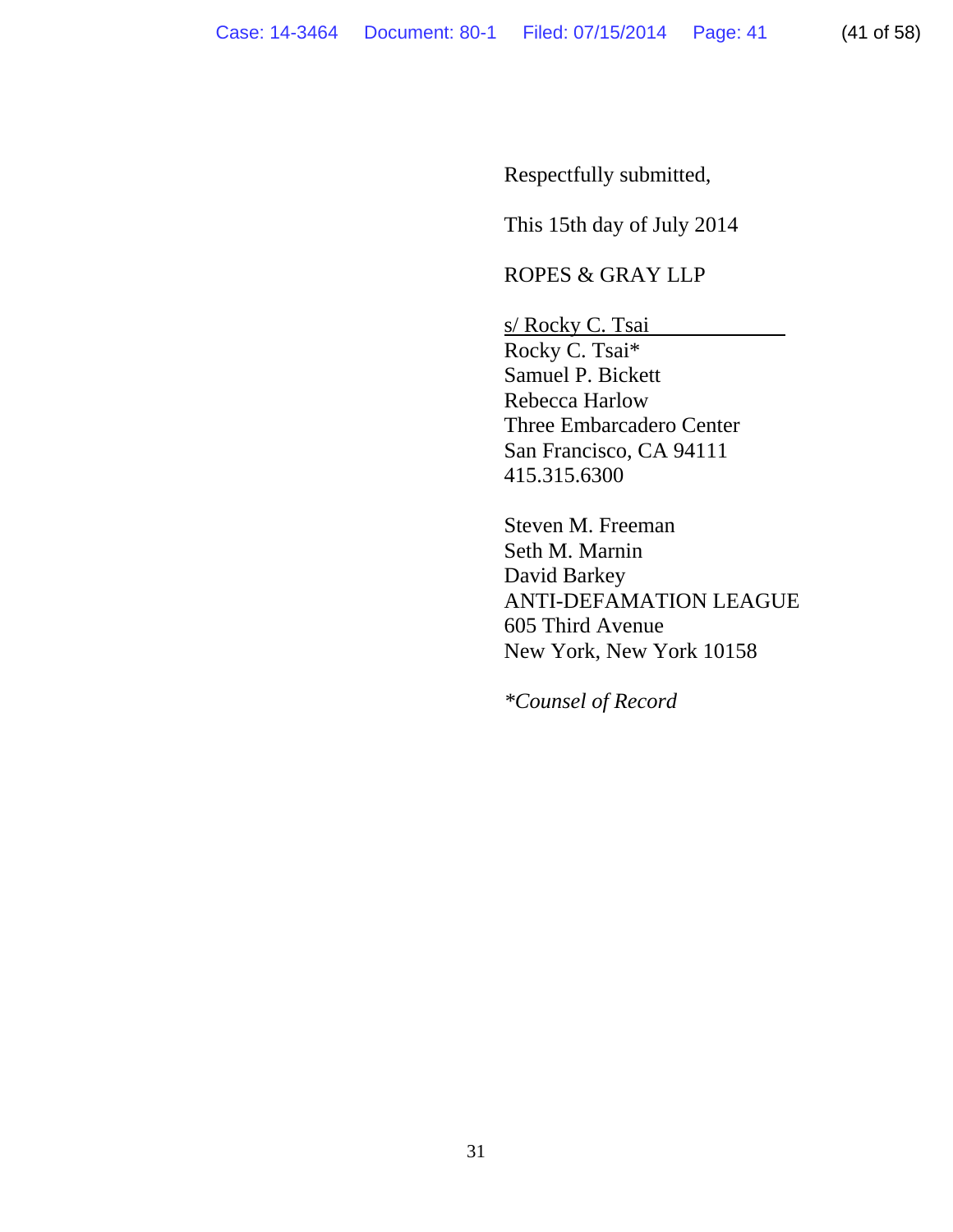Respectfully submitted,

This 15th day of July 2014

## ROPES & GRAY LLP

s/ Rocky C. Tsai Rocky C. Tsai\* Samuel P. Bickett Rebecca Harlow Three Embarcadero Center San Francisco, CA 94111

415.315.6300

Steven M. Freeman Seth M. Marnin David Barkey ANTI-DEFAMATION LEAGUE 605 Third Avenue New York, New York 10158

*\*Counsel of Record*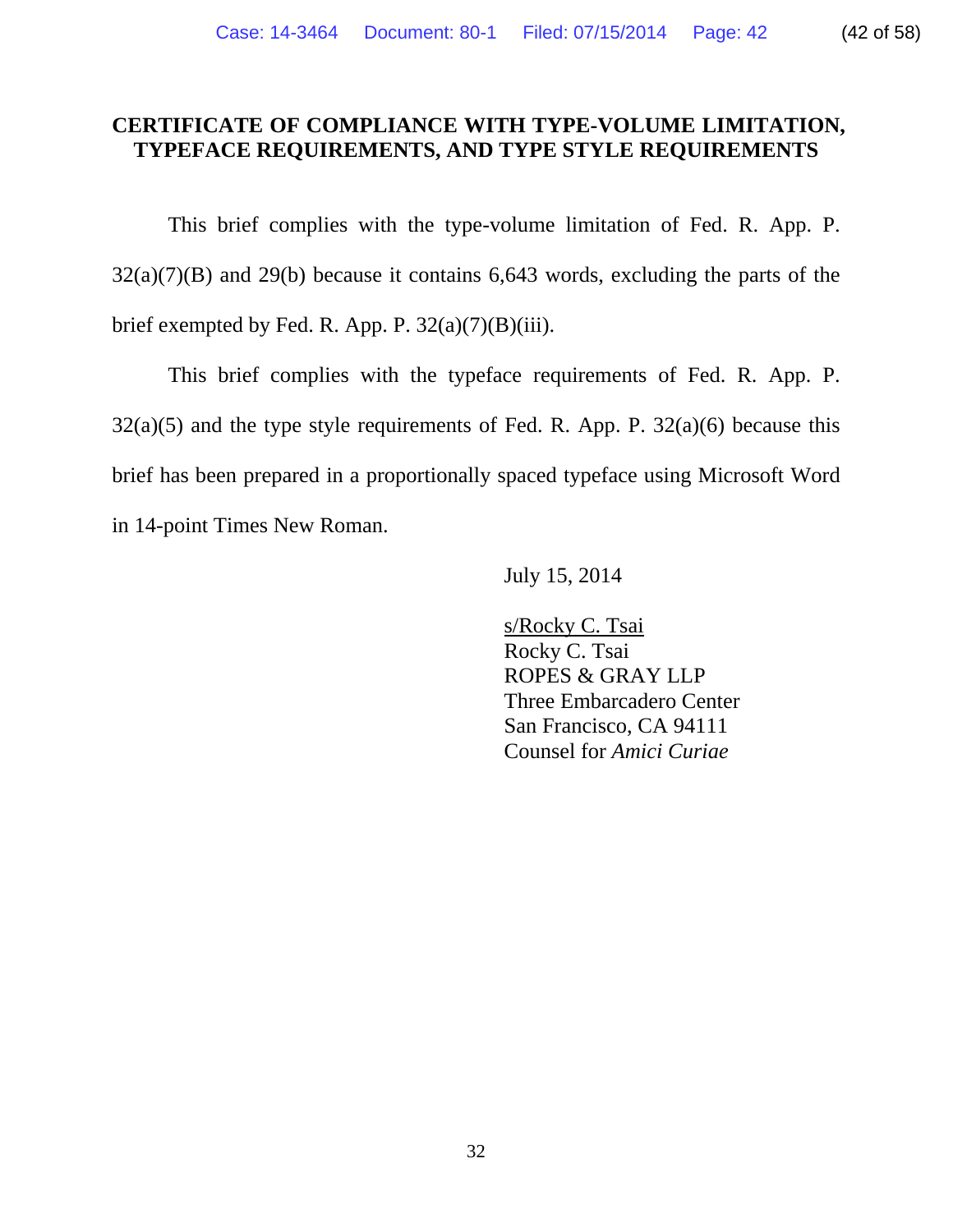# **CERTIFICATE OF COMPLIANCE WITH TYPE-VOLUME LIMITATION, TYPEFACE REQUIREMENTS, AND TYPE STYLE REQUIREMENTS**

This brief complies with the type-volume limitation of Fed. R. App. P.  $32(a)(7)(B)$  and  $29(b)$  because it contains 6,643 words, excluding the parts of the brief exempted by Fed. R. App. P.  $32(a)(7)(B)(iii)$ .

 This brief complies with the typeface requirements of Fed. R. App. P.  $32(a)(5)$  and the type style requirements of Fed. R. App. P.  $32(a)(6)$  because this brief has been prepared in a proportionally spaced typeface using Microsoft Word in 14-point Times New Roman.

July 15, 2014

s/Rocky C. Tsai Rocky C. Tsai ROPES & GRAY LLP Three Embarcadero Center San Francisco, CA 94111 Counsel for *Amici Curiae*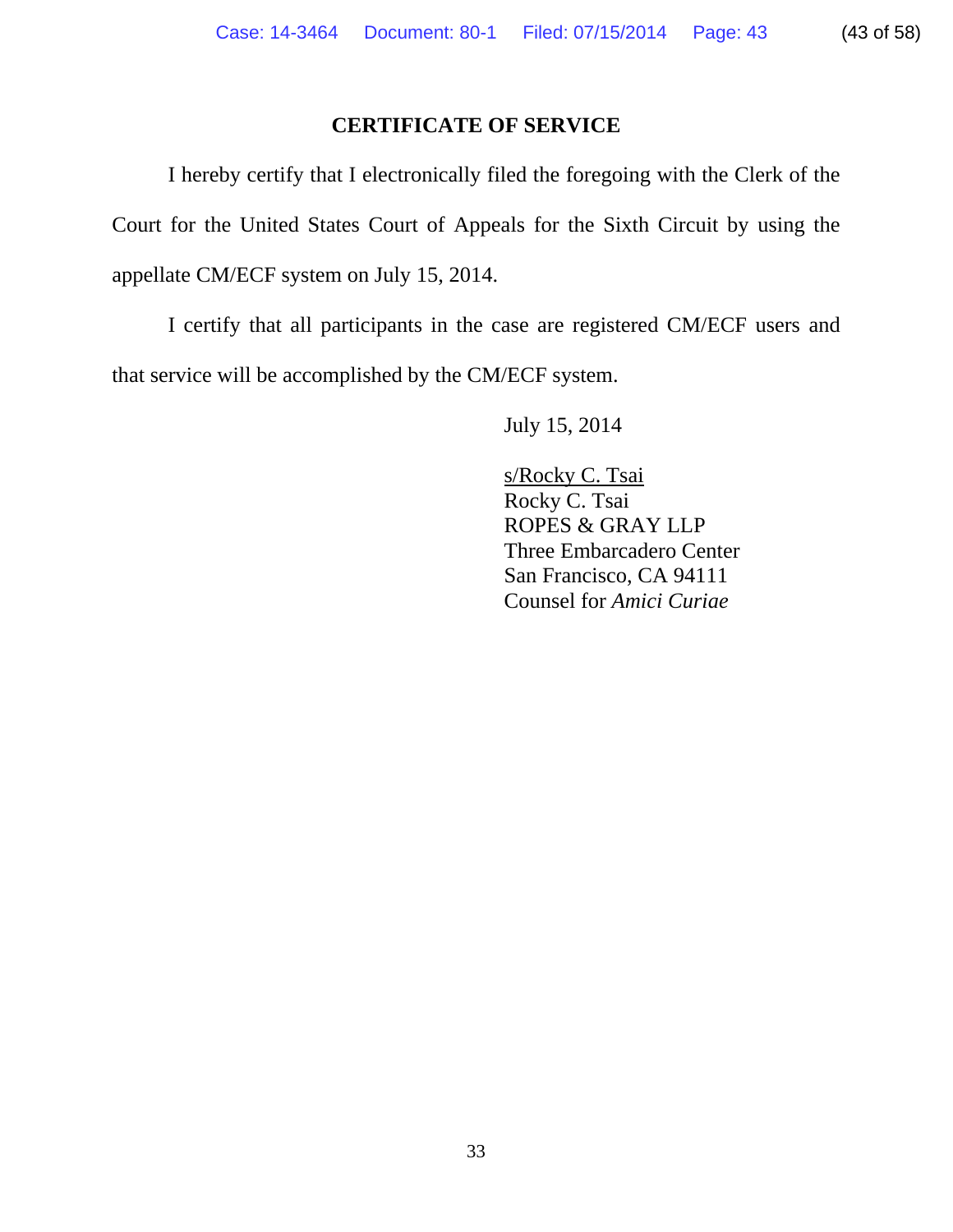# **CERTIFICATE OF SERVICE**

 I hereby certify that I electronically filed the foregoing with the Clerk of the Court for the United States Court of Appeals for the Sixth Circuit by using the appellate CM/ECF system on July 15, 2014.

 I certify that all participants in the case are registered CM/ECF users and that service will be accomplished by the CM/ECF system.

July 15, 2014

s/Rocky C. Tsai Rocky C. Tsai ROPES & GRAY LLP Three Embarcadero Center San Francisco, CA 94111 Counsel for *Amici Curiae*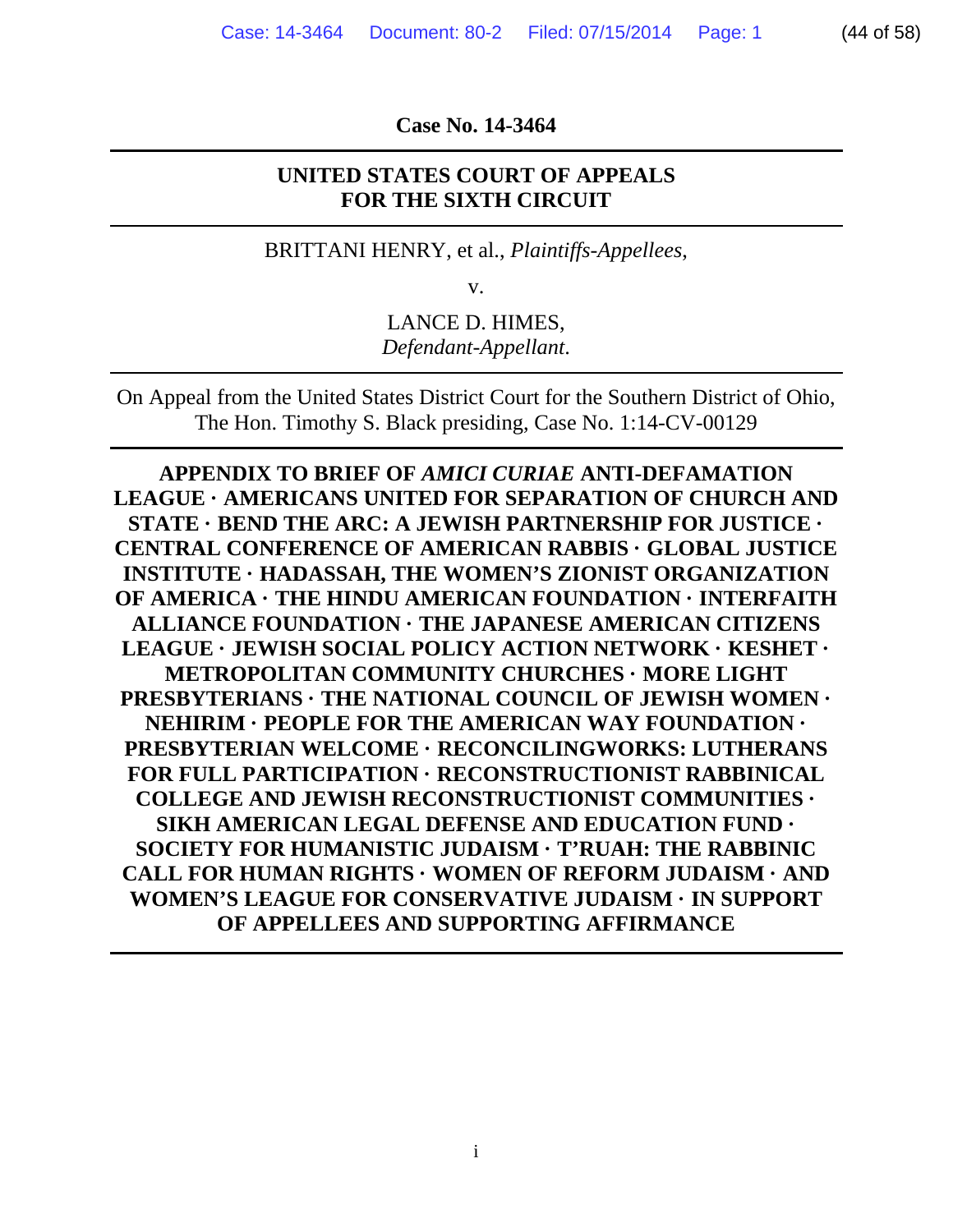**Case No. 14-3464** 

### **UNITED STATES COURT OF APPEALS FOR THE SIXTH CIRCUIT**

BRITTANI HENRY, et al., *Plaintiffs-Appellees*,

v.

LANCE D. HIMES, *Defendant-Appellant*.

On Appeal from the United States District Court for the Southern District of Ohio, The Hon. Timothy S. Black presiding, Case No. 1:14-CV-00129

**APPENDIX TO BRIEF OF** *AMICI CURIAE* **ANTI-DEFAMATION LEAGUE · AMERICANS UNITED FOR SEPARATION OF CHURCH AND STATE · BEND THE ARC: A JEWISH PARTNERSHIP FOR JUSTICE · CENTRAL CONFERENCE OF AMERICAN RABBIS · GLOBAL JUSTICE INSTITUTE · HADASSAH, THE WOMEN'S ZIONIST ORGANIZATION OF AMERICA · THE HINDU AMERICAN FOUNDATION · INTERFAITH ALLIANCE FOUNDATION · THE JAPANESE AMERICAN CITIZENS LEAGUE · JEWISH SOCIAL POLICY ACTION NETWORK · KESHET · METROPOLITAN COMMUNITY CHURCHES · MORE LIGHT PRESBYTERIANS · THE NATIONAL COUNCIL OF JEWISH WOMEN · NEHIRIM · PEOPLE FOR THE AMERICAN WAY FOUNDATION · PRESBYTERIAN WELCOME · RECONCILINGWORKS: LUTHERANS FOR FULL PARTICIPATION · RECONSTRUCTIONIST RABBINICAL COLLEGE AND JEWISH RECONSTRUCTIONIST COMMUNITIES · SIKH AMERICAN LEGAL DEFENSE AND EDUCATION FUND · SOCIETY FOR HUMANISTIC JUDAISM · T'RUAH: THE RABBINIC CALL FOR HUMAN RIGHTS · WOMEN OF REFORM JUDAISM · AND WOMEN'S LEAGUE FOR CONSERVATIVE JUDAISM · IN SUPPORT OF APPELLEES AND SUPPORTING AFFIRMANCE**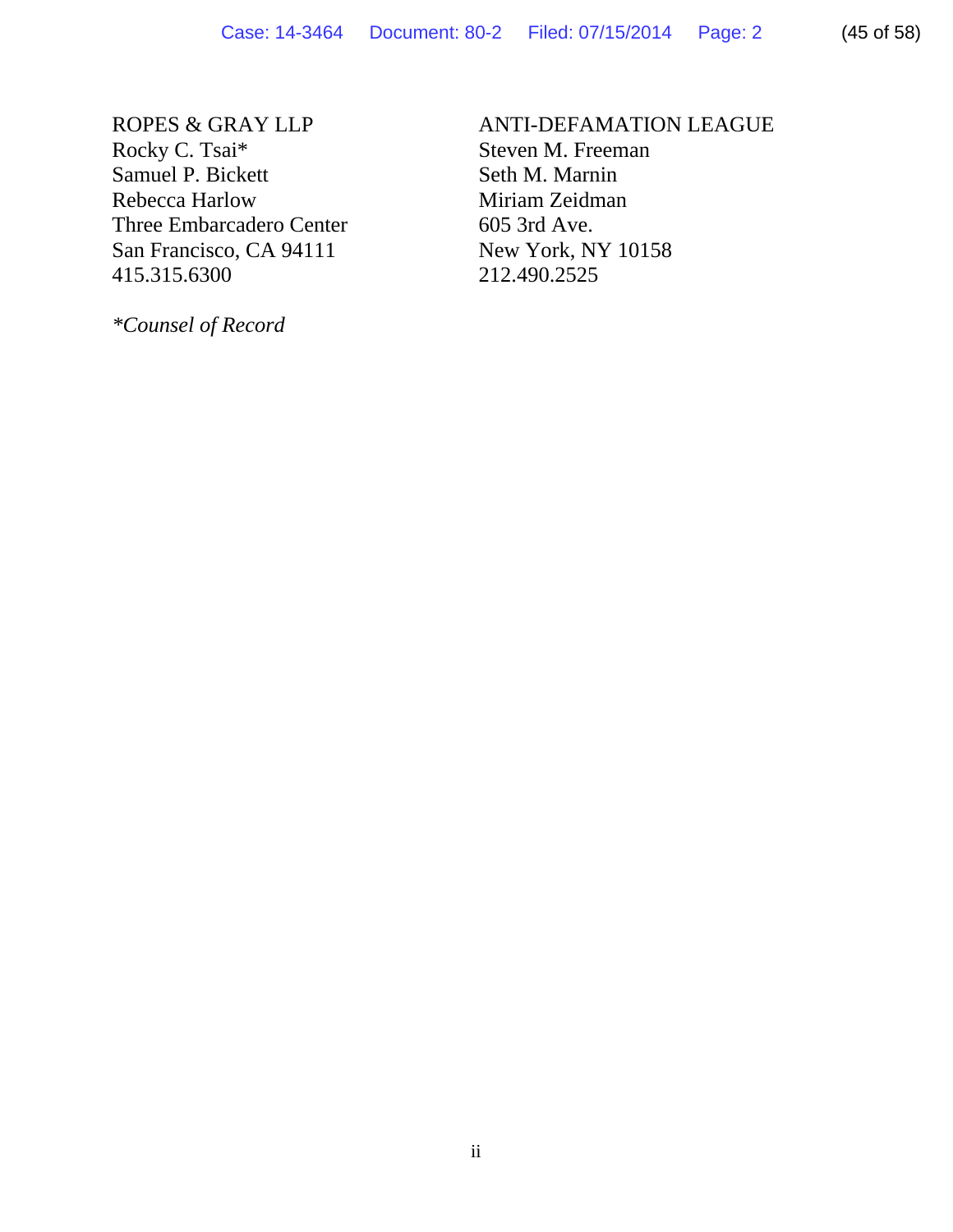ROPES & GRAY LLP Rocky C. Tsai\* Samuel P. Bickett Rebecca Harlow Three Embarcadero Center San Francisco, CA 94111 415.315.6300

*\*Counsel of Record* 

# ANTI-DEFAMATION LEAGUE Steven M. Freeman

Seth M. Marnin Miriam Zeidman 605 3rd Ave. New York, NY 10158 212.490.2525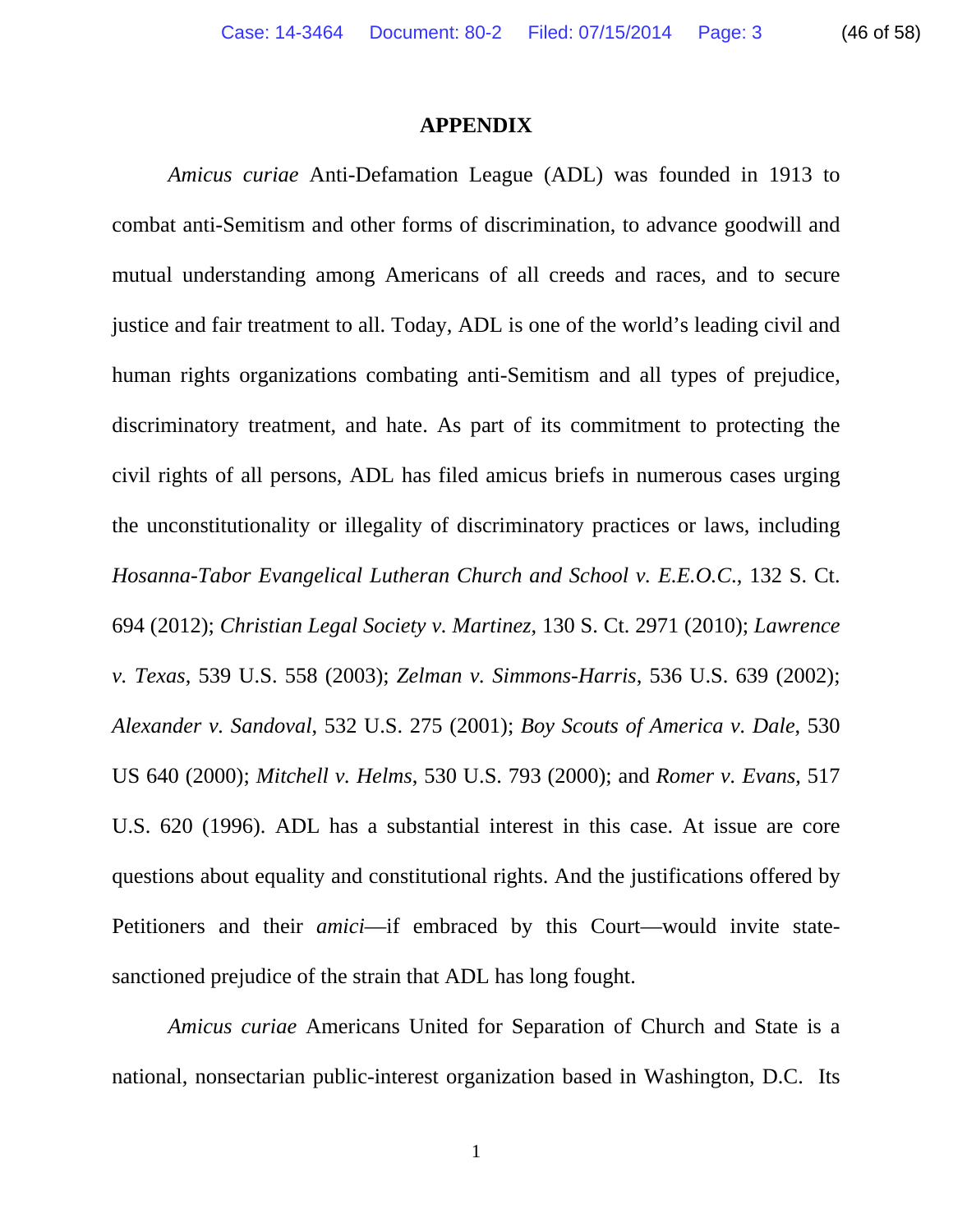#### **APPENDIX**

*Amicus curiae* Anti-Defamation League (ADL) was founded in 1913 to combat anti-Semitism and other forms of discrimination, to advance goodwill and mutual understanding among Americans of all creeds and races, and to secure justice and fair treatment to all. Today, ADL is one of the world's leading civil and human rights organizations combating anti-Semitism and all types of prejudice, discriminatory treatment, and hate. As part of its commitment to protecting the civil rights of all persons, ADL has filed amicus briefs in numerous cases urging the unconstitutionality or illegality of discriminatory practices or laws, including *Hosanna-Tabor Evangelical Lutheran Church and School v. E.E.O.C*., 132 S. Ct. 694 (2012); *Christian Legal Society v. Martinez*, 130 S. Ct. 2971 (2010); *Lawrence v. Texas*, 539 U.S. 558 (2003); *Zelman v. Simmons-Harris*, 536 U.S. 639 (2002); *Alexander v. Sandoval*, 532 U.S. 275 (2001); *Boy Scouts of America v. Dale*, 530 US 640 (2000); *Mitchell v. Helms*, 530 U.S. 793 (2000); and *Romer v. Evans*, 517 U.S. 620 (1996). ADL has a substantial interest in this case. At issue are core questions about equality and constitutional rights. And the justifications offered by Petitioners and their *amici*—if embraced by this Court—would invite statesanctioned prejudice of the strain that ADL has long fought.

*Amicus curiae* Americans United for Separation of Church and State is a national, nonsectarian public-interest organization based in Washington, D.C. Its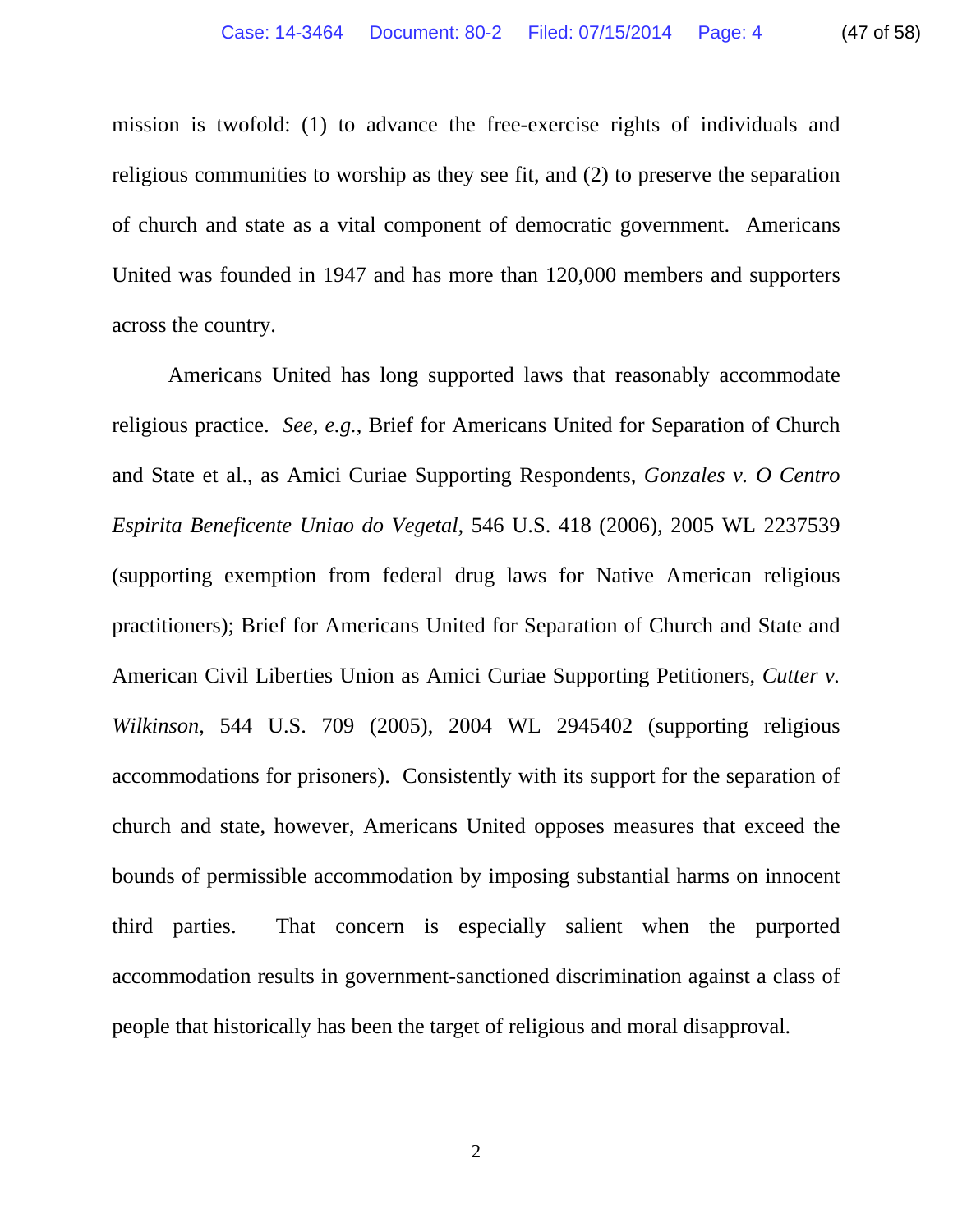mission is twofold: (1) to advance the free-exercise rights of individuals and religious communities to worship as they see fit, and (2) to preserve the separation of church and state as a vital component of democratic government. Americans United was founded in 1947 and has more than 120,000 members and supporters across the country.

Americans United has long supported laws that reasonably accommodate religious practice. *See, e.g.*, Brief for Americans United for Separation of Church and State et al., as Amici Curiae Supporting Respondents, *Gonzales v. O Centro Espirita Beneficente Uniao do Vegetal*, 546 U.S. 418 (2006), 2005 WL 2237539 (supporting exemption from federal drug laws for Native American religious practitioners); Brief for Americans United for Separation of Church and State and American Civil Liberties Union as Amici Curiae Supporting Petitioners, *Cutter v. Wilkinson*, 544 U.S. 709 (2005), 2004 WL 2945402 (supporting religious accommodations for prisoners). Consistently with its support for the separation of church and state, however, Americans United opposes measures that exceed the bounds of permissible accommodation by imposing substantial harms on innocent third parties. That concern is especially salient when the purported accommodation results in government-sanctioned discrimination against a class of people that historically has been the target of religious and moral disapproval.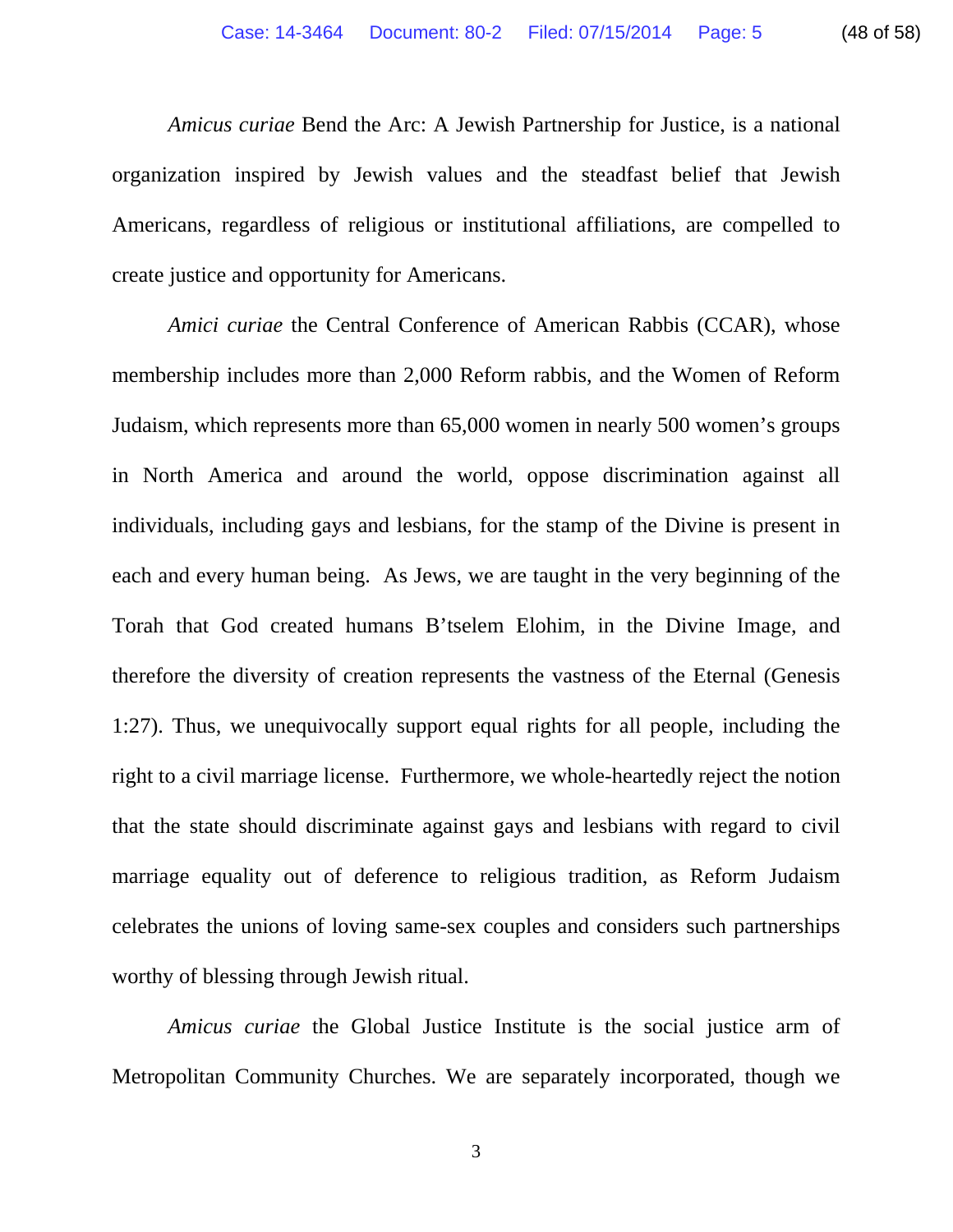*Amicus curiae* Bend the Arc: A Jewish Partnership for Justice, is a national organization inspired by Jewish values and the steadfast belief that Jewish Americans, regardless of religious or institutional affiliations, are compelled to create justice and opportunity for Americans.

*Amici curiae* the Central Conference of American Rabbis (CCAR), whose membership includes more than 2,000 Reform rabbis, and the Women of Reform Judaism, which represents more than 65,000 women in nearly 500 women's groups in North America and around the world, oppose discrimination against all individuals, including gays and lesbians, for the stamp of the Divine is present in each and every human being. As Jews, we are taught in the very beginning of the Torah that God created humans B'tselem Elohim, in the Divine Image, and therefore the diversity of creation represents the vastness of the Eternal (Genesis 1:27). Thus, we unequivocally support equal rights for all people, including the right to a civil marriage license. Furthermore, we whole-heartedly reject the notion that the state should discriminate against gays and lesbians with regard to civil marriage equality out of deference to religious tradition, as Reform Judaism celebrates the unions of loving same-sex couples and considers such partnerships worthy of blessing through Jewish ritual.

*Amicus curiae* the Global Justice Institute is the social justice arm of Metropolitan Community Churches. We are separately incorporated, though we

3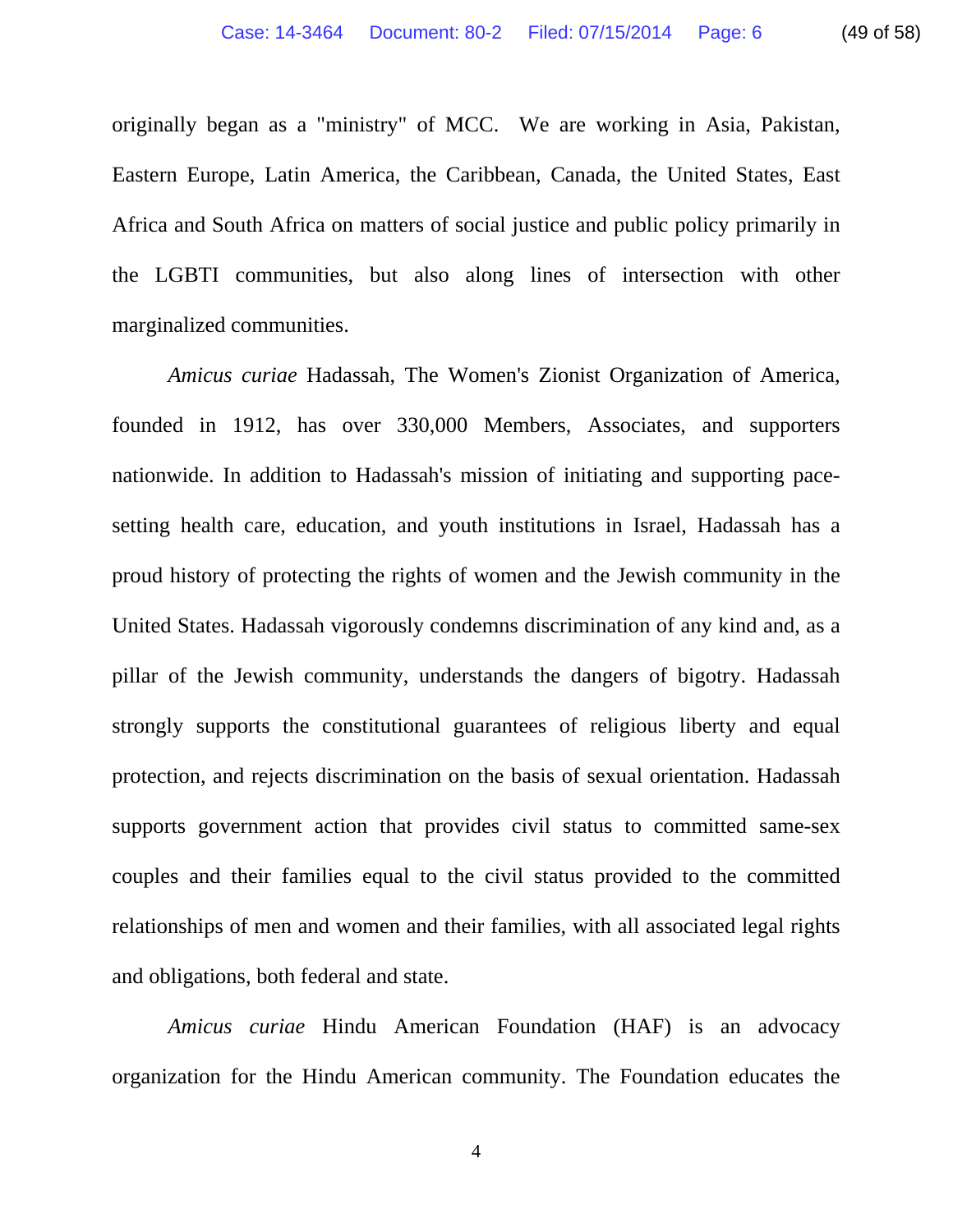originally began as a "ministry" of MCC. We are working in Asia, Pakistan, Eastern Europe, Latin America, the Caribbean, Canada, the United States, East Africa and South Africa on matters of social justice and public policy primarily in the LGBTI communities, but also along lines of intersection with other marginalized communities.

*Amicus curiae* Hadassah, The Women's Zionist Organization of America, founded in 1912, has over 330,000 Members, Associates, and supporters nationwide. In addition to Hadassah's mission of initiating and supporting pacesetting health care, education, and youth institutions in Israel, Hadassah has a proud history of protecting the rights of women and the Jewish community in the United States. Hadassah vigorously condemns discrimination of any kind and, as a pillar of the Jewish community, understands the dangers of bigotry. Hadassah strongly supports the constitutional guarantees of religious liberty and equal protection, and rejects discrimination on the basis of sexual orientation. Hadassah supports government action that provides civil status to committed same-sex couples and their families equal to the civil status provided to the committed relationships of men and women and their families, with all associated legal rights and obligations, both federal and state.

*Amicus curiae* Hindu American Foundation (HAF) is an advocacy organization for the Hindu American community. The Foundation educates the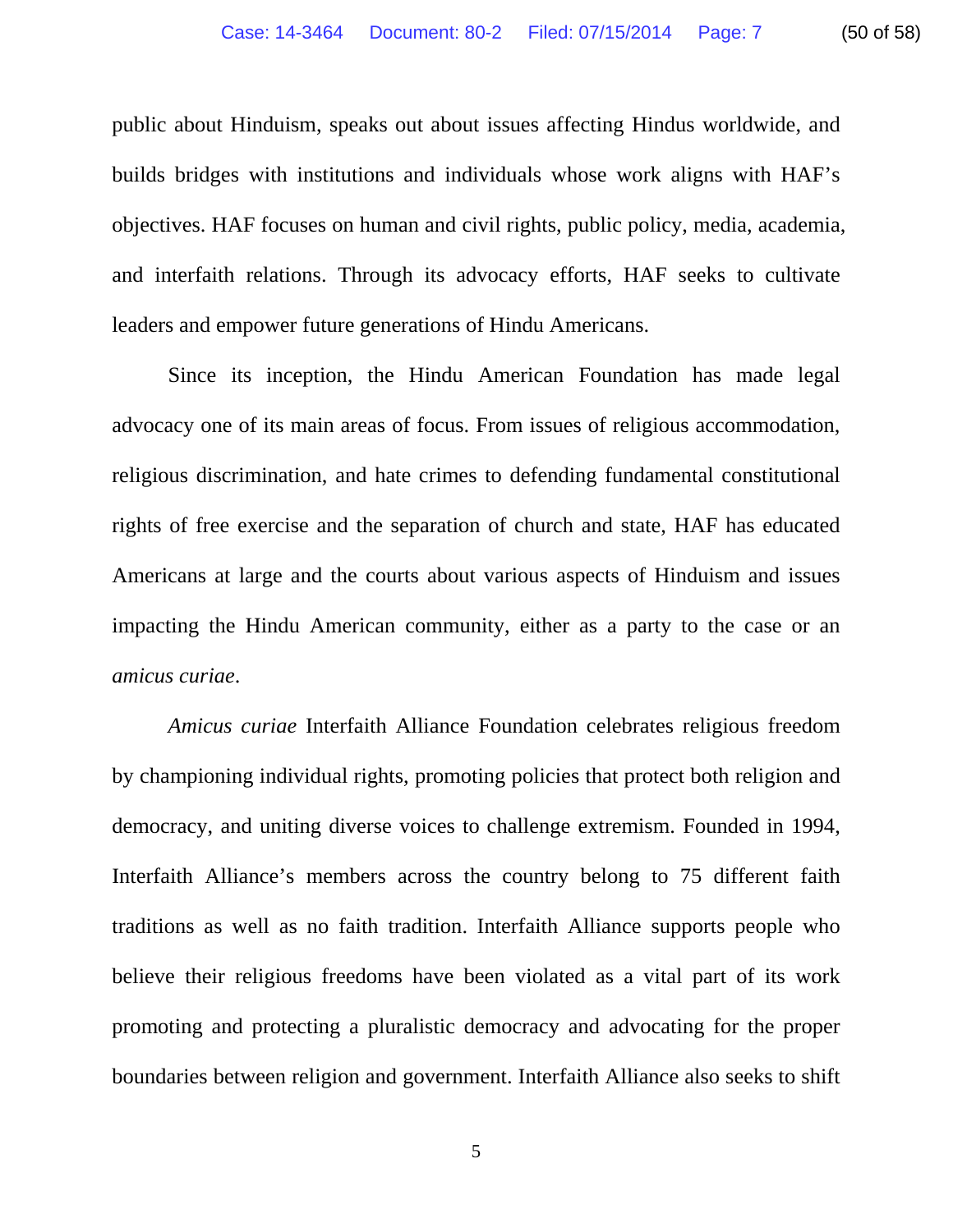public about Hinduism, speaks out about issues affecting Hindus worldwide, and builds bridges with institutions and individuals whose work aligns with HAF's objectives. HAF focuses on human and civil rights, public policy, media, academia, and interfaith relations. Through its advocacy efforts, HAF seeks to cultivate leaders and empower future generations of Hindu Americans.

Since its inception, the Hindu American Foundation has made legal advocacy one of its main areas of focus. From issues of religious accommodation, religious discrimination, and hate crimes to defending fundamental constitutional rights of free exercise and the separation of church and state, HAF has educated Americans at large and the courts about various aspects of Hinduism and issues impacting the Hindu American community, either as a party to the case or an *amicus curiae*.

*Amicus curiae* Interfaith Alliance Foundation celebrates religious freedom by championing individual rights, promoting policies that protect both religion and democracy, and uniting diverse voices to challenge extremism. Founded in 1994, Interfaith Alliance's members across the country belong to 75 different faith traditions as well as no faith tradition. Interfaith Alliance supports people who believe their religious freedoms have been violated as a vital part of its work promoting and protecting a pluralistic democracy and advocating for the proper boundaries between religion and government. Interfaith Alliance also seeks to shift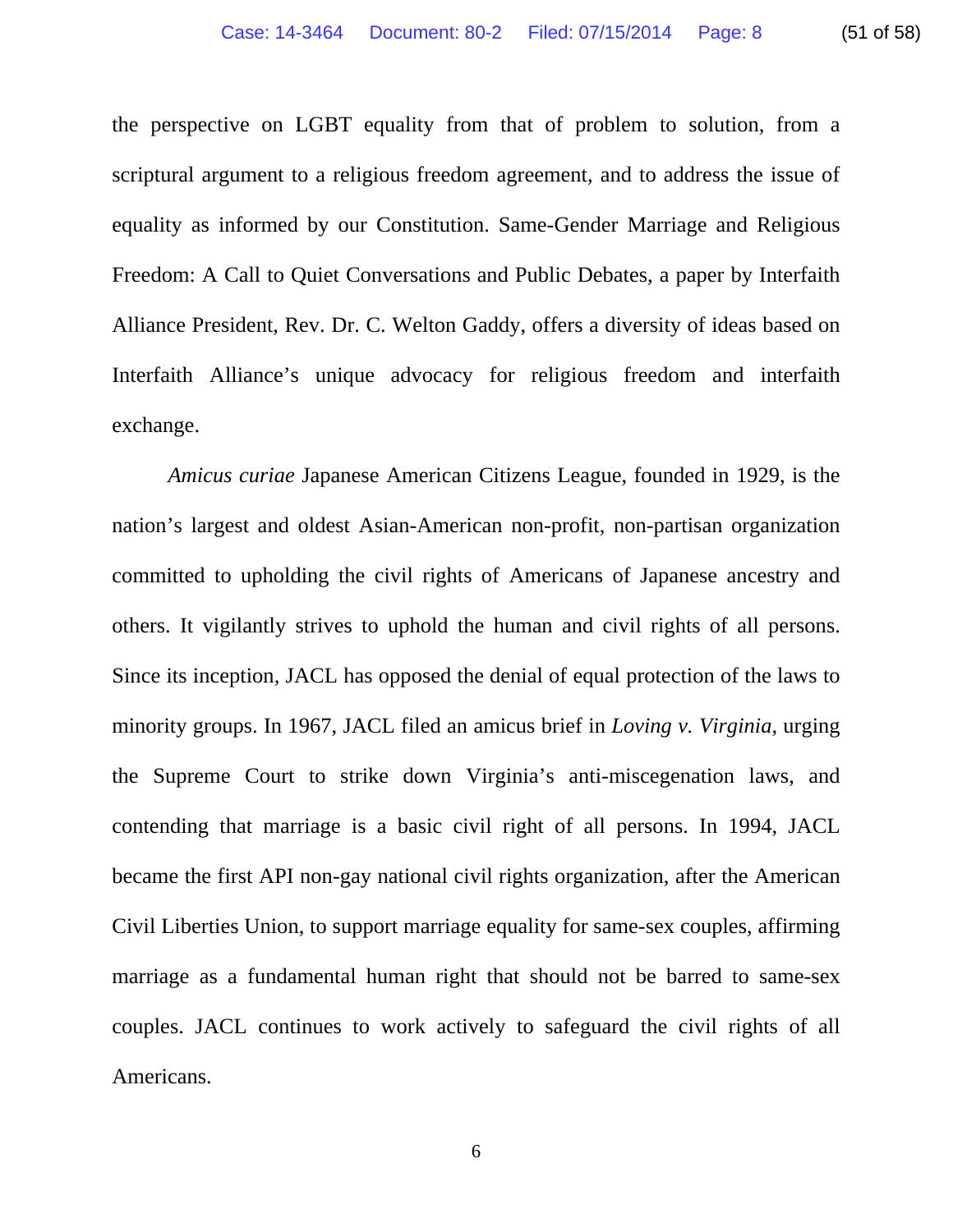the perspective on LGBT equality from that of problem to solution, from a scriptural argument to a religious freedom agreement, and to address the issue of equality as informed by our Constitution. Same-Gender Marriage and Religious Freedom: A Call to Quiet Conversations and Public Debates, a paper by Interfaith Alliance President, Rev. Dr. C. Welton Gaddy, offers a diversity of ideas based on Interfaith Alliance's unique advocacy for religious freedom and interfaith exchange.

*Amicus curiae* Japanese American Citizens League, founded in 1929, is the nation's largest and oldest Asian-American non-profit, non-partisan organization committed to upholding the civil rights of Americans of Japanese ancestry and others. It vigilantly strives to uphold the human and civil rights of all persons. Since its inception, JACL has opposed the denial of equal protection of the laws to minority groups. In 1967, JACL filed an amicus brief in *Loving v. Virginia*, urging the Supreme Court to strike down Virginia's anti-miscegenation laws, and contending that marriage is a basic civil right of all persons. In 1994, JACL became the first API non-gay national civil rights organization, after the American Civil Liberties Union, to support marriage equality for same-sex couples, affirming marriage as a fundamental human right that should not be barred to same-sex couples. JACL continues to work actively to safeguard the civil rights of all Americans.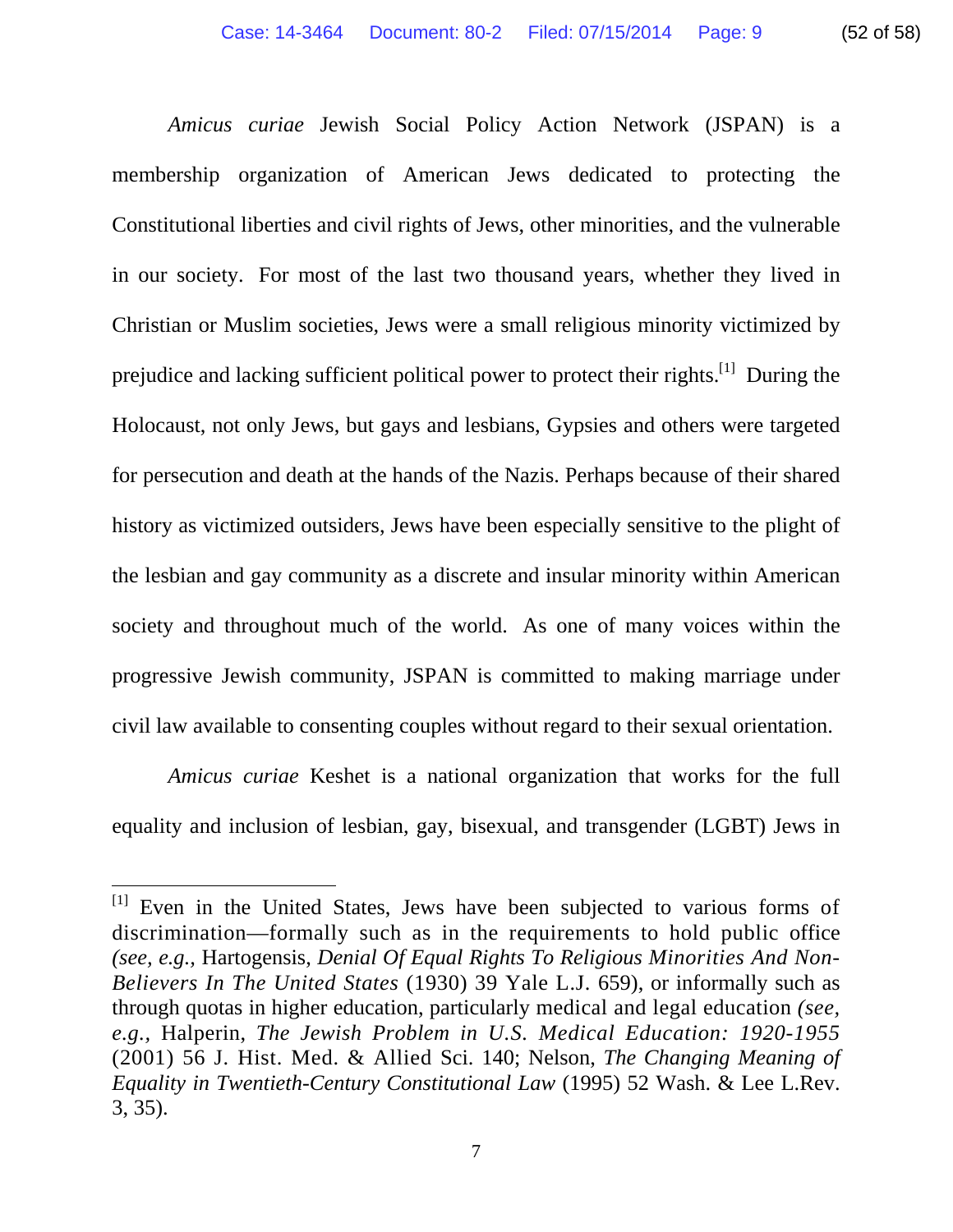*Amicus curiae* Jewish Social Policy Action Network (JSPAN) is a membership organization of American Jews dedicated to protecting the Constitutional liberties and civil rights of Jews, other minorities, and the vulnerable in our society. For most of the last two thousand years, whether they lived in Christian or Muslim societies, Jews were a small religious minority victimized by prejudice and lacking sufficient political power to protect their rights.<sup>[1]</sup> During the Holocaust, not only Jews, but gays and lesbians, Gypsies and others were targeted for persecution and death at the hands of the Nazis. Perhaps because of their shared history as victimized outsiders, Jews have been especially sensitive to the plight of the lesbian and gay community as a discrete and insular minority within American society and throughout much of the world. As one of many voices within the progressive Jewish community, JSPAN is committed to making marriage under civil law available to consenting couples without regard to their sexual orientation.

*Amicus curiae* Keshet is a national organization that works for the full equality and inclusion of lesbian, gay, bisexual, and transgender (LGBT) Jews in

 $\overline{a}$ 

<sup>&</sup>lt;sup>[1]</sup> Even in the United States, Jews have been subjected to various forms of discrimination—formally such as in the requirements to hold public office *(see, e.g.,* Hartogensis, *Denial Of Equal Rights To Religious Minorities And Non-Believers In The United States* (1930) 39 Yale L.J. 659), or informally such as through quotas in higher education, particularly medical and legal education *(see, e.g.,* Halperin, *The Jewish Problem in U.S. Medical Education: 1920-1955*  (2001) 56 J. Hist. Med. & Allied Sci. 140; Nelson, *The Changing Meaning of Equality in Twentieth-Century Constitutional Law* (1995) 52 Wash. & Lee L.Rev. 3, 35).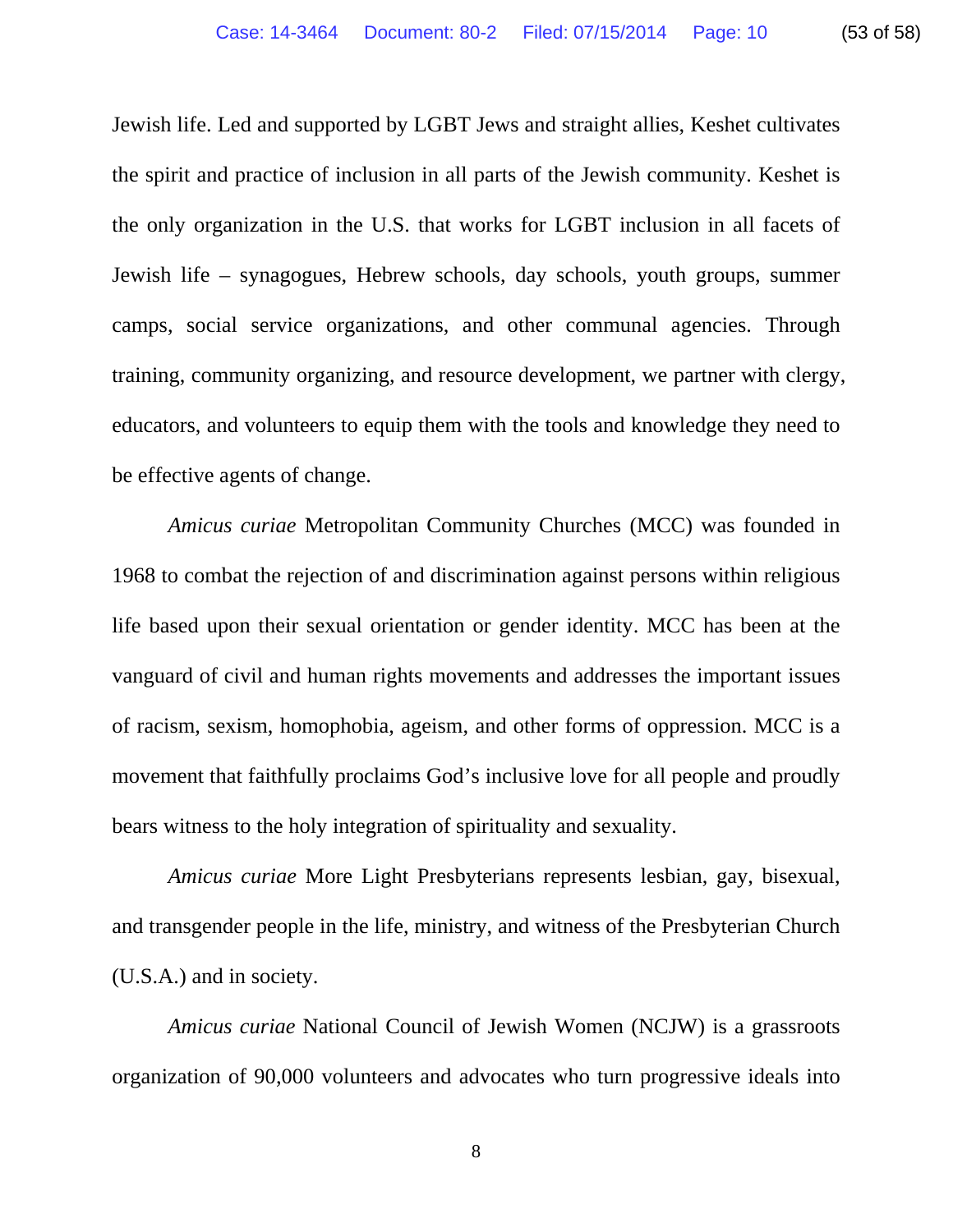Jewish life. Led and supported by LGBT Jews and straight allies, Keshet cultivates the spirit and practice of inclusion in all parts of the Jewish community. Keshet is the only organization in the U.S. that works for LGBT inclusion in all facets of Jewish life – synagogues, Hebrew schools, day schools, youth groups, summer camps, social service organizations, and other communal agencies. Through training, community organizing, and resource development, we partner with clergy, educators, and volunteers to equip them with the tools and knowledge they need to be effective agents of change.

*Amicus curiae* Metropolitan Community Churches (MCC) was founded in 1968 to combat the rejection of and discrimination against persons within religious life based upon their sexual orientation or gender identity. MCC has been at the vanguard of civil and human rights movements and addresses the important issues of racism, sexism, homophobia, ageism, and other forms of oppression. MCC is a movement that faithfully proclaims God's inclusive love for all people and proudly bears witness to the holy integration of spirituality and sexuality.

*Amicus curiae* More Light Presbyterians represents lesbian, gay, bisexual, and transgender people in the life, ministry, and witness of the Presbyterian Church (U.S.A.) and in society.

*Amicus curiae* National Council of Jewish Women (NCJW) is a grassroots organization of 90,000 volunteers and advocates who turn progressive ideals into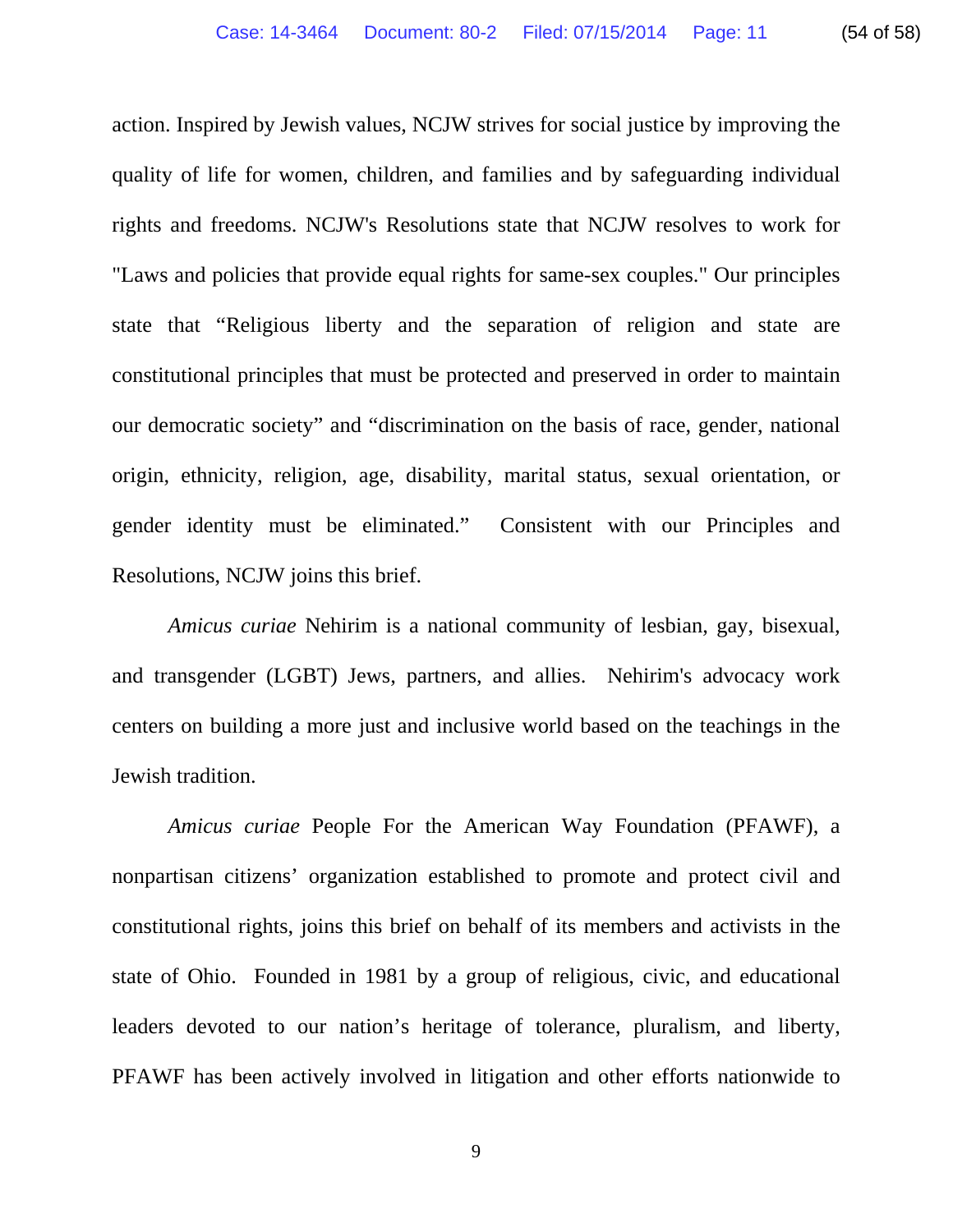action. Inspired by Jewish values, NCJW strives for social justice by improving the quality of life for women, children, and families and by safeguarding individual rights and freedoms. NCJW's Resolutions state that NCJW resolves to work for "Laws and policies that provide equal rights for same-sex couples." Our principles state that "Religious liberty and the separation of religion and state are

constitutional principles that must be protected and preserved in order to maintain our democratic society" and "discrimination on the basis of race, gender, national origin, ethnicity, religion, age, disability, marital status, sexual orientation, or gender identity must be eliminated." Consistent with our Principles and Resolutions, NCJW joins this brief.

*Amicus curiae* Nehirim is a national community of lesbian, gay, bisexual, and transgender (LGBT) Jews, partners, and allies. Nehirim's advocacy work centers on building a more just and inclusive world based on the teachings in the Jewish tradition.

*Amicus curiae* People For the American Way Foundation (PFAWF), a nonpartisan citizens' organization established to promote and protect civil and constitutional rights, joins this brief on behalf of its members and activists in the state of Ohio. Founded in 1981 by a group of religious, civic, and educational leaders devoted to our nation's heritage of tolerance, pluralism, and liberty, PFAWF has been actively involved in litigation and other efforts nationwide to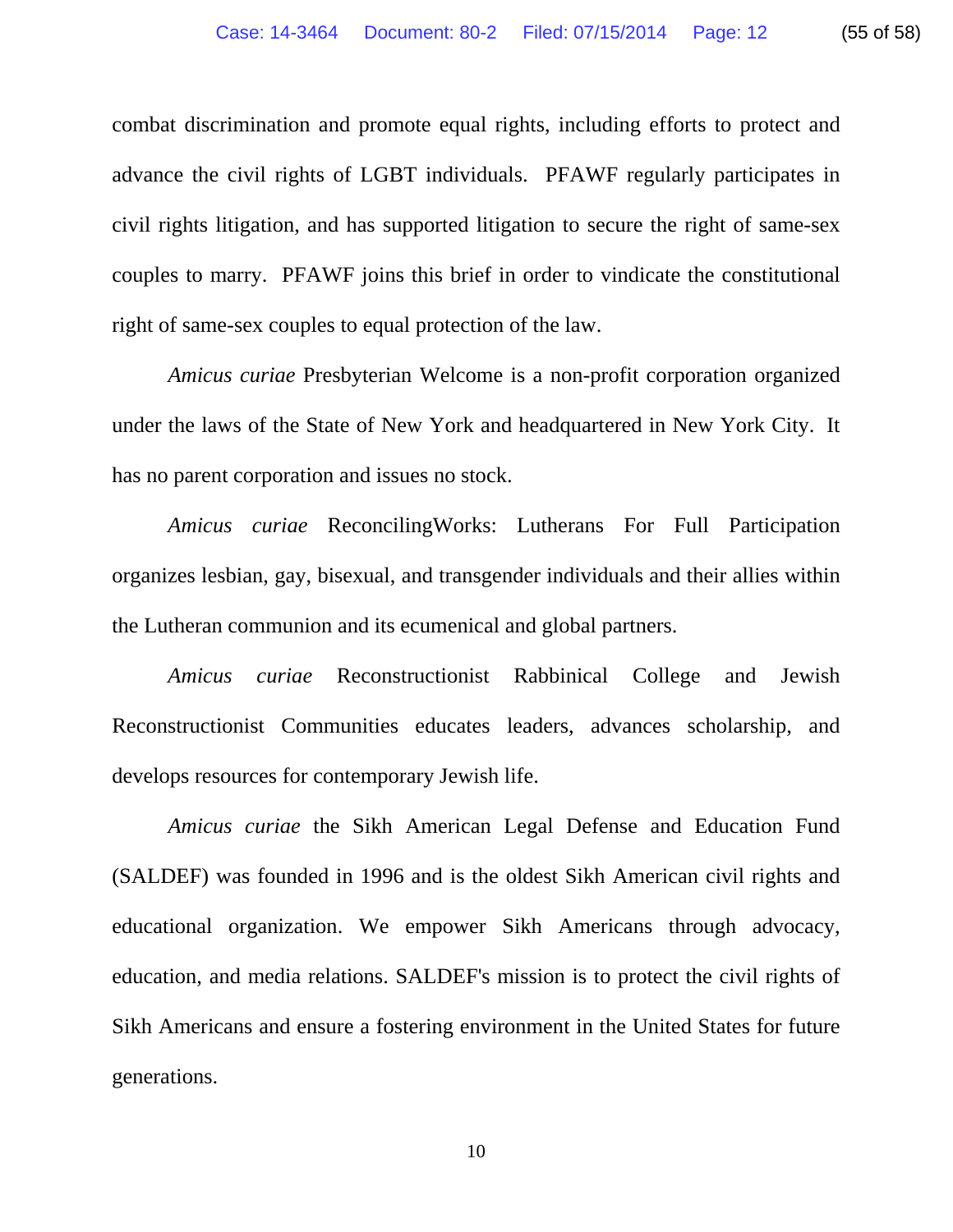combat discrimination and promote equal rights, including efforts to protect and advance the civil rights of LGBT individuals. PFAWF regularly participates in civil rights litigation, and has supported litigation to secure the right of same-sex couples to marry. PFAWF joins this brief in order to vindicate the constitutional right of same-sex couples to equal protection of the law.

*Amicus curiae* Presbyterian Welcome is a non-profit corporation organized under the laws of the State of New York and headquartered in New York City. It has no parent corporation and issues no stock.

*Amicus curiae* ReconcilingWorks: Lutherans For Full Participation organizes lesbian, gay, bisexual, and transgender individuals and their allies within the Lutheran communion and its ecumenical and global partners.

*Amicus curiae* Reconstructionist Rabbinical College and Jewish Reconstructionist Communities educates leaders, advances scholarship, and develops resources for contemporary Jewish life.

*Amicus curiae* the Sikh American Legal Defense and Education Fund (SALDEF) was founded in 1996 and is the oldest Sikh American civil rights and educational organization. We empower Sikh Americans through advocacy, education, and media relations. SALDEF's mission is to protect the civil rights of Sikh Americans and ensure a fostering environment in the United States for future generations.

10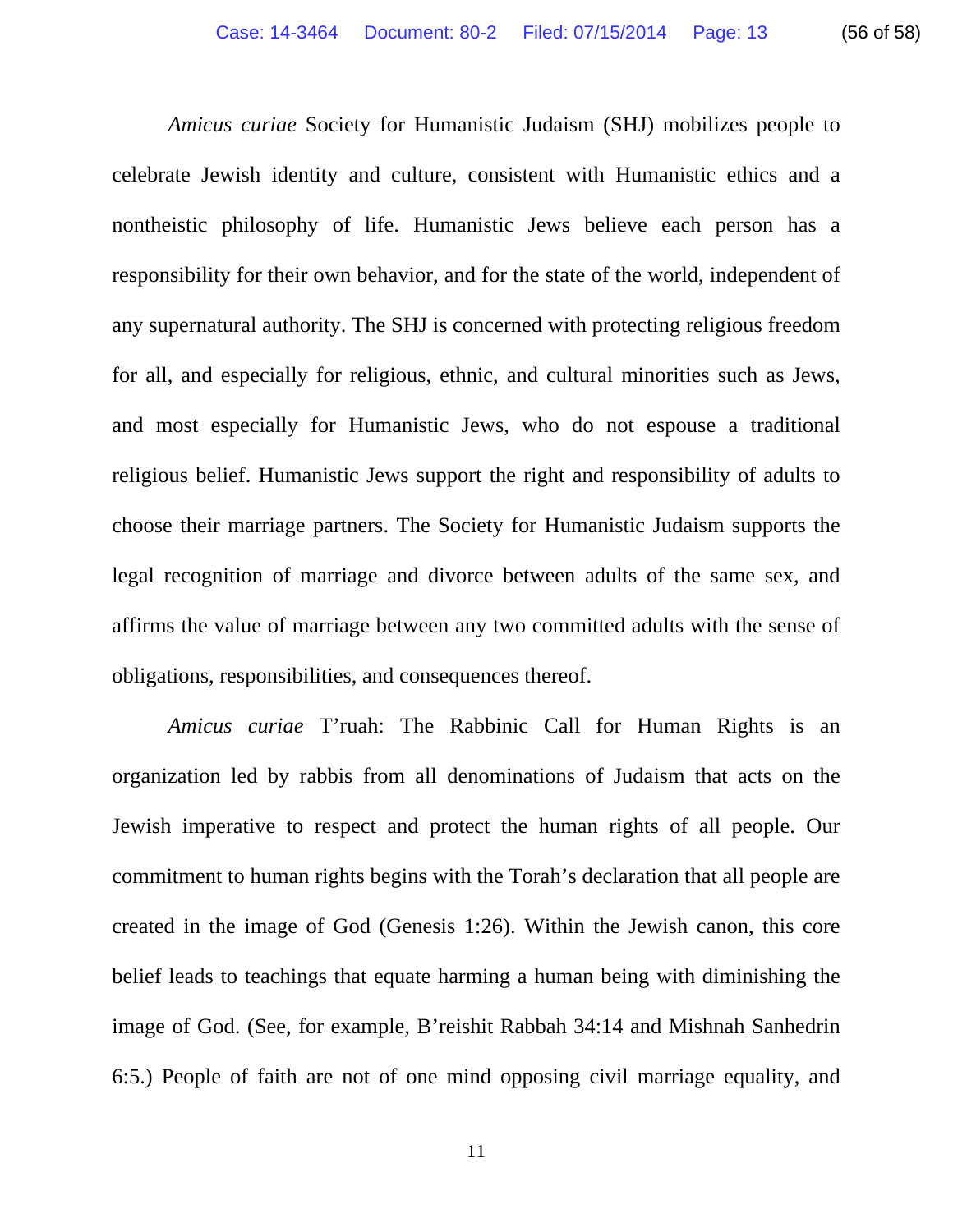*Amicus curiae* Society for Humanistic Judaism (SHJ) mobilizes people to celebrate Jewish identity and culture, consistent with Humanistic ethics and a nontheistic philosophy of life. Humanistic Jews believe each person has a responsibility for their own behavior, and for the state of the world, independent of any supernatural authority. The SHJ is concerned with protecting religious freedom for all, and especially for religious, ethnic, and cultural minorities such as Jews, and most especially for Humanistic Jews, who do not espouse a traditional religious belief. Humanistic Jews support the right and responsibility of adults to choose their marriage partners. The Society for Humanistic Judaism supports the legal recognition of marriage and divorce between adults of the same sex, and affirms the value of marriage between any two committed adults with the sense of obligations, responsibilities, and consequences thereof.

*Amicus curiae* T'ruah: The Rabbinic Call for Human Rights is an organization led by rabbis from all denominations of Judaism that acts on the Jewish imperative to respect and protect the human rights of all people. Our commitment to human rights begins with the Torah's declaration that all people are created in the image of God (Genesis 1:26). Within the Jewish canon, this core belief leads to teachings that equate harming a human being with diminishing the image of God. (See, for example, B'reishit Rabbah 34:14 and Mishnah Sanhedrin 6:5.) People of faith are not of one mind opposing civil marriage equality, and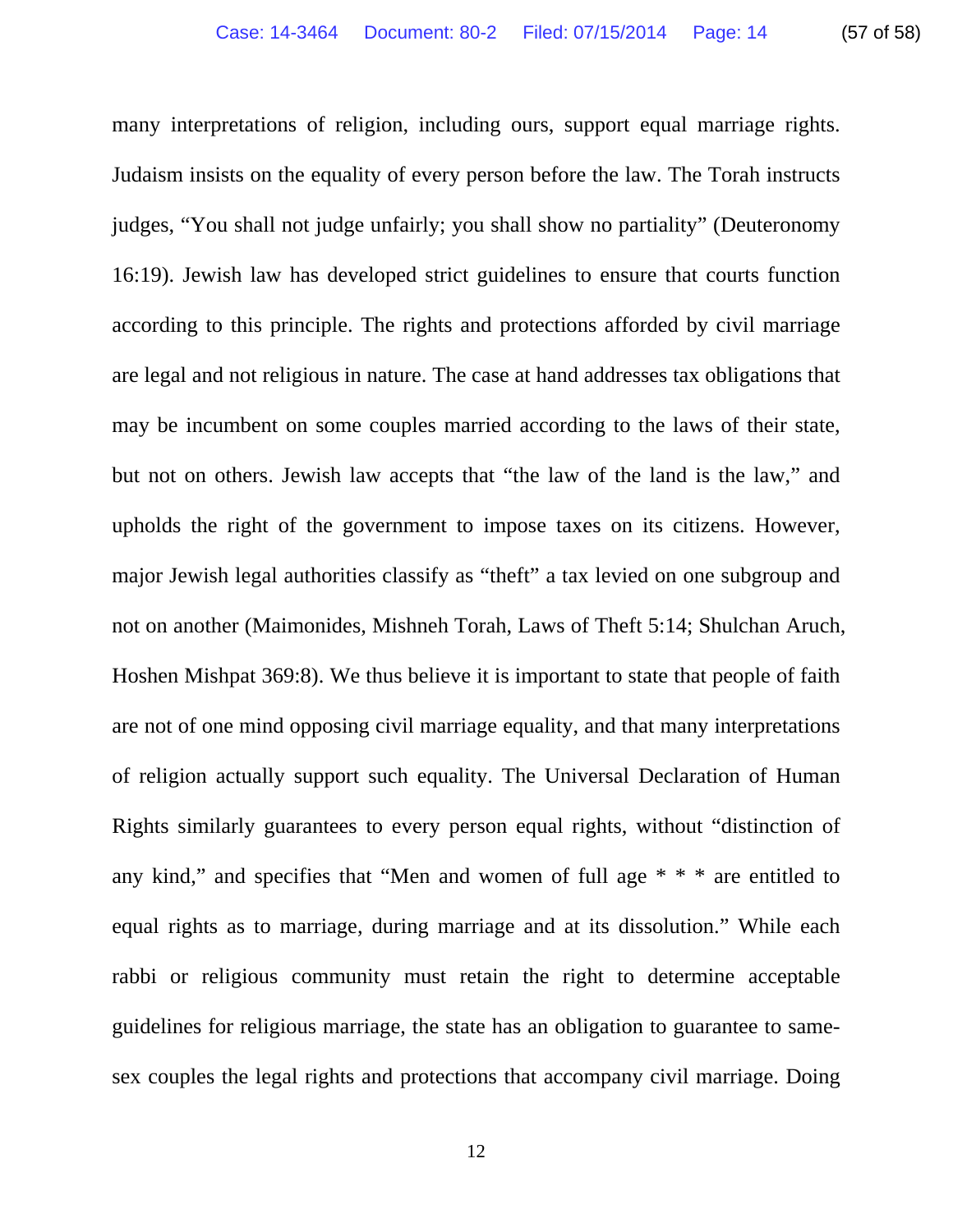many interpretations of religion, including ours, support equal marriage rights. Judaism insists on the equality of every person before the law. The Torah instructs judges, "You shall not judge unfairly; you shall show no partiality" (Deuteronomy 16:19). Jewish law has developed strict guidelines to ensure that courts function according to this principle. The rights and protections afforded by civil marriage are legal and not religious in nature. The case at hand addresses tax obligations that may be incumbent on some couples married according to the laws of their state, but not on others. Jewish law accepts that "the law of the land is the law," and upholds the right of the government to impose taxes on its citizens. However, major Jewish legal authorities classify as "theft" a tax levied on one subgroup and not on another (Maimonides, Mishneh Torah, Laws of Theft 5:14; Shulchan Aruch, Hoshen Mishpat 369:8). We thus believe it is important to state that people of faith are not of one mind opposing civil marriage equality, and that many interpretations of religion actually support such equality. The Universal Declaration of Human Rights similarly guarantees to every person equal rights, without "distinction of any kind," and specifies that "Men and women of full age \* \* \* are entitled to equal rights as to marriage, during marriage and at its dissolution." While each rabbi or religious community must retain the right to determine acceptable guidelines for religious marriage, the state has an obligation to guarantee to samesex couples the legal rights and protections that accompany civil marriage. Doing